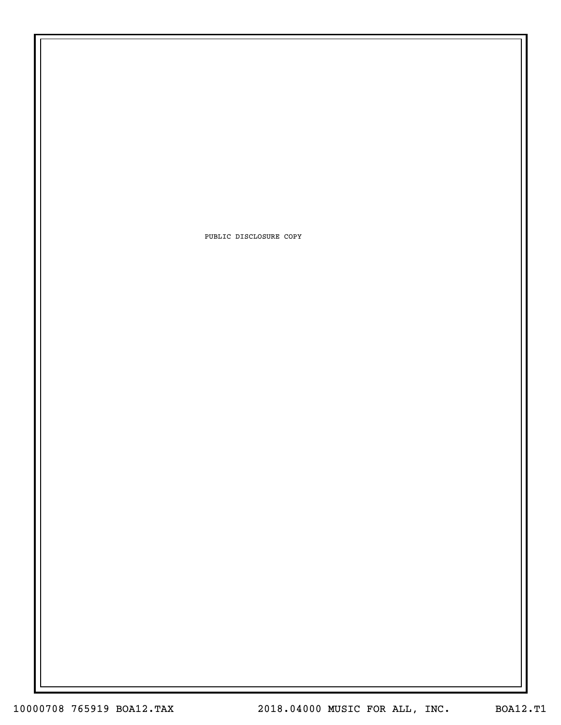PUBLIC DISCLOSURE COPY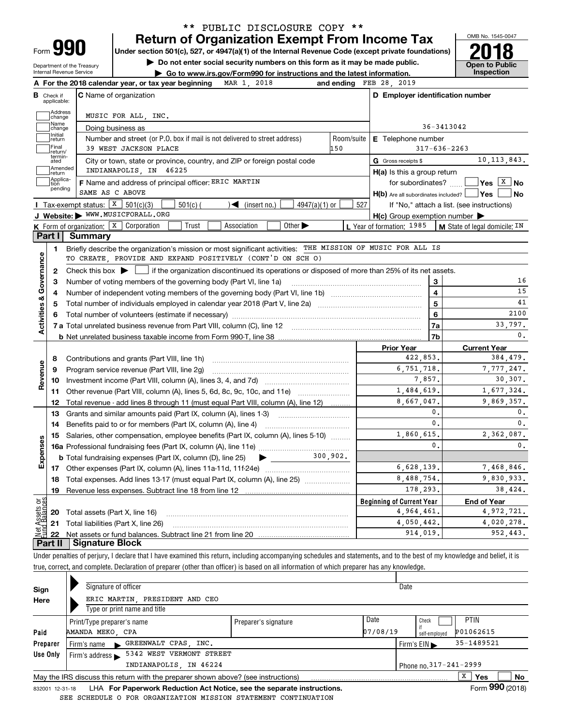## **Return of Organization Exempt From Income Tax** \*\* PUBLIC DISCLOSURE COPY \*\*

**Under section 501(c), 527, or 4947(a)(1) of the Internal Revenue Code (except private foundations) 2018**

**| Do not enter social security numbers on this form as it may be made public.**

Department of the Treasury Internal Revenue Service

**| Go to www.irs.gov/Form990 for instructions and the latest information. Inspection**



| Check if                          | <b>C</b> Name of organization<br>applicable:                                                                           | D Employer identification number                        |                                               |
|-----------------------------------|------------------------------------------------------------------------------------------------------------------------|---------------------------------------------------------|-----------------------------------------------|
|                                   | Address<br>MUSIC FOR ALL, INC.<br>change                                                                               |                                                         |                                               |
|                                   | Name<br>Doing business as<br>change                                                                                    | 36-3413042                                              |                                               |
|                                   | Initial<br>Number and street (or P.O. box if mail is not delivered to street address)<br>Room/suite<br> return         | E Telephone number                                      |                                               |
|                                   | Final<br>39 WEST JACKSON PLACE<br>150<br>return/                                                                       | $317 - 636 - 2263$                                      |                                               |
|                                   | termin-<br>ated<br>City or town, state or province, country, and ZIP or foreign postal code                            | G Gross receipts \$                                     | 10, 113, 843.                                 |
|                                   | Amended<br>INDIANAPOLIS, IN 46225<br>return                                                                            | $H(a)$ is this a group return                           |                                               |
| tion                              | Applica-<br>F Name and address of principal officer: ERIC MARTIN                                                       | for subordinates? $\Box$                                | $\sqrt{\mathsf{Yes}}$ $\boxed{\texttt{X}}$ No |
|                                   | pending<br>SAME AS C ABOVE                                                                                             | $H(b)$ Are all subordinates included? $\Box$ Yes $\Box$ | ∣No                                           |
|                                   | Tax-exempt status: $X$ 501(c)(3)<br>$\mathcal{A}$ (insert no.)<br>$4947(a)(1)$ or<br>$501(c)$ (                        | 527                                                     | If "No," attach a list. (see instructions)    |
|                                   | J Website: WWW.MUSICFORALL.ORG                                                                                         | $H(c)$ Group exemption number $\blacktriangleright$     |                                               |
|                                   | <b>K</b> Form of organization: $\boxed{\textbf{X}}$ Corporation<br>Trust<br>Association<br>Other $\blacktriangleright$ | L Year of formation: 1985                               | M State of legal domicile: IN                 |
| Part II                           | Summary                                                                                                                |                                                         |                                               |
|                                   | Briefly describe the organization's mission or most significant activities: THE MISSION OF MUSIC FOR ALL IS<br>1.      |                                                         |                                               |
|                                   | TO CREATE, PROVIDE AND EXPAND POSITIVELY (CONT'D ON SCH O)                                                             |                                                         |                                               |
| 2                                 |                                                                                                                        |                                                         |                                               |
| Activities & Governance<br>з      | Number of voting members of the governing body (Part VI, line 1a)                                                      | 3                                                       | 16                                            |
| 4                                 |                                                                                                                        | $\overline{\mathbf{4}}$                                 | 15                                            |
| 5                                 | Total number of individuals employed in calendar year 2018 (Part V, line 2a) manufacture controller to intervent       | $\overline{5}$                                          | 41                                            |
| 6                                 |                                                                                                                        | 6                                                       | 2100                                          |
|                                   |                                                                                                                        | 7a                                                      | 33.797.                                       |
|                                   |                                                                                                                        | 7 <sub>b</sub>                                          | 0.                                            |
|                                   |                                                                                                                        | <b>Prior Year</b>                                       | <b>Current Year</b>                           |
| 8                                 | Contributions and grants (Part VIII, line 1h)                                                                          | 422,853.                                                | 384,479.                                      |
| 9                                 | Program service revenue (Part VIII, line 2g)                                                                           | 6,751,718.                                              | 7,777,247.                                    |
| 10                                |                                                                                                                        | 7,857.                                                  | 30,307.                                       |
| 11                                | Other revenue (Part VIII, column (A), lines 5, 6d, 8c, 9c, 10c, and 11e)                                               | 1,484,619.                                              | 1,677,324.                                    |
| 12                                | Total revenue - add lines 8 through 11 (must equal Part VIII, column (A), line 12)                                     | 8,667,047.                                              | 9.869,357.                                    |
| 13                                | Grants and similar amounts paid (Part IX, column (A), lines 1-3)                                                       | 0.                                                      | $\mathbf 0$ .                                 |
| 14                                | Benefits paid to or for members (Part IX, column (A), line 4)                                                          | 0.                                                      | $\mathbf{0}$ .                                |
| 15                                | Salaries, other compensation, employee benefits (Part IX, column (A), lines 5-10)                                      | 1,860,615.                                              | 2,362,087.                                    |
|                                   |                                                                                                                        | $\mathbf{0}$ .                                          | 0.                                            |
|                                   | <b>b</b> Total fundraising expenses (Part IX, column (D), line 25)                                                     |                                                         |                                               |
|                                   |                                                                                                                        | 6,628,139.                                              | 7,468,846.                                    |
|                                   |                                                                                                                        | 8,488,754.                                              | 9,830,933.                                    |
| 18                                |                                                                                                                        |                                                         |                                               |
| 19                                | Total expenses. Add lines 13-17 (must equal Part IX, column (A), line 25) [                                            | 178,293.                                                |                                               |
|                                   |                                                                                                                        | <b>Beginning of Current Year</b>                        | <b>End of Year</b>                            |
|                                   | <b>20</b> Total assets (Part X, line 16)                                                                               | 4,964,461.                                              |                                               |
| Expenses<br>äğ<br>ssets<br>Ralanc | 21 Total liabilities (Part X, line 26)                                                                                 | 4,050,442.                                              | 38,424.<br>4,972,721.<br>4,020,278.           |

Under penalties of perjury, I declare that I have examined this return, including accompanying schedules and statements, and to the best of my knowledge and belief, it is true, correct, and complete. Declaration of preparer (other than officer) is based on all information of which preparer has any knowledge.

|              |                                                                                                                      | Signature of officer                                                              |                      |                  | Date                                              |                          |                           |  |
|--------------|----------------------------------------------------------------------------------------------------------------------|-----------------------------------------------------------------------------------|----------------------|------------------|---------------------------------------------------|--------------------------|---------------------------|--|
| Sign<br>Here |                                                                                                                      | ERIC MARTIN, PRESIDENT AND CEO<br>Type or print name and title                    |                      |                  |                                                   |                          |                           |  |
| Paid         |                                                                                                                      | Print/Type preparer's name<br>AMANDA MEKO, CPA                                    | Preparer's signature | Date<br>07/08/19 | Check                                             | <b>PTIN</b><br>P01062615 |                           |  |
| Preparer     |                                                                                                                      | Firm's name GREENWALT CPAS, INC.                                                  |                      |                  | self-employed<br>Firm's $EIN \blacktriangleright$ | 35-1489521               |                           |  |
| Use Only     | 5342 WEST VERMONT STREET<br>Firm's address $\blacktriangleright$<br>INDIANAPOLIS, IN 46224<br>Phone no. 317-241-2999 |                                                                                   |                      |                  |                                                   |                          |                           |  |
|              |                                                                                                                      | May the IRS discuss this return with the preparer shown above? (see instructions) |                      |                  |                                                   | x<br>Yes                 | No<br>$000 \leq x \leq 1$ |  |

832001\_12-31-18 LHA **For Paperwork Reduction Act Notice, see the separate instructions.** Form 990 (2018) SEE SCHEDULE O FOR ORGANIZATION MISSION STATEMENT CONTINUATION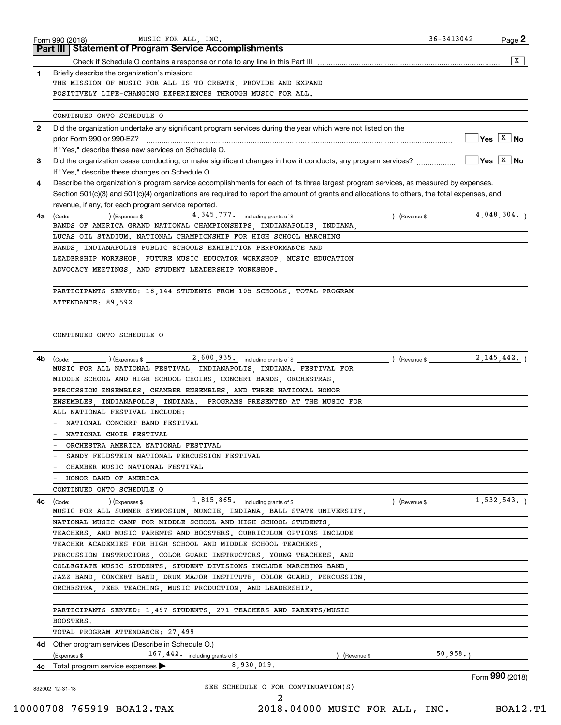|    | <b>Part III Statement of Program Service Accomplishments</b>                                                                                                                                                |                         |                                        |
|----|-------------------------------------------------------------------------------------------------------------------------------------------------------------------------------------------------------------|-------------------------|----------------------------------------|
|    |                                                                                                                                                                                                             |                         | X                                      |
| 1  | Briefly describe the organization's mission:                                                                                                                                                                |                         |                                        |
|    | THE MISSION OF MUSIC FOR ALL IS TO CREATE, PROVIDE AND EXPAND                                                                                                                                               |                         |                                        |
|    | POSITIVELY LIFE-CHANGING EXPERIENCES THROUGH MUSIC FOR ALL.                                                                                                                                                 |                         |                                        |
|    | CONTINUED ONTO SCHEDULE O                                                                                                                                                                                   |                         |                                        |
| 2  | Did the organization undertake any significant program services during the year which were not listed on the                                                                                                |                         |                                        |
|    |                                                                                                                                                                                                             |                         | $\sqrt{}$ Yes $\sqrt{}$ X $\sqrt{}$ No |
|    | If "Yes," describe these new services on Schedule O.                                                                                                                                                        |                         |                                        |
| 3  | Did the organization cease conducting, or make significant changes in how it conducts, any program services?                                                                                                |                         | $\sqrt{}$ Yes $\sqrt{}$ X $\sqrt{}$ No |
|    | If "Yes," describe these changes on Schedule O.                                                                                                                                                             |                         |                                        |
| 4  | Describe the organization's program service accomplishments for each of its three largest program services, as measured by expenses.                                                                        |                         |                                        |
|    | Section 501(c)(3) and 501(c)(4) organizations are required to report the amount of grants and allocations to others, the total expenses, and                                                                |                         |                                        |
|    | revenue, if any, for each program service reported.                                                                                                                                                         |                         |                                        |
| 4a | $(\text{Code:})$ $(\text{Expenses})$ $(4,345,777)$ $\text{including grants of $$ $(\text{Newrule})$ $(\text{Revenue})$                                                                                      |                         |                                        |
|    | BANDS OF AMERICA GRAND NATIONAL CHAMPIONSHIPS, INDIANAPOLIS, INDIANA,                                                                                                                                       |                         |                                        |
|    | LUCAS OIL STADIUM. NATIONAL CHAMPIONSHIP FOR HIGH SCHOOL MARCHING                                                                                                                                           |                         |                                        |
|    | BANDS, INDIANAPOLIS PUBLIC SCHOOLS EXHIBITION PERFORMANCE AND                                                                                                                                               |                         |                                        |
|    | LEADERSHIP WORKSHOP, FUTURE MUSIC EDUCATOR WORKSHOP, MUSIC EDUCATION                                                                                                                                        |                         |                                        |
|    | ADVOCACY MEETINGS, AND STUDENT LEADERSHIP WORKSHOP.                                                                                                                                                         |                         |                                        |
|    | PARTICIPANTS SERVED: 18,144 STUDENTS FROM 105 SCHOOLS. TOTAL PROGRAM                                                                                                                                        |                         |                                        |
|    | ATTENDANCE: 89.592                                                                                                                                                                                          |                         |                                        |
|    |                                                                                                                                                                                                             |                         |                                        |
|    |                                                                                                                                                                                                             |                         |                                        |
|    | CONTINUED ONTO SCHEDULE O                                                                                                                                                                                   |                         |                                        |
|    |                                                                                                                                                                                                             |                         |                                        |
|    |                                                                                                                                                                                                             |                         | 2, 145, 442.                           |
| 4b | $(\text{Code:})$ $(\text{Expenses $})$ $(\text{Expenses $})$ $(\text{Expenses $})$ $(\text{Expenses $})$ $(\text{Expenses $})$<br>MUSIC FOR ALL NATIONAL FESTIVAL, INDIANAPOLIS, INDIANA. FESTIVAL FOR      |                         |                                        |
|    | MIDDLE SCHOOL AND HIGH SCHOOL CHOIRS, CONCERT BANDS, ORCHESTRAS,                                                                                                                                            |                         |                                        |
|    | PERCUSSION ENSEMBLES, CHAMBER ENSEMBLES, AND THREE NATIONAL HONOR                                                                                                                                           |                         |                                        |
|    | ENSEMBLES INDIANAPOLIS INDIANA. PROGRAMS PRESENTED AT THE MUSIC FOR                                                                                                                                         |                         |                                        |
|    | ALL NATIONAL FESTIVAL INCLUDE:                                                                                                                                                                              |                         |                                        |
|    | NATIONAL CONCERT BAND FESTIVAL                                                                                                                                                                              |                         |                                        |
|    | NATIONAL CHOIR FESTIVAL                                                                                                                                                                                     |                         |                                        |
|    | ORCHESTRA AMERICA NATIONAL FESTIVAL                                                                                                                                                                         |                         |                                        |
|    | SANDY FELDSTEIN NATIONAL PERCUSSION FESTIVAL                                                                                                                                                                |                         |                                        |
|    | CHAMBER MUSIC NATIONAL FESTIVAL                                                                                                                                                                             |                         |                                        |
|    | HONOR BAND OF AMERICA                                                                                                                                                                                       |                         |                                        |
|    | CONTINUED ONTO SCHEDULE O                                                                                                                                                                                   |                         |                                        |
|    |                                                                                                                                                                                                             |                         |                                        |
| 4c |                                                                                                                                                                                                             |                         |                                        |
|    | $1$ , $815$ , $865$ . including grants of \$<br>$\left(\text{Code:}\ \_\_\_\_\_\_\\right)\left(\text{Expenses $}\ \text{).}\right)$<br>MUSIC FOR ALL SUMMER SYMPOSIUM MUNCIE INDIANA BALL STATE UNIVERSITY. | (Revenue \$ 1,532,543.) |                                        |
|    | NATIONAL MUSIC CAMP FOR MIDDLE SCHOOL AND HIGH SCHOOL STUDENTS                                                                                                                                              |                         |                                        |
|    | TEACHERS, AND MUSIC PARENTS AND BOOSTERS. CURRICULUM OPTIONS INCLUDE                                                                                                                                        |                         |                                        |
|    | TEACHER ACADEMIES FOR HIGH SCHOOL AND MIDDLE SCHOOL TEACHERS,                                                                                                                                               |                         |                                        |
|    | PERCUSSION INSTRUCTORS, COLOR GUARD INSTRUCTORS, YOUNG TEACHERS, AND                                                                                                                                        |                         |                                        |
|    | COLLEGIATE MUSIC STUDENTS. STUDENT DIVISIONS INCLUDE MARCHING BAND,                                                                                                                                         |                         |                                        |
|    | JAZZ BAND, CONCERT BAND, DRUM MAJOR INSTITUTE, COLOR GUARD, PERCUSSION,                                                                                                                                     |                         |                                        |
|    | ORCHESTRA, PEER TEACHING, MUSIC PRODUCTION, AND LEADERSHIP.                                                                                                                                                 |                         |                                        |
|    |                                                                                                                                                                                                             |                         |                                        |
|    | PARTICIPANTS SERVED: 1,497 STUDENTS, 271 TEACHERS AND PARENTS/MUSIC                                                                                                                                         |                         |                                        |
|    | BOOSTERS.                                                                                                                                                                                                   |                         |                                        |
|    | TOTAL PROGRAM ATTENDANCE: 27,499                                                                                                                                                                            |                         |                                        |
|    | 4d Other program services (Describe in Schedule O.)                                                                                                                                                         |                         |                                        |
|    | 167,442. including grants of \$<br>(Expenses \$<br>Revenue \$<br>8,930,019.<br>4e Total program service expenses                                                                                            | 50,958.                 |                                        |
|    |                                                                                                                                                                                                             |                         | Form 990 (2018)                        |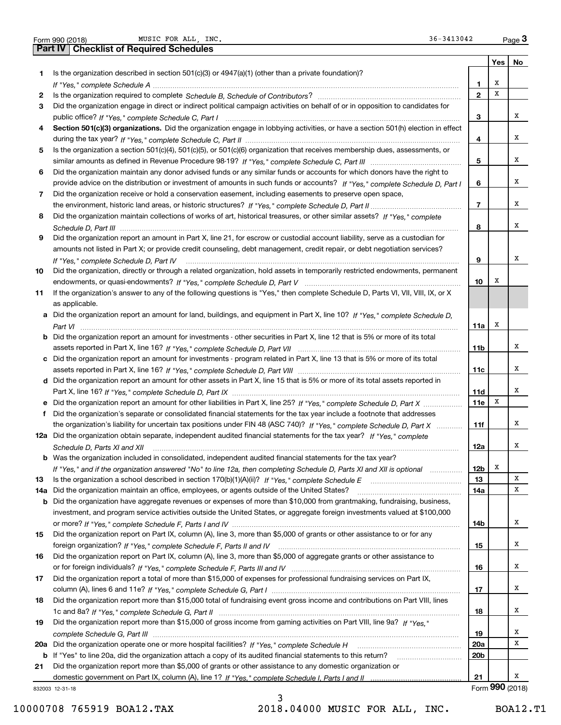| Form 990 (2018) |  |
|-----------------|--|

|     | MUSIC FOR ALL, INC.<br>36-3413042<br>Form 990 (2018)                                                                                                                                                                           |                          |                 | $_{\text{Page}}$ 3 |
|-----|--------------------------------------------------------------------------------------------------------------------------------------------------------------------------------------------------------------------------------|--------------------------|-----------------|--------------------|
|     | Part IV<br><b>Checklist of Required Schedules</b>                                                                                                                                                                              |                          |                 |                    |
|     |                                                                                                                                                                                                                                |                          | Yes             | No                 |
| 1.  | Is the organization described in section $501(c)(3)$ or $4947(a)(1)$ (other than a private foundation)?                                                                                                                        |                          |                 |                    |
|     | If "Yes," complete Schedule A measure and a control of the state of the state of the state of the state of the state of the state of the state of the state of the state of the state of the state of the state of the state o | 1                        | х               |                    |
| 2   |                                                                                                                                                                                                                                | $\mathbf{2}$             | х               |                    |
| 3   | Did the organization engage in direct or indirect political campaign activities on behalf of or in opposition to candidates for                                                                                                |                          |                 |                    |
|     |                                                                                                                                                                                                                                | з                        |                 | х                  |
| 4   | Section 501(c)(3) organizations. Did the organization engage in lobbying activities, or have a section 501(h) election in effect                                                                                               |                          |                 |                    |
|     |                                                                                                                                                                                                                                | 4                        |                 | х                  |
| 5   | Is the organization a section 501(c)(4), 501(c)(5), or 501(c)(6) organization that receives membership dues, assessments, or                                                                                                   |                          |                 | X                  |
|     |                                                                                                                                                                                                                                | 5                        |                 |                    |
| 6   | Did the organization maintain any donor advised funds or any similar funds or accounts for which donors have the right to                                                                                                      |                          |                 | х                  |
|     | provide advice on the distribution or investment of amounts in such funds or accounts? If "Yes," complete Schedule D, Part I                                                                                                   | 6                        |                 |                    |
| 7   | Did the organization receive or hold a conservation easement, including easements to preserve open space,                                                                                                                      | $\overline{\phantom{a}}$ |                 | х                  |
| 8   | Did the organization maintain collections of works of art, historical treasures, or other similar assets? If "Yes," complete                                                                                                   |                          |                 |                    |
|     |                                                                                                                                                                                                                                | 8                        |                 | х                  |
| 9   | Did the organization report an amount in Part X, line 21, for escrow or custodial account liability, serve as a custodian for                                                                                                  |                          |                 |                    |
|     | amounts not listed in Part X; or provide credit counseling, debt management, credit repair, or debt negotiation services?                                                                                                      |                          |                 |                    |
|     |                                                                                                                                                                                                                                | 9                        |                 | х                  |
| 10  | If "Yes," complete Schedule D, Part IV<br>Did the organization, directly or through a related organization, hold assets in temporarily restricted endowments, permanent                                                        |                          |                 |                    |
|     |                                                                                                                                                                                                                                | 10                       | х               |                    |
| 11  | If the organization's answer to any of the following questions is "Yes," then complete Schedule D, Parts VI, VII, VIII, IX, or X                                                                                               |                          |                 |                    |
|     | as applicable.                                                                                                                                                                                                                 |                          |                 |                    |
|     | a Did the organization report an amount for land, buildings, and equipment in Part X, line 10? If "Yes," complete Schedule D.                                                                                                  |                          |                 |                    |
|     |                                                                                                                                                                                                                                | 11a                      | х               |                    |
|     | <b>b</b> Did the organization report an amount for investments - other securities in Part X, line 12 that is 5% or more of its total                                                                                           |                          |                 |                    |
|     |                                                                                                                                                                                                                                | 11b                      |                 | х                  |
|     | c Did the organization report an amount for investments - program related in Part X, line 13 that is 5% or more of its total                                                                                                   |                          |                 |                    |
|     |                                                                                                                                                                                                                                | 11c                      |                 | х                  |
|     | d Did the organization report an amount for other assets in Part X, line 15 that is 5% or more of its total assets reported in                                                                                                 |                          |                 |                    |
|     |                                                                                                                                                                                                                                | 11d                      |                 | х                  |
|     | e Did the organization report an amount for other liabilities in Part X, line 25? If "Yes," complete Schedule D, Part X                                                                                                        | 11e                      | Х               |                    |
| f   | Did the organization's separate or consolidated financial statements for the tax year include a footnote that addresses                                                                                                        |                          |                 |                    |
|     | the organization's liability for uncertain tax positions under FIN 48 (ASC 740)? If "Yes," complete Schedule D, Part X                                                                                                         | 11f                      |                 | х                  |
|     | 12a Did the organization obtain separate, independent audited financial statements for the tax year? If "Yes," complete                                                                                                        |                          |                 |                    |
|     |                                                                                                                                                                                                                                | 12a                      |                 | х                  |
|     | <b>b</b> Was the organization included in consolidated, independent audited financial statements for the tax year?                                                                                                             |                          |                 |                    |
|     | If "Yes," and if the organization answered "No" to line 12a, then completing Schedule D, Parts XI and XII is optional                                                                                                          | 12b                      | x               |                    |
| 13  |                                                                                                                                                                                                                                | 13                       |                 | X                  |
| 14a | Did the organization maintain an office, employees, or agents outside of the United States?                                                                                                                                    | 14a                      |                 | х                  |
| b   | Did the organization have aggregate revenues or expenses of more than \$10,000 from grantmaking, fundraising, business,                                                                                                        |                          |                 |                    |
|     | investment, and program service activities outside the United States, or aggregate foreign investments valued at \$100,000                                                                                                     |                          |                 |                    |
|     |                                                                                                                                                                                                                                | 14b                      |                 | x                  |
| 15  | Did the organization report on Part IX, column (A), line 3, more than \$5,000 of grants or other assistance to or for any                                                                                                      |                          |                 |                    |
|     |                                                                                                                                                                                                                                | 15                       |                 | x                  |
| 16  | Did the organization report on Part IX, column (A), line 3, more than \$5,000 of aggregate grants or other assistance to                                                                                                       |                          |                 |                    |
|     |                                                                                                                                                                                                                                | 16                       |                 | x                  |
| 17  | Did the organization report a total of more than \$15,000 of expenses for professional fundraising services on Part IX,                                                                                                        |                          |                 |                    |
|     |                                                                                                                                                                                                                                | 17                       |                 | x                  |
| 18  | Did the organization report more than \$15,000 total of fundraising event gross income and contributions on Part VIII, lines                                                                                                   |                          |                 |                    |
|     |                                                                                                                                                                                                                                | 18                       |                 | x                  |
| 19  | Did the organization report more than \$15,000 of gross income from gaming activities on Part VIII, line 9a? If "Yes."                                                                                                         |                          |                 |                    |
|     |                                                                                                                                                                                                                                | 19                       |                 | x<br>х             |
| 20a | Did the organization operate one or more hospital facilities? If "Yes," complete Schedule H                                                                                                                                    | 20a                      |                 |                    |
|     | b If "Yes" to line 20a, did the organization attach a copy of its audited financial statements to this return?                                                                                                                 | 20 <sub>b</sub>          |                 |                    |
| 21  | Did the organization report more than \$5,000 of grants or other assistance to any domestic organization or                                                                                                                    | 21                       |                 | x                  |
|     | 832003 12-31-18                                                                                                                                                                                                                |                          | Form 990 (2018) |                    |
|     |                                                                                                                                                                                                                                |                          |                 |                    |

832003 12-31-18

3

10000708 765919 BOA12.TAX 2018.04000 MUSIC FOR ALL, INC. BOA12.T1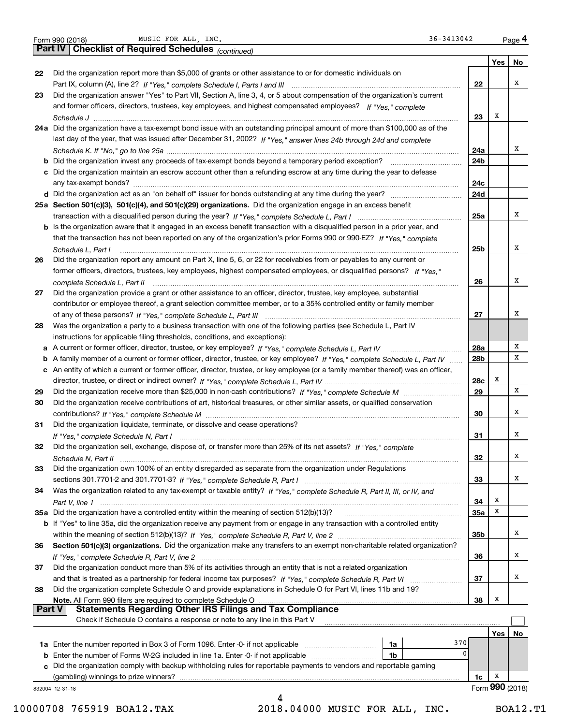| Form 990 (2018 |  |  |
|----------------|--|--|

Form 990 (2018) Page MUSIC FOR ALL, INC. 36-3413042

|               | $36 - 3413042$<br>MUSIC FOR ALL, INC.<br>Form 990 (2018)                                                                                                                                                                              |                   |                 | Page 4 |
|---------------|---------------------------------------------------------------------------------------------------------------------------------------------------------------------------------------------------------------------------------------|-------------------|-----------------|--------|
|               | Part IV   Checklist of Required Schedules (continued)                                                                                                                                                                                 |                   |                 |        |
|               |                                                                                                                                                                                                                                       |                   | Yes             | No     |
| 22            | Did the organization report more than \$5,000 of grants or other assistance to or for domestic individuals on                                                                                                                         |                   |                 |        |
|               |                                                                                                                                                                                                                                       | 22                |                 | х      |
| 23            | Did the organization answer "Yes" to Part VII, Section A, line 3, 4, or 5 about compensation of the organization's current                                                                                                            |                   |                 |        |
|               | and former officers, directors, trustees, key employees, and highest compensated employees? If "Yes," complete                                                                                                                        |                   |                 |        |
|               |                                                                                                                                                                                                                                       | 23                | X               |        |
|               | 24a Did the organization have a tax-exempt bond issue with an outstanding principal amount of more than \$100,000 as of the                                                                                                           |                   |                 |        |
|               | last day of the year, that was issued after December 31, 2002? If "Yes," answer lines 24b through 24d and complete                                                                                                                    |                   |                 |        |
|               |                                                                                                                                                                                                                                       | 24a               |                 | х      |
|               |                                                                                                                                                                                                                                       | 24b               |                 |        |
|               | c Did the organization maintain an escrow account other than a refunding escrow at any time during the year to defease                                                                                                                |                   |                 |        |
|               |                                                                                                                                                                                                                                       | 24c               |                 |        |
|               |                                                                                                                                                                                                                                       | 24d               |                 |        |
|               | 25a Section 501(c)(3), 501(c)(4), and 501(c)(29) organizations. Did the organization engage in an excess benefit                                                                                                                      |                   |                 |        |
|               |                                                                                                                                                                                                                                       | 25a               |                 | х      |
|               | b Is the organization aware that it engaged in an excess benefit transaction with a disqualified person in a prior year, and                                                                                                          |                   |                 |        |
|               | that the transaction has not been reported on any of the organization's prior Forms 990 or 990-EZ? If "Yes," complete                                                                                                                 |                   |                 | х      |
|               | Schedule L, Part I                                                                                                                                                                                                                    | 25 <sub>b</sub>   |                 |        |
| 26            | Did the organization report any amount on Part X, line 5, 6, or 22 for receivables from or payables to any current or                                                                                                                 |                   |                 |        |
|               | former officers, directors, trustees, key employees, highest compensated employees, or disqualified persons? If "Yes."                                                                                                                |                   |                 | х      |
|               |                                                                                                                                                                                                                                       | 26                |                 |        |
| 27            | Did the organization provide a grant or other assistance to an officer, director, trustee, key employee, substantial                                                                                                                  |                   |                 |        |
|               | contributor or employee thereof, a grant selection committee member, or to a 35% controlled entity or family member                                                                                                                   |                   |                 | х      |
|               |                                                                                                                                                                                                                                       | 27                |                 |        |
| 28            | Was the organization a party to a business transaction with one of the following parties (see Schedule L, Part IV                                                                                                                     |                   |                 |        |
|               | instructions for applicable filing thresholds, conditions, and exceptions):                                                                                                                                                           |                   |                 | х      |
| a             | A current or former officer, director, trustee, or key employee? If "Yes," complete Schedule L, Part IV<br>A family member of a current or former officer, director, trustee, or key employee? If "Yes," complete Schedule L, Part IV | <b>28a</b><br>28b |                 | х      |
| b             |                                                                                                                                                                                                                                       |                   |                 |        |
|               | c An entity of which a current or former officer, director, trustee, or key employee (or a family member thereof) was an officer,                                                                                                     | 28c               | х               |        |
| 29            |                                                                                                                                                                                                                                       | 29                |                 | х      |
| 30            | Did the organization receive contributions of art, historical treasures, or other similar assets, or qualified conservation                                                                                                           |                   |                 |        |
|               |                                                                                                                                                                                                                                       | 30                |                 | х      |
| 31            | Did the organization liquidate, terminate, or dissolve and cease operations?                                                                                                                                                          |                   |                 |        |
|               |                                                                                                                                                                                                                                       | 31                |                 | х      |
| 32            | Did the organization sell, exchange, dispose of, or transfer more than 25% of its net assets? If "Yes," complete                                                                                                                      |                   |                 |        |
|               |                                                                                                                                                                                                                                       | 32                |                 | x      |
| 33            | Did the organization own 100% of an entity disregarded as separate from the organization under Regulations                                                                                                                            |                   |                 |        |
|               |                                                                                                                                                                                                                                       | 33                |                 | х      |
| 34            | Was the organization related to any tax-exempt or taxable entity? If "Yes," complete Schedule R, Part II, III, or IV, and                                                                                                             |                   |                 |        |
|               |                                                                                                                                                                                                                                       | 34                | х               |        |
|               | 35a Did the organization have a controlled entity within the meaning of section 512(b)(13)?                                                                                                                                           | <b>35a</b>        | X               |        |
|               | b If "Yes" to line 35a, did the organization receive any payment from or engage in any transaction with a controlled entity                                                                                                           |                   |                 |        |
|               |                                                                                                                                                                                                                                       | 35b               |                 | х      |
| 36            | Section 501(c)(3) organizations. Did the organization make any transfers to an exempt non-charitable related organization?                                                                                                            |                   |                 |        |
|               |                                                                                                                                                                                                                                       | 36                |                 | х      |
| 37            | Did the organization conduct more than 5% of its activities through an entity that is not a related organization                                                                                                                      |                   |                 |        |
|               |                                                                                                                                                                                                                                       | 37                |                 | х      |
| 38            | Did the organization complete Schedule O and provide explanations in Schedule O for Part VI, lines 11b and 19?                                                                                                                        |                   |                 |        |
|               | Note. All Form 990 filers are required to complete Schedule O                                                                                                                                                                         | 38                | x               |        |
| <b>Part V</b> | <b>Statements Regarding Other IRS Filings and Tax Compliance</b>                                                                                                                                                                      |                   |                 |        |
|               | Check if Schedule O contains a response or note to any line in this Part V                                                                                                                                                            |                   |                 |        |
|               |                                                                                                                                                                                                                                       |                   | Yes             | No     |
|               | 370<br>1a                                                                                                                                                                                                                             |                   |                 |        |
|               | 0<br><b>b</b> Enter the number of Forms W-2G included in line 1a. Enter -0- if not applicable<br>1b                                                                                                                                   |                   |                 |        |
|               | c Did the organization comply with backup withholding rules for reportable payments to vendors and reportable gaming                                                                                                                  |                   |                 |        |
|               | (gambling) winnings to prize winners?                                                                                                                                                                                                 | 1c                | x               |        |
|               | 832004 12-31-18                                                                                                                                                                                                                       |                   | Form 990 (2018) |        |
|               | 4                                                                                                                                                                                                                                     |                   |                 |        |

10000708 765919 BOA12.TAX 2018.04000 MUSIC FOR ALL, INC. BOA12.T1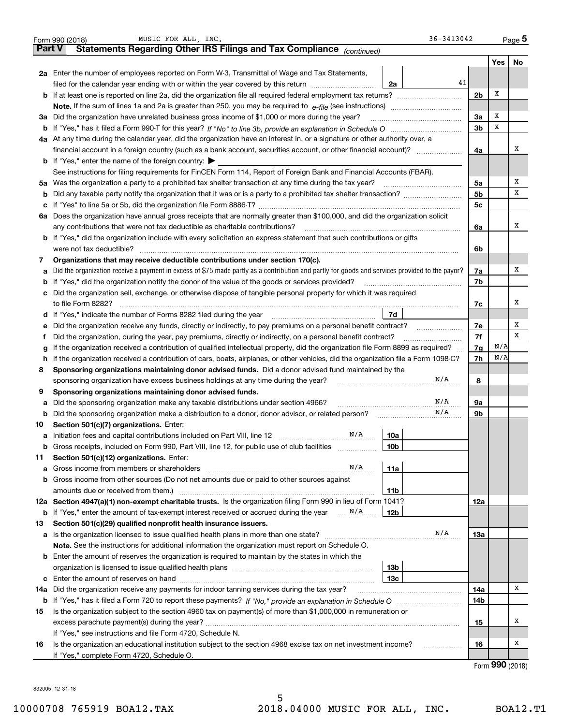|        | 36-3413042<br>MUSIC FOR ALL, INC.<br>Form 990 (2018)                                                                                            |                |            | $_{\text{Page}}$ 5 |  |  |  |
|--------|-------------------------------------------------------------------------------------------------------------------------------------------------|----------------|------------|--------------------|--|--|--|
| Part V | Statements Regarding Other IRS Filings and Tax Compliance (continued)                                                                           |                |            |                    |  |  |  |
|        |                                                                                                                                                 |                | <b>Yes</b> | No                 |  |  |  |
|        | 2a Enter the number of employees reported on Form W-3, Transmittal of Wage and Tax Statements,                                                  |                |            |                    |  |  |  |
|        | 41<br>filed for the calendar year ending with or within the year covered by this return<br>2a                                                   |                |            |                    |  |  |  |
|        | <b>b</b> If at least one is reported on line 2a, did the organization file all required federal employment tax returns?                         | 2 <sub>b</sub> | х          |                    |  |  |  |
|        | <b>Note.</b> If the sum of lines 1a and 2a is greater than 250, you may be required to $e$ -file (see instructions) <i>marrouum</i> manu-       |                |            |                    |  |  |  |
|        | 3a Did the organization have unrelated business gross income of \$1,000 or more during the year?                                                | 3a             | х          |                    |  |  |  |
|        |                                                                                                                                                 | 3 <sub>b</sub> | х          |                    |  |  |  |
|        | 4a At any time during the calendar year, did the organization have an interest in, or a signature or other authority over, a                    |                |            |                    |  |  |  |
|        |                                                                                                                                                 | 4a             |            | х                  |  |  |  |
|        | <b>b</b> If "Yes," enter the name of the foreign country: $\blacktriangleright$                                                                 |                |            |                    |  |  |  |
|        | See instructions for filing requirements for FinCEN Form 114, Report of Foreign Bank and Financial Accounts (FBAR).                             |                |            |                    |  |  |  |
|        | 5a Was the organization a party to a prohibited tax shelter transaction at any time during the tax year?                                        | 5a             |            | х                  |  |  |  |
|        |                                                                                                                                                 | 5 <sub>b</sub> |            | х                  |  |  |  |
|        |                                                                                                                                                 | 5c             |            |                    |  |  |  |
|        | 6a Does the organization have annual gross receipts that are normally greater than \$100,000, and did the organization solicit                  |                |            |                    |  |  |  |
|        | any contributions that were not tax deductible as charitable contributions?                                                                     | 6a             |            | x                  |  |  |  |
|        | <b>b</b> If "Yes," did the organization include with every solicitation an express statement that such contributions or gifts                   |                |            |                    |  |  |  |
|        | were not tax deductible?                                                                                                                        | 6b             |            |                    |  |  |  |
| 7      | Organizations that may receive deductible contributions under section 170(c).                                                                   |                |            |                    |  |  |  |
| а      | Did the organization receive a payment in excess of \$75 made partly as a contribution and partly for goods and services provided to the payor? | 7a             |            | x                  |  |  |  |
|        | <b>b</b> If "Yes," did the organization notify the donor of the value of the goods or services provided?                                        | 7b             |            |                    |  |  |  |
|        | c Did the organization sell, exchange, or otherwise dispose of tangible personal property for which it was required                             |                |            |                    |  |  |  |
|        | to file Form 8282?                                                                                                                              | 7с             |            | x                  |  |  |  |
|        | 7d                                                                                                                                              |                |            |                    |  |  |  |
| е      | Did the organization receive any funds, directly or indirectly, to pay premiums on a personal benefit contract?                                 | 7e             |            | Х                  |  |  |  |
| Ť      | Did the organization, during the year, pay premiums, directly or indirectly, on a personal benefit contract?                                    | 7f             |            | х                  |  |  |  |
| g      | If the organization received a contribution of qualified intellectual property, did the organization file Form 8899 as required?                |                |            |                    |  |  |  |
| h.     | If the organization received a contribution of cars, boats, airplanes, or other vehicles, did the organization file a Form 1098-C?              |                |            |                    |  |  |  |
| 8      | Sponsoring organizations maintaining donor advised funds. Did a donor advised fund maintained by the                                            |                |            |                    |  |  |  |
|        | N/A<br>sponsoring organization have excess business holdings at any time during the year?                                                       | 8              |            |                    |  |  |  |
| 9      | Sponsoring organizations maintaining donor advised funds.                                                                                       |                |            |                    |  |  |  |
| а      | N/A<br>Did the sponsoring organization make any taxable distributions under section 4966?                                                       | 9а             |            |                    |  |  |  |
| b      | N/A<br>Did the sponsoring organization make a distribution to a donor, donor advisor, or related person?                                        | 9b             |            |                    |  |  |  |
| 10     | Section 501(c)(7) organizations. Enter:                                                                                                         |                |            |                    |  |  |  |
|        | N/A<br>10a<br>a Initiation fees and capital contributions included on Part VIII, line 12                                                        |                |            |                    |  |  |  |
|        | <b>b</b> Gross receipts, included on Form 990, Part VIII, line 12, for public use of club facilities <i>manamerous</i><br>10b                   |                |            |                    |  |  |  |
| 11     | Section 501(c)(12) organizations. Enter:                                                                                                        |                |            |                    |  |  |  |
| а      | N/A<br>11a<br>Gross income from members or shareholders [1111] [11] Cross income from members or shareholders [11] [11] [11]                    |                |            |                    |  |  |  |
|        | <b>b</b> Gross income from other sources (Do not net amounts due or paid to other sources against                                               |                |            |                    |  |  |  |
|        | amounts due or received from them.)<br>11b                                                                                                      |                |            |                    |  |  |  |
|        | 12a Section 4947(a)(1) non-exempt charitable trusts. Is the organization filing Form 990 in lieu of Form 1041?                                  | 12a            |            |                    |  |  |  |
|        | <b>b</b> If "Yes," enter the amount of tax-exempt interest received or accrued during the year $\ldots$ $\frac{N}{A}$<br>12b                    |                |            |                    |  |  |  |
| 13     | Section 501(c)(29) qualified nonprofit health insurance issuers.                                                                                |                |            |                    |  |  |  |
|        | N/A                                                                                                                                             | 13а            |            |                    |  |  |  |
|        | Note. See the instructions for additional information the organization must report on Schedule O.                                               |                |            |                    |  |  |  |
|        | <b>b</b> Enter the amount of reserves the organization is required to maintain by the states in which the                                       |                |            |                    |  |  |  |
|        | 13b                                                                                                                                             |                |            |                    |  |  |  |
|        | 13с                                                                                                                                             |                |            |                    |  |  |  |
| 14а    | Did the organization receive any payments for indoor tanning services during the tax year?                                                      | 14a            |            | Χ                  |  |  |  |
|        |                                                                                                                                                 | 14b            |            |                    |  |  |  |
| 15     | Is the organization subject to the section 4960 tax on payment(s) of more than \$1,000,000 in remuneration or                                   |                |            |                    |  |  |  |
|        |                                                                                                                                                 | 15             |            | Х                  |  |  |  |
|        | If "Yes," see instructions and file Form 4720, Schedule N.                                                                                      |                |            |                    |  |  |  |
| 16     | Is the organization an educational institution subject to the section 4968 excise tax on net investment income?<br>.                            | 16             |            | х                  |  |  |  |
|        | If "Yes," complete Form 4720, Schedule O.                                                                                                       |                |            |                    |  |  |  |
|        |                                                                                                                                                 |                |            | $000 \text{ days}$ |  |  |  |

832005 12-31-18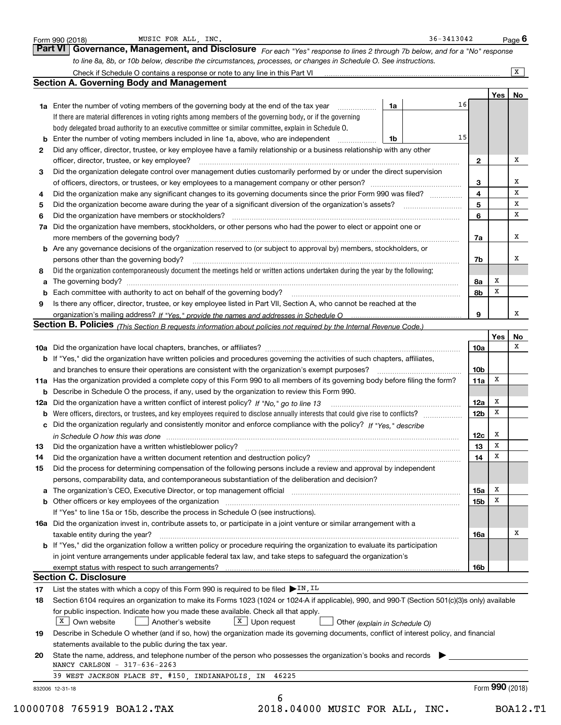|          | Check if Schedule O contains a response or note to any line in this Part VI                                                                                                                                                                                 |                        |                                                                                                                                           | $\overline{X}$                                          |  |  |  |  |  |  |  |  |
|----------|-------------------------------------------------------------------------------------------------------------------------------------------------------------------------------------------------------------------------------------------------------------|------------------------|-------------------------------------------------------------------------------------------------------------------------------------------|---------------------------------------------------------|--|--|--|--|--|--|--|--|
|          | <b>Section A. Governing Body and Management</b>                                                                                                                                                                                                             |                        |                                                                                                                                           |                                                         |  |  |  |  |  |  |  |  |
|          |                                                                                                                                                                                                                                                             |                        | Yes                                                                                                                                       | No                                                      |  |  |  |  |  |  |  |  |
|          | 1a<br><b>1a</b> Enter the number of voting members of the governing body at the end of the tax year <i>manumum</i>                                                                                                                                          | 16                     |                                                                                                                                           |                                                         |  |  |  |  |  |  |  |  |
|          | If there are material differences in voting rights among members of the governing body, or if the governing                                                                                                                                                 |                        |                                                                                                                                           |                                                         |  |  |  |  |  |  |  |  |
|          | body delegated broad authority to an executive committee or similar committee, explain in Schedule O.                                                                                                                                                       |                        |                                                                                                                                           |                                                         |  |  |  |  |  |  |  |  |
| b        | Enter the number of voting members included in line 1a, above, who are independent <i>manumum</i><br>1b                                                                                                                                                     | 15                     |                                                                                                                                           |                                                         |  |  |  |  |  |  |  |  |
| 2        | Did any officer, director, trustee, or key employee have a family relationship or a business relationship with any other                                                                                                                                    |                        |                                                                                                                                           |                                                         |  |  |  |  |  |  |  |  |
|          |                                                                                                                                                                                                                                                             | $\mathbf{2}$           |                                                                                                                                           | x                                                       |  |  |  |  |  |  |  |  |
| 3        | Did the organization delegate control over management duties customarily performed by or under the direct supervision                                                                                                                                       |                        |                                                                                                                                           |                                                         |  |  |  |  |  |  |  |  |
|          |                                                                                                                                                                                                                                                             | 3                      |                                                                                                                                           | x                                                       |  |  |  |  |  |  |  |  |
| 4        | Did the organization make any significant changes to its governing documents since the prior Form 990 was filed?                                                                                                                                            | 4                      |                                                                                                                                           | X                                                       |  |  |  |  |  |  |  |  |
| 5        |                                                                                                                                                                                                                                                             | 5                      |                                                                                                                                           | $\mathbf x$                                             |  |  |  |  |  |  |  |  |
| 6        | Did the organization have members or stockholders?                                                                                                                                                                                                          | 6                      |                                                                                                                                           | X                                                       |  |  |  |  |  |  |  |  |
| 7a       | Did the organization have members, stockholders, or other persons who had the power to elect or appoint one or                                                                                                                                              |                        |                                                                                                                                           |                                                         |  |  |  |  |  |  |  |  |
|          |                                                                                                                                                                                                                                                             | 7a                     |                                                                                                                                           | x                                                       |  |  |  |  |  |  |  |  |
|          | <b>b</b> Are any governance decisions of the organization reserved to (or subject to approval by) members, stockholders, or                                                                                                                                 |                        |                                                                                                                                           |                                                         |  |  |  |  |  |  |  |  |
|          | persons other than the governing body?                                                                                                                                                                                                                      | 7b                     |                                                                                                                                           | х                                                       |  |  |  |  |  |  |  |  |
| 8        | Did the organization contemporaneously document the meetings held or written actions undertaken during the year by the following:                                                                                                                           |                        |                                                                                                                                           |                                                         |  |  |  |  |  |  |  |  |
| а        |                                                                                                                                                                                                                                                             | 8a                     | х                                                                                                                                         |                                                         |  |  |  |  |  |  |  |  |
|          |                                                                                                                                                                                                                                                             | 8b                     | х                                                                                                                                         |                                                         |  |  |  |  |  |  |  |  |
| 9        | Is there any officer, director, trustee, or key employee listed in Part VII, Section A, who cannot be reached at the                                                                                                                                        |                        |                                                                                                                                           |                                                         |  |  |  |  |  |  |  |  |
|          |                                                                                                                                                                                                                                                             | 9                      |                                                                                                                                           | х                                                       |  |  |  |  |  |  |  |  |
|          | Section B. Policies (This Section B requests information about policies not required by the Internal Revenue Code.)                                                                                                                                         |                        |                                                                                                                                           |                                                         |  |  |  |  |  |  |  |  |
|          |                                                                                                                                                                                                                                                             |                        | Yes                                                                                                                                       | No<br>х                                                 |  |  |  |  |  |  |  |  |
|          |                                                                                                                                                                                                                                                             | 10a                    |                                                                                                                                           |                                                         |  |  |  |  |  |  |  |  |
|          | b If "Yes," did the organization have written policies and procedures governing the activities of such chapters, affiliates,                                                                                                                                |                        |                                                                                                                                           |                                                         |  |  |  |  |  |  |  |  |
|          | and branches to ensure their operations are consistent with the organization's exempt purposes?                                                                                                                                                             | 10 <sub>b</sub>        | х                                                                                                                                         |                                                         |  |  |  |  |  |  |  |  |
|          | 11a Has the organization provided a complete copy of this Form 990 to all members of its governing body before filing the form?                                                                                                                             | 11a                    |                                                                                                                                           |                                                         |  |  |  |  |  |  |  |  |
|          | <b>b</b> Describe in Schedule O the process, if any, used by the organization to review this Form 990.                                                                                                                                                      |                        | x                                                                                                                                         |                                                         |  |  |  |  |  |  |  |  |
|          |                                                                                                                                                                                                                                                             | 12a<br>12 <sub>b</sub> | x                                                                                                                                         |                                                         |  |  |  |  |  |  |  |  |
| b        | Were officers, directors, or trustees, and key employees required to disclose annually interests that could give rise to conflicts?<br>c Did the organization regularly and consistently monitor and enforce compliance with the policy? If "Yes," describe |                        |                                                                                                                                           |                                                         |  |  |  |  |  |  |  |  |
|          |                                                                                                                                                                                                                                                             | 12c                    | х                                                                                                                                         |                                                         |  |  |  |  |  |  |  |  |
|          | in Schedule O how this was done manufactured and continuum control of the Schedule O how this was done manufactured and continuum control of the Schedule O how this was done                                                                               |                        | X                                                                                                                                         |                                                         |  |  |  |  |  |  |  |  |
| 13<br>14 | Did the organization have a written document retention and destruction policy? manufactured and the organization have a written document retention and destruction policy?                                                                                  | 13<br>14               | х                                                                                                                                         |                                                         |  |  |  |  |  |  |  |  |
| 15       | Did the process for determining compensation of the following persons include a review and approval by independent                                                                                                                                          |                        |                                                                                                                                           |                                                         |  |  |  |  |  |  |  |  |
|          | persons, comparability data, and contemporaneous substantiation of the deliberation and decision?                                                                                                                                                           |                        |                                                                                                                                           |                                                         |  |  |  |  |  |  |  |  |
| а        | The organization's CEO, Executive Director, or top management official manufactured content content of the organization's CEO, Executive Director, or top management official                                                                               | 15a                    | х                                                                                                                                         |                                                         |  |  |  |  |  |  |  |  |
|          |                                                                                                                                                                                                                                                             | 15b                    | х                                                                                                                                         |                                                         |  |  |  |  |  |  |  |  |
|          | If "Yes" to line 15a or 15b, describe the process in Schedule O (see instructions).                                                                                                                                                                         |                        |                                                                                                                                           |                                                         |  |  |  |  |  |  |  |  |
|          | 16a Did the organization invest in, contribute assets to, or participate in a joint venture or similar arrangement with a                                                                                                                                   |                        |                                                                                                                                           |                                                         |  |  |  |  |  |  |  |  |
|          | taxable entity during the year?                                                                                                                                                                                                                             | 16a                    |                                                                                                                                           | х                                                       |  |  |  |  |  |  |  |  |
|          | <b>b</b> If "Yes," did the organization follow a written policy or procedure requiring the organization to evaluate its participation                                                                                                                       |                        |                                                                                                                                           |                                                         |  |  |  |  |  |  |  |  |
|          | in joint venture arrangements under applicable federal tax law, and take steps to safeguard the organization's                                                                                                                                              |                        |                                                                                                                                           |                                                         |  |  |  |  |  |  |  |  |
|          | exempt status with respect to such arrangements?                                                                                                                                                                                                            | 16b                    |                                                                                                                                           |                                                         |  |  |  |  |  |  |  |  |
|          | <b>Section C. Disclosure</b>                                                                                                                                                                                                                                |                        |                                                                                                                                           |                                                         |  |  |  |  |  |  |  |  |
|          | List the states with which a copy of this Form 990 is required to be filed $\blacktriangleright$ IN, IL                                                                                                                                                     |                        |                                                                                                                                           |                                                         |  |  |  |  |  |  |  |  |
|          | Section 6104 requires an organization to make its Forms 1023 (1024 or 1024-A if applicable), 990, and 990-T (Section 501(c)(3)s only) available                                                                                                             |                        |                                                                                                                                           |                                                         |  |  |  |  |  |  |  |  |
| 17       |                                                                                                                                                                                                                                                             |                        |                                                                                                                                           |                                                         |  |  |  |  |  |  |  |  |
| 18       |                                                                                                                                                                                                                                                             |                        |                                                                                                                                           |                                                         |  |  |  |  |  |  |  |  |
|          | for public inspection. Indicate how you made these available. Check all that apply.                                                                                                                                                                         |                        |                                                                                                                                           |                                                         |  |  |  |  |  |  |  |  |
|          | $X$ Own website<br>$X$ Upon request<br>Another's website<br>Other (explain in Schedule O)                                                                                                                                                                   |                        | Describe in Schedule O whether (and if so, how) the organization made its governing documents, conflict of interest policy, and financial |                                                         |  |  |  |  |  |  |  |  |
| 19       |                                                                                                                                                                                                                                                             |                        |                                                                                                                                           | statements available to the public during the tax year. |  |  |  |  |  |  |  |  |
|          |                                                                                                                                                                                                                                                             |                        |                                                                                                                                           |                                                         |  |  |  |  |  |  |  |  |
| 20       | State the name, address, and telephone number of the person who possesses the organization's books and records<br>NANCY CARLSON - 317-636-2263                                                                                                              |                        |                                                                                                                                           |                                                         |  |  |  |  |  |  |  |  |
|          | 39 WEST JACKSON PLACE ST. #150, INDIANAPOLIS, IN<br>46225                                                                                                                                                                                                   |                        |                                                                                                                                           |                                                         |  |  |  |  |  |  |  |  |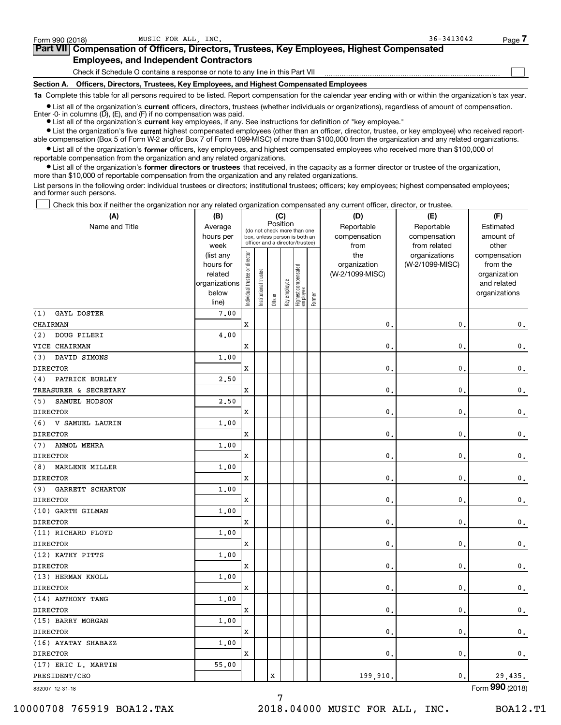$\mathcal{L}^{\text{max}}$ 

| orm 990 (2018) <sup>.</sup> | MUSIC FOR ALL INC.                                                                         | $36 - 3413042$ | Page 4 |
|-----------------------------|--------------------------------------------------------------------------------------------|----------------|--------|
|                             | Part VII Compensation of Officers, Directors, Trustees, Key Employees, Highest Compensated |                |        |
|                             | <b>Employees, and Independent Contractors</b>                                              |                |        |

Check if Schedule O contains a response or note to any line in this Part VII

**Section A. Officers, Directors, Trustees, Key Employees, and Highest Compensated Employees**

**1a**  Complete this table for all persons required to be listed. Report compensation for the calendar year ending with or within the organization's tax year.

**•** List all of the organization's current officers, directors, trustees (whether individuals or organizations), regardless of amount of compensation.

● List all of the organization's **current** key employees, if any. See instructions for definition of "key employee." Enter -0- in columns  $(D)$ ,  $(E)$ , and  $(F)$  if no compensation was paid.

**•** List the organization's five current highest compensated employees (other than an officer, director, trustee, or key employee) who received report-

 $\bullet$  List all of the organization's **former** officers, key employees, and highest compensated employees who received more than \$100,000 of able compensation (Box 5 of Form W-2 and/or Box 7 of Form 1099-MISC) of more than \$100,000 from the organization and any related organizations.

reportable compensation from the organization and any related organizations.

**•** List all of the organization's former directors or trustees that received, in the capacity as a former director or trustee of the organization, more than \$10,000 of reportable compensation from the organization and any related organizations.

List persons in the following order: individual trustees or directors; institutional trustees; officers; key employees; highest compensated employees; and former such persons.

Check this box if neither the organization nor any related organization compensated any current officer, director, or trustee.  $\mathcal{L}^{\text{max}}$ 

| Reportable<br>Name and Title<br>Average<br>Reportable<br>Estimated<br>(do not check more than one<br>hours per<br>compensation<br>compensation<br>amount of<br>box, unless person is both an<br>officer and a director/trustee)<br>week<br>from related<br>other<br>from<br>Individual trustee or director<br>the<br>(list any<br>organizations<br>compensation<br>hours for<br>organization<br>(W-2/1099-MISC)<br>from the<br>  Highest compensated<br>  employee<br>Institutional trustee<br>related<br>(W-2/1099-MISC)<br>organization<br>Key employee<br>organizations<br>and related<br>below<br>organizations<br>Former<br>Officer<br>line)<br>GAYL DOSTER<br>7.00<br>x<br>0.<br>$\mathbf{0}$ .<br>0.<br>(2)<br>DOUG PILERI<br>4.00<br>X<br>0.<br>$\mathbf{0}$ .<br>0.<br>1.00<br>DAVID SIMONS<br>(3)<br>$\mathbf{0}$ .<br>$\mathbf{0}$ .<br>x<br>$\mathbf 0$ .<br>PATRICK BURLEY<br>2.50<br>(4)<br>TREASURER & SECRETARY<br>$\mathbf{0}$ .<br>$\mathbf{0}$ .<br>x<br>0.<br>2.50<br>SAMUEL HODSON<br>(5)<br>x<br>0.<br>$\mathbf{0}$ .<br>$\mathbf 0$ .<br>1.00<br>(6) V SAMUEL LAURIN<br>Χ<br>$\mathbf{0}$ .<br>$\mathbf{0}$<br>$\mathbf 0$ .<br>ANMOL MEHRA<br>1.00<br>$\mathbf{0}$<br>$\mathbf{0}$ .<br>$\mathbf 0$ .<br>x<br>MARLENE MILLER<br>1.00<br>(8)<br>X<br>$\mathbf{0}$ .<br>$\mathbf{0}$ .<br>$\mathbf 0$ .<br>GARRETT SCHARTON<br>1.00<br>(9)<br>X<br>$\mathbf{0}$ .<br>$\mathbf{0}$<br>$\mathbf 0$ .<br>(10) GARTH GILMAN<br>1.00<br>$\mathbf{0}$ .<br>x<br>0<br>0.<br>1.00<br>x<br>$\mathbf{0}$<br>$\mathbf{0}$ .<br>$\mathbf 0$ .<br>(12) KATHY PITTS<br>1.00<br>x<br>$\mathbf{0}$<br>$\mathbf{0}$ .<br>$\mathbf 0$ .<br>(13) HERMAN KNOLL<br>1.00<br>x<br>$\mathbf{0}$ .<br>$\mathbf{0}$ .<br>0.<br>(14) ANTHONY TANG<br>1.00<br>x<br>$\mathbf{0}$ .<br>$\mathbf{0}$ .<br>$\mathbf 0$ .<br>1,00<br>x<br>0.<br>$\mathbf{0}$ .<br>$\mathbf{0}$ .<br>(16) AYATAY SHABAZZ<br>1.00<br>x<br>$\mathbf{0}$ .<br>$\mathbf{0}$ .<br>$\mathbf{0}$ .<br>(17) ERIC L. MARTIN<br>55.00<br>X<br>199,910.<br>0.<br>29,435. | (A)                | (C)<br>(B) |  |  |  |  |  | (D) | (E) | (F) |
|-----------------------------------------------------------------------------------------------------------------------------------------------------------------------------------------------------------------------------------------------------------------------------------------------------------------------------------------------------------------------------------------------------------------------------------------------------------------------------------------------------------------------------------------------------------------------------------------------------------------------------------------------------------------------------------------------------------------------------------------------------------------------------------------------------------------------------------------------------------------------------------------------------------------------------------------------------------------------------------------------------------------------------------------------------------------------------------------------------------------------------------------------------------------------------------------------------------------------------------------------------------------------------------------------------------------------------------------------------------------------------------------------------------------------------------------------------------------------------------------------------------------------------------------------------------------------------------------------------------------------------------------------------------------------------------------------------------------------------------------------------------------------------------------------------------------------------------------------------------------------------------------------------------------------------------------------------------------------------------------------------------------------------------|--------------------|------------|--|--|--|--|--|-----|-----|-----|
|                                                                                                                                                                                                                                                                                                                                                                                                                                                                                                                                                                                                                                                                                                                                                                                                                                                                                                                                                                                                                                                                                                                                                                                                                                                                                                                                                                                                                                                                                                                                                                                                                                                                                                                                                                                                                                                                                                                                                                                                                                   |                    | Position   |  |  |  |  |  |     |     |     |
|                                                                                                                                                                                                                                                                                                                                                                                                                                                                                                                                                                                                                                                                                                                                                                                                                                                                                                                                                                                                                                                                                                                                                                                                                                                                                                                                                                                                                                                                                                                                                                                                                                                                                                                                                                                                                                                                                                                                                                                                                                   |                    |            |  |  |  |  |  |     |     |     |
|                                                                                                                                                                                                                                                                                                                                                                                                                                                                                                                                                                                                                                                                                                                                                                                                                                                                                                                                                                                                                                                                                                                                                                                                                                                                                                                                                                                                                                                                                                                                                                                                                                                                                                                                                                                                                                                                                                                                                                                                                                   |                    |            |  |  |  |  |  |     |     |     |
|                                                                                                                                                                                                                                                                                                                                                                                                                                                                                                                                                                                                                                                                                                                                                                                                                                                                                                                                                                                                                                                                                                                                                                                                                                                                                                                                                                                                                                                                                                                                                                                                                                                                                                                                                                                                                                                                                                                                                                                                                                   |                    |            |  |  |  |  |  |     |     |     |
|                                                                                                                                                                                                                                                                                                                                                                                                                                                                                                                                                                                                                                                                                                                                                                                                                                                                                                                                                                                                                                                                                                                                                                                                                                                                                                                                                                                                                                                                                                                                                                                                                                                                                                                                                                                                                                                                                                                                                                                                                                   |                    |            |  |  |  |  |  |     |     |     |
|                                                                                                                                                                                                                                                                                                                                                                                                                                                                                                                                                                                                                                                                                                                                                                                                                                                                                                                                                                                                                                                                                                                                                                                                                                                                                                                                                                                                                                                                                                                                                                                                                                                                                                                                                                                                                                                                                                                                                                                                                                   |                    |            |  |  |  |  |  |     |     |     |
|                                                                                                                                                                                                                                                                                                                                                                                                                                                                                                                                                                                                                                                                                                                                                                                                                                                                                                                                                                                                                                                                                                                                                                                                                                                                                                                                                                                                                                                                                                                                                                                                                                                                                                                                                                                                                                                                                                                                                                                                                                   |                    |            |  |  |  |  |  |     |     |     |
|                                                                                                                                                                                                                                                                                                                                                                                                                                                                                                                                                                                                                                                                                                                                                                                                                                                                                                                                                                                                                                                                                                                                                                                                                                                                                                                                                                                                                                                                                                                                                                                                                                                                                                                                                                                                                                                                                                                                                                                                                                   |                    |            |  |  |  |  |  |     |     |     |
|                                                                                                                                                                                                                                                                                                                                                                                                                                                                                                                                                                                                                                                                                                                                                                                                                                                                                                                                                                                                                                                                                                                                                                                                                                                                                                                                                                                                                                                                                                                                                                                                                                                                                                                                                                                                                                                                                                                                                                                                                                   | (1)                |            |  |  |  |  |  |     |     |     |
|                                                                                                                                                                                                                                                                                                                                                                                                                                                                                                                                                                                                                                                                                                                                                                                                                                                                                                                                                                                                                                                                                                                                                                                                                                                                                                                                                                                                                                                                                                                                                                                                                                                                                                                                                                                                                                                                                                                                                                                                                                   | CHAIRMAN           |            |  |  |  |  |  |     |     |     |
|                                                                                                                                                                                                                                                                                                                                                                                                                                                                                                                                                                                                                                                                                                                                                                                                                                                                                                                                                                                                                                                                                                                                                                                                                                                                                                                                                                                                                                                                                                                                                                                                                                                                                                                                                                                                                                                                                                                                                                                                                                   |                    |            |  |  |  |  |  |     |     |     |
|                                                                                                                                                                                                                                                                                                                                                                                                                                                                                                                                                                                                                                                                                                                                                                                                                                                                                                                                                                                                                                                                                                                                                                                                                                                                                                                                                                                                                                                                                                                                                                                                                                                                                                                                                                                                                                                                                                                                                                                                                                   | VICE CHAIRMAN      |            |  |  |  |  |  |     |     |     |
|                                                                                                                                                                                                                                                                                                                                                                                                                                                                                                                                                                                                                                                                                                                                                                                                                                                                                                                                                                                                                                                                                                                                                                                                                                                                                                                                                                                                                                                                                                                                                                                                                                                                                                                                                                                                                                                                                                                                                                                                                                   |                    |            |  |  |  |  |  |     |     |     |
|                                                                                                                                                                                                                                                                                                                                                                                                                                                                                                                                                                                                                                                                                                                                                                                                                                                                                                                                                                                                                                                                                                                                                                                                                                                                                                                                                                                                                                                                                                                                                                                                                                                                                                                                                                                                                                                                                                                                                                                                                                   | <b>DIRECTOR</b>    |            |  |  |  |  |  |     |     |     |
|                                                                                                                                                                                                                                                                                                                                                                                                                                                                                                                                                                                                                                                                                                                                                                                                                                                                                                                                                                                                                                                                                                                                                                                                                                                                                                                                                                                                                                                                                                                                                                                                                                                                                                                                                                                                                                                                                                                                                                                                                                   |                    |            |  |  |  |  |  |     |     |     |
|                                                                                                                                                                                                                                                                                                                                                                                                                                                                                                                                                                                                                                                                                                                                                                                                                                                                                                                                                                                                                                                                                                                                                                                                                                                                                                                                                                                                                                                                                                                                                                                                                                                                                                                                                                                                                                                                                                                                                                                                                                   |                    |            |  |  |  |  |  |     |     |     |
|                                                                                                                                                                                                                                                                                                                                                                                                                                                                                                                                                                                                                                                                                                                                                                                                                                                                                                                                                                                                                                                                                                                                                                                                                                                                                                                                                                                                                                                                                                                                                                                                                                                                                                                                                                                                                                                                                                                                                                                                                                   |                    |            |  |  |  |  |  |     |     |     |
|                                                                                                                                                                                                                                                                                                                                                                                                                                                                                                                                                                                                                                                                                                                                                                                                                                                                                                                                                                                                                                                                                                                                                                                                                                                                                                                                                                                                                                                                                                                                                                                                                                                                                                                                                                                                                                                                                                                                                                                                                                   | <b>DIRECTOR</b>    |            |  |  |  |  |  |     |     |     |
|                                                                                                                                                                                                                                                                                                                                                                                                                                                                                                                                                                                                                                                                                                                                                                                                                                                                                                                                                                                                                                                                                                                                                                                                                                                                                                                                                                                                                                                                                                                                                                                                                                                                                                                                                                                                                                                                                                                                                                                                                                   |                    |            |  |  |  |  |  |     |     |     |
|                                                                                                                                                                                                                                                                                                                                                                                                                                                                                                                                                                                                                                                                                                                                                                                                                                                                                                                                                                                                                                                                                                                                                                                                                                                                                                                                                                                                                                                                                                                                                                                                                                                                                                                                                                                                                                                                                                                                                                                                                                   | <b>DIRECTOR</b>    |            |  |  |  |  |  |     |     |     |
|                                                                                                                                                                                                                                                                                                                                                                                                                                                                                                                                                                                                                                                                                                                                                                                                                                                                                                                                                                                                                                                                                                                                                                                                                                                                                                                                                                                                                                                                                                                                                                                                                                                                                                                                                                                                                                                                                                                                                                                                                                   | (7)                |            |  |  |  |  |  |     |     |     |
|                                                                                                                                                                                                                                                                                                                                                                                                                                                                                                                                                                                                                                                                                                                                                                                                                                                                                                                                                                                                                                                                                                                                                                                                                                                                                                                                                                                                                                                                                                                                                                                                                                                                                                                                                                                                                                                                                                                                                                                                                                   | <b>DIRECTOR</b>    |            |  |  |  |  |  |     |     |     |
|                                                                                                                                                                                                                                                                                                                                                                                                                                                                                                                                                                                                                                                                                                                                                                                                                                                                                                                                                                                                                                                                                                                                                                                                                                                                                                                                                                                                                                                                                                                                                                                                                                                                                                                                                                                                                                                                                                                                                                                                                                   |                    |            |  |  |  |  |  |     |     |     |
|                                                                                                                                                                                                                                                                                                                                                                                                                                                                                                                                                                                                                                                                                                                                                                                                                                                                                                                                                                                                                                                                                                                                                                                                                                                                                                                                                                                                                                                                                                                                                                                                                                                                                                                                                                                                                                                                                                                                                                                                                                   | <b>DIRECTOR</b>    |            |  |  |  |  |  |     |     |     |
|                                                                                                                                                                                                                                                                                                                                                                                                                                                                                                                                                                                                                                                                                                                                                                                                                                                                                                                                                                                                                                                                                                                                                                                                                                                                                                                                                                                                                                                                                                                                                                                                                                                                                                                                                                                                                                                                                                                                                                                                                                   |                    |            |  |  |  |  |  |     |     |     |
|                                                                                                                                                                                                                                                                                                                                                                                                                                                                                                                                                                                                                                                                                                                                                                                                                                                                                                                                                                                                                                                                                                                                                                                                                                                                                                                                                                                                                                                                                                                                                                                                                                                                                                                                                                                                                                                                                                                                                                                                                                   | <b>DIRECTOR</b>    |            |  |  |  |  |  |     |     |     |
|                                                                                                                                                                                                                                                                                                                                                                                                                                                                                                                                                                                                                                                                                                                                                                                                                                                                                                                                                                                                                                                                                                                                                                                                                                                                                                                                                                                                                                                                                                                                                                                                                                                                                                                                                                                                                                                                                                                                                                                                                                   |                    |            |  |  |  |  |  |     |     |     |
|                                                                                                                                                                                                                                                                                                                                                                                                                                                                                                                                                                                                                                                                                                                                                                                                                                                                                                                                                                                                                                                                                                                                                                                                                                                                                                                                                                                                                                                                                                                                                                                                                                                                                                                                                                                                                                                                                                                                                                                                                                   | <b>DIRECTOR</b>    |            |  |  |  |  |  |     |     |     |
|                                                                                                                                                                                                                                                                                                                                                                                                                                                                                                                                                                                                                                                                                                                                                                                                                                                                                                                                                                                                                                                                                                                                                                                                                                                                                                                                                                                                                                                                                                                                                                                                                                                                                                                                                                                                                                                                                                                                                                                                                                   | (11) RICHARD FLOYD |            |  |  |  |  |  |     |     |     |
|                                                                                                                                                                                                                                                                                                                                                                                                                                                                                                                                                                                                                                                                                                                                                                                                                                                                                                                                                                                                                                                                                                                                                                                                                                                                                                                                                                                                                                                                                                                                                                                                                                                                                                                                                                                                                                                                                                                                                                                                                                   | <b>DIRECTOR</b>    |            |  |  |  |  |  |     |     |     |
|                                                                                                                                                                                                                                                                                                                                                                                                                                                                                                                                                                                                                                                                                                                                                                                                                                                                                                                                                                                                                                                                                                                                                                                                                                                                                                                                                                                                                                                                                                                                                                                                                                                                                                                                                                                                                                                                                                                                                                                                                                   |                    |            |  |  |  |  |  |     |     |     |
|                                                                                                                                                                                                                                                                                                                                                                                                                                                                                                                                                                                                                                                                                                                                                                                                                                                                                                                                                                                                                                                                                                                                                                                                                                                                                                                                                                                                                                                                                                                                                                                                                                                                                                                                                                                                                                                                                                                                                                                                                                   | <b>DIRECTOR</b>    |            |  |  |  |  |  |     |     |     |
|                                                                                                                                                                                                                                                                                                                                                                                                                                                                                                                                                                                                                                                                                                                                                                                                                                                                                                                                                                                                                                                                                                                                                                                                                                                                                                                                                                                                                                                                                                                                                                                                                                                                                                                                                                                                                                                                                                                                                                                                                                   |                    |            |  |  |  |  |  |     |     |     |
|                                                                                                                                                                                                                                                                                                                                                                                                                                                                                                                                                                                                                                                                                                                                                                                                                                                                                                                                                                                                                                                                                                                                                                                                                                                                                                                                                                                                                                                                                                                                                                                                                                                                                                                                                                                                                                                                                                                                                                                                                                   | <b>DIRECTOR</b>    |            |  |  |  |  |  |     |     |     |
|                                                                                                                                                                                                                                                                                                                                                                                                                                                                                                                                                                                                                                                                                                                                                                                                                                                                                                                                                                                                                                                                                                                                                                                                                                                                                                                                                                                                                                                                                                                                                                                                                                                                                                                                                                                                                                                                                                                                                                                                                                   |                    |            |  |  |  |  |  |     |     |     |
|                                                                                                                                                                                                                                                                                                                                                                                                                                                                                                                                                                                                                                                                                                                                                                                                                                                                                                                                                                                                                                                                                                                                                                                                                                                                                                                                                                                                                                                                                                                                                                                                                                                                                                                                                                                                                                                                                                                                                                                                                                   | <b>DIRECTOR</b>    |            |  |  |  |  |  |     |     |     |
|                                                                                                                                                                                                                                                                                                                                                                                                                                                                                                                                                                                                                                                                                                                                                                                                                                                                                                                                                                                                                                                                                                                                                                                                                                                                                                                                                                                                                                                                                                                                                                                                                                                                                                                                                                                                                                                                                                                                                                                                                                   | (15) BARRY MORGAN  |            |  |  |  |  |  |     |     |     |
|                                                                                                                                                                                                                                                                                                                                                                                                                                                                                                                                                                                                                                                                                                                                                                                                                                                                                                                                                                                                                                                                                                                                                                                                                                                                                                                                                                                                                                                                                                                                                                                                                                                                                                                                                                                                                                                                                                                                                                                                                                   | <b>DIRECTOR</b>    |            |  |  |  |  |  |     |     |     |
|                                                                                                                                                                                                                                                                                                                                                                                                                                                                                                                                                                                                                                                                                                                                                                                                                                                                                                                                                                                                                                                                                                                                                                                                                                                                                                                                                                                                                                                                                                                                                                                                                                                                                                                                                                                                                                                                                                                                                                                                                                   |                    |            |  |  |  |  |  |     |     |     |
|                                                                                                                                                                                                                                                                                                                                                                                                                                                                                                                                                                                                                                                                                                                                                                                                                                                                                                                                                                                                                                                                                                                                                                                                                                                                                                                                                                                                                                                                                                                                                                                                                                                                                                                                                                                                                                                                                                                                                                                                                                   | <b>DIRECTOR</b>    |            |  |  |  |  |  |     |     |     |
|                                                                                                                                                                                                                                                                                                                                                                                                                                                                                                                                                                                                                                                                                                                                                                                                                                                                                                                                                                                                                                                                                                                                                                                                                                                                                                                                                                                                                                                                                                                                                                                                                                                                                                                                                                                                                                                                                                                                                                                                                                   |                    |            |  |  |  |  |  |     |     |     |
|                                                                                                                                                                                                                                                                                                                                                                                                                                                                                                                                                                                                                                                                                                                                                                                                                                                                                                                                                                                                                                                                                                                                                                                                                                                                                                                                                                                                                                                                                                                                                                                                                                                                                                                                                                                                                                                                                                                                                                                                                                   | PRESIDENT/CEO      |            |  |  |  |  |  |     |     |     |

7

832007 12-31-18

Form (2018) **990**

10000708 765919 BOA12.TAX 2018.04000 MUSIC FOR ALL, INC. BOA12.T1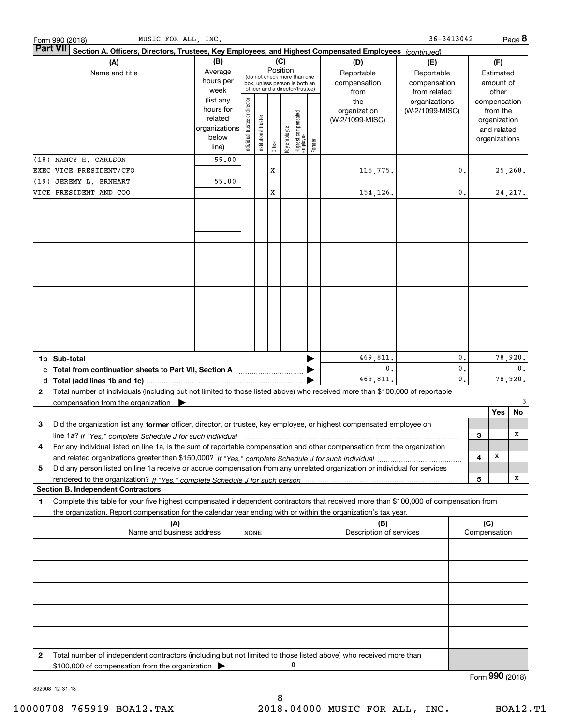|                 | MUSIC FOR ALL, INC.<br>Form 990 (2018)                                                                                                                                                                                                                                      |                                                                      |                               |                            |          |              |                                                                                                 |        |                                           | 36-3413042                                        |          |     |                                                                          | Page 8          |
|-----------------|-----------------------------------------------------------------------------------------------------------------------------------------------------------------------------------------------------------------------------------------------------------------------------|----------------------------------------------------------------------|-------------------------------|----------------------------|----------|--------------|-------------------------------------------------------------------------------------------------|--------|-------------------------------------------|---------------------------------------------------|----------|-----|--------------------------------------------------------------------------|-----------------|
| <b>Part VII</b> | Section A. Officers, Directors, Trustees, Key Employees, and Highest Compensated Employees (continued)                                                                                                                                                                      |                                                                      |                               |                            |          |              |                                                                                                 |        |                                           |                                                   |          |     |                                                                          |                 |
|                 | (A)<br>Name and title                                                                                                                                                                                                                                                       | (B)<br>Average<br>hours per<br>week                                  |                               |                            | Position | (C)          | (do not check more than one<br>box, unless person is both an<br>officer and a director/trustee) |        | (D)<br>Reportable<br>compensation<br>from | (E)<br>Reportable<br>compensation<br>from related |          |     | (F)<br>Estimated<br>amount of<br>other                                   |                 |
|                 |                                                                                                                                                                                                                                                                             | (list any<br>hours for<br>related<br>organizations<br>below<br>line) | ndividual trustee or director | trustee<br>Institutional t | Officer  | key employee | Highest compensated<br>employee                                                                 | Former | the<br>organization<br>(W-2/1099-MISC)    | organizations<br>(W-2/1099-MISC)                  |          |     | compensation<br>from the<br>organization<br>and related<br>organizations |                 |
|                 | (18) NANCY H. CARLSON                                                                                                                                                                                                                                                       | 55.00                                                                |                               |                            |          |              |                                                                                                 |        |                                           |                                                   |          |     |                                                                          |                 |
|                 | EXEC VICE PRESIDENT/CFO<br>(19) JEREMY L. ERNHART                                                                                                                                                                                                                           | 55,00                                                                |                               |                            | x        |              |                                                                                                 |        | 115,775.                                  |                                                   | 0.       |     |                                                                          | 25, 268.        |
|                 | VICE PRESIDENT AND COO                                                                                                                                                                                                                                                      |                                                                      |                               |                            | x        |              |                                                                                                 |        | 154,126.                                  |                                                   | 0.       |     |                                                                          | 24, 217.        |
|                 |                                                                                                                                                                                                                                                                             |                                                                      |                               |                            |          |              |                                                                                                 |        |                                           |                                                   |          |     |                                                                          |                 |
|                 |                                                                                                                                                                                                                                                                             |                                                                      |                               |                            |          |              |                                                                                                 |        |                                           |                                                   |          |     |                                                                          |                 |
|                 |                                                                                                                                                                                                                                                                             |                                                                      |                               |                            |          |              |                                                                                                 |        |                                           |                                                   |          |     |                                                                          |                 |
|                 |                                                                                                                                                                                                                                                                             |                                                                      |                               |                            |          |              |                                                                                                 |        |                                           |                                                   |          |     |                                                                          |                 |
|                 |                                                                                                                                                                                                                                                                             |                                                                      |                               |                            |          |              |                                                                                                 |        | 469,811.                                  |                                                   | 0.       |     |                                                                          | 78,920.         |
|                 | c Total from continuation sheets to Part VII, Section A manufactured in the Total from continuum                                                                                                                                                                            |                                                                      |                               |                            |          |              |                                                                                                 |        | $\mathbf{0}$ .<br>469,811.                |                                                   | 0.<br>0. |     |                                                                          | 0.<br>78,920.   |
| 2               | Total number of individuals (including but not limited to those listed above) who received more than \$100,000 of reportable<br>compensation from the organization $\blacktriangleright$                                                                                    |                                                                      |                               |                            |          |              |                                                                                                 |        |                                           |                                                   |          |     |                                                                          | 3               |
|                 |                                                                                                                                                                                                                                                                             |                                                                      |                               |                            |          |              |                                                                                                 |        |                                           |                                                   |          |     | Yes                                                                      | No              |
| з               | Did the organization list any former officer, director, or trustee, key employee, or highest compensated employee on                                                                                                                                                        |                                                                      |                               |                            |          |              |                                                                                                 |        |                                           |                                                   |          |     |                                                                          |                 |
| 4               | line 1a? If "Yes," complete Schedule J for such individual manufactured contained and the 1a? If "Yes," complete Schedule J for such individual<br>For any individual listed on line 1a, is the sum of reportable compensation and other compensation from the organization |                                                                      |                               |                            |          |              |                                                                                                 |        |                                           |                                                   |          | 3   |                                                                          | x               |
| 5               | Did any person listed on line 1a receive or accrue compensation from any unrelated organization or individual for services                                                                                                                                                  |                                                                      |                               |                            |          |              |                                                                                                 |        |                                           |                                                   |          | 4   | X                                                                        |                 |
|                 | <b>Section B. Independent Contractors</b>                                                                                                                                                                                                                                   |                                                                      |                               |                            |          |              |                                                                                                 |        |                                           |                                                   |          | 5   |                                                                          | X               |
| 1               | Complete this table for your five highest compensated independent contractors that received more than \$100,000 of compensation from                                                                                                                                        |                                                                      |                               |                            |          |              |                                                                                                 |        |                                           |                                                   |          |     |                                                                          |                 |
|                 | the organization. Report compensation for the calendar year ending with or within the organization's tax year.<br>(A)                                                                                                                                                       |                                                                      |                               |                            |          |              |                                                                                                 |        | (B)                                       |                                                   |          | (C) |                                                                          |                 |
|                 | Name and business address                                                                                                                                                                                                                                                   |                                                                      | <b>NONE</b>                   |                            |          |              |                                                                                                 |        | Description of services                   |                                                   |          |     | Compensation                                                             |                 |
|                 |                                                                                                                                                                                                                                                                             |                                                                      |                               |                            |          |              |                                                                                                 |        |                                           |                                                   |          |     |                                                                          |                 |
|                 |                                                                                                                                                                                                                                                                             |                                                                      |                               |                            |          |              |                                                                                                 |        |                                           |                                                   |          |     |                                                                          |                 |
|                 |                                                                                                                                                                                                                                                                             |                                                                      |                               |                            |          |              |                                                                                                 |        |                                           |                                                   |          |     |                                                                          |                 |
| 2               | Total number of independent contractors (including but not limited to those listed above) who received more than<br>\$100,000 of compensation from the organization                                                                                                         |                                                                      |                               |                            |          |              |                                                                                                 |        |                                           |                                                   |          |     |                                                                          |                 |
|                 |                                                                                                                                                                                                                                                                             |                                                                      |                               |                            |          |              |                                                                                                 |        |                                           |                                                   |          |     |                                                                          | Form 990 (2018) |

832008 12-31-18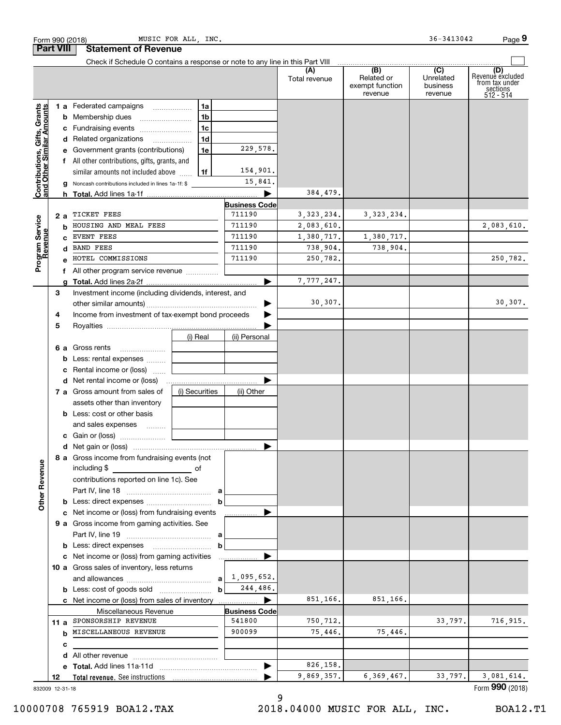| Form 990 (2018)                                           | MUSIC FOR ALL, INC.                                                                                                                 |                      |                      |                                                 | 36-3413042                                           | Page 9                                                               |
|-----------------------------------------------------------|-------------------------------------------------------------------------------------------------------------------------------------|----------------------|----------------------|-------------------------------------------------|------------------------------------------------------|----------------------------------------------------------------------|
| <b>Part VIII</b>                                          | <b>Statement of Revenue</b>                                                                                                         |                      |                      |                                                 |                                                      |                                                                      |
|                                                           | Check if Schedule O contains a response or note to any line in this Part VIII                                                       |                      |                      |                                                 |                                                      |                                                                      |
|                                                           |                                                                                                                                     |                      | (A)<br>Total revenue | (B)<br>Related or<br>exempt function<br>revenue | $\overline{(C)}$<br>Unrelated<br>business<br>revenue | (D)<br>Revenue excluded<br>from tax under<br>sections<br>$512 - 514$ |
|                                                           | 1 a Federated campaigns                                                                                                             | 1a                   |                      |                                                 |                                                      |                                                                      |
| Contributions, Gifts, Grants<br>and Other Similar Amounts | <b>b</b> Membership dues                                                                                                            | 1 <sub>b</sub>       |                      |                                                 |                                                      |                                                                      |
|                                                           | c Fundraising events                                                                                                                | 1 <sub>c</sub>       |                      |                                                 |                                                      |                                                                      |
|                                                           | d Related organizations                                                                                                             | 1 <sub>d</sub>       |                      |                                                 |                                                      |                                                                      |
|                                                           | e Government grants (contributions)                                                                                                 | 1e                   | 229,578.             |                                                 |                                                      |                                                                      |
|                                                           | f All other contributions, gifts, grants, and                                                                                       |                      |                      |                                                 |                                                      |                                                                      |
|                                                           | similar amounts not included above                                                                                                  | 1f                   | 154,901.             |                                                 |                                                      |                                                                      |
|                                                           | Noncash contributions included in lines 1a-1f: \$<br>g                                                                              |                      | 15,841.              |                                                 |                                                      |                                                                      |
|                                                           | h.                                                                                                                                  |                      | 384,479.             |                                                 |                                                      |                                                                      |
|                                                           |                                                                                                                                     | <b>Business Code</b> |                      |                                                 |                                                      |                                                                      |
| 2 a                                                       | TICKET FEES                                                                                                                         | 711190               | 3, 323, 234.         | 3, 323, 234.                                    |                                                      |                                                                      |
| Program Service<br>Revenue                                | HOUSING AND MEAL FEES<br>b                                                                                                          | 711190               | 2,083,610.           |                                                 |                                                      | 2,083,610.                                                           |
|                                                           | <b>EVENT FEES</b><br>C.                                                                                                             | 711190               | 1,380,717.           | 1,380,717.                                      |                                                      |                                                                      |
|                                                           | <b>BAND FEES</b><br>d                                                                                                               | 711190               | 738,904.             | 738,904.                                        |                                                      |                                                                      |
|                                                           | HOTEL COMMISSIONS                                                                                                                   | 711190               | 250,782.             |                                                 |                                                      | 250,782.                                                             |
|                                                           | f All other program service revenue                                                                                                 |                      |                      |                                                 |                                                      |                                                                      |
|                                                           | g                                                                                                                                   |                      | 7,777,247.           |                                                 |                                                      |                                                                      |
| З                                                         | Investment income (including dividends, interest, and                                                                               |                      |                      |                                                 |                                                      |                                                                      |
|                                                           |                                                                                                                                     |                      | 30,307.              |                                                 |                                                      | 30, 307.                                                             |
| 4                                                         | Income from investment of tax-exempt bond proceeds                                                                                  |                      |                      |                                                 |                                                      |                                                                      |
| 5                                                         |                                                                                                                                     |                      |                      |                                                 |                                                      |                                                                      |
|                                                           | (i) Real                                                                                                                            | (ii) Personal        |                      |                                                 |                                                      |                                                                      |
|                                                           | <b>6 a</b> Gross rents                                                                                                              |                      |                      |                                                 |                                                      |                                                                      |
|                                                           | Less: rental expenses<br>b                                                                                                          |                      |                      |                                                 |                                                      |                                                                      |
|                                                           | Rental income or (loss)<br>c                                                                                                        |                      |                      |                                                 |                                                      |                                                                      |
|                                                           |                                                                                                                                     |                      |                      |                                                 |                                                      |                                                                      |
|                                                           | 7 a Gross amount from sales of<br>(i) Securities                                                                                    | (ii) Other           |                      |                                                 |                                                      |                                                                      |
|                                                           | assets other than inventory                                                                                                         |                      |                      |                                                 |                                                      |                                                                      |
|                                                           | <b>b</b> Less: cost or other basis                                                                                                  |                      |                      |                                                 |                                                      |                                                                      |
|                                                           | and sales expenses                                                                                                                  |                      |                      |                                                 |                                                      |                                                                      |
|                                                           |                                                                                                                                     |                      |                      |                                                 |                                                      |                                                                      |
|                                                           |                                                                                                                                     |                      |                      |                                                 |                                                      |                                                                      |
|                                                           | 8 a Gross income from fundraising events (not                                                                                       |                      |                      |                                                 |                                                      |                                                                      |
|                                                           | including \$<br>and the contract of the contract of the contract of the contract of the contract of the contract of the contract of |                      |                      |                                                 |                                                      |                                                                      |
|                                                           | contributions reported on line 1c). See                                                                                             |                      |                      |                                                 |                                                      |                                                                      |
|                                                           |                                                                                                                                     |                      |                      |                                                 |                                                      |                                                                      |
| <b>Other Revenue</b>                                      |                                                                                                                                     | $\mathbf b$          |                      |                                                 |                                                      |                                                                      |
|                                                           | c Net income or (loss) from fundraising events                                                                                      |                      |                      |                                                 |                                                      |                                                                      |
|                                                           | 9 a Gross income from gaming activities. See                                                                                        |                      |                      |                                                 |                                                      |                                                                      |
|                                                           |                                                                                                                                     |                      |                      |                                                 |                                                      |                                                                      |
|                                                           |                                                                                                                                     | $\mathbf b$          |                      |                                                 |                                                      |                                                                      |
|                                                           | c Net income or (loss) from gaming activities                                                                                       | .                    |                      |                                                 |                                                      |                                                                      |
|                                                           | 10 a Gross sales of inventory, less returns                                                                                         |                      |                      |                                                 |                                                      |                                                                      |
|                                                           |                                                                                                                                     | 1,095,652.<br>a      |                      |                                                 |                                                      |                                                                      |
|                                                           |                                                                                                                                     | $\mathbf b$          | 244,486.             |                                                 |                                                      |                                                                      |
|                                                           | c Net income or (loss) from sales of inventory                                                                                      | .                    | 851,166.             | 851,166.                                        |                                                      |                                                                      |
|                                                           | Miscellaneous Revenue                                                                                                               | <b>Business Code</b> |                      |                                                 |                                                      |                                                                      |
| 11 a                                                      | SPONSORSHIP REVENUE                                                                                                                 | 541800               | 750,712.             |                                                 | 33,797.                                              | 716,915.                                                             |
|                                                           | <b>b</b> MISCELLANEOUS REVENUE                                                                                                      | 900099               | 75,446.              | 75,446.                                         |                                                      |                                                                      |
|                                                           | с                                                                                                                                   |                      |                      |                                                 |                                                      |                                                                      |
|                                                           | d                                                                                                                                   |                      |                      |                                                 |                                                      |                                                                      |
|                                                           |                                                                                                                                     |                      | 826,158.             |                                                 |                                                      |                                                                      |
| 12                                                        |                                                                                                                                     |                      | 9,869,357.           | 6,369,467.                                      | 33,797.                                              | 3,081,614.                                                           |
| 832009 12-31-18                                           |                                                                                                                                     |                      |                      |                                                 |                                                      | Form 990 (2018)                                                      |

9

10000708 765919 BOA12.TAX 2018.04000 MUSIC FOR ALL, INC. BOA12.T1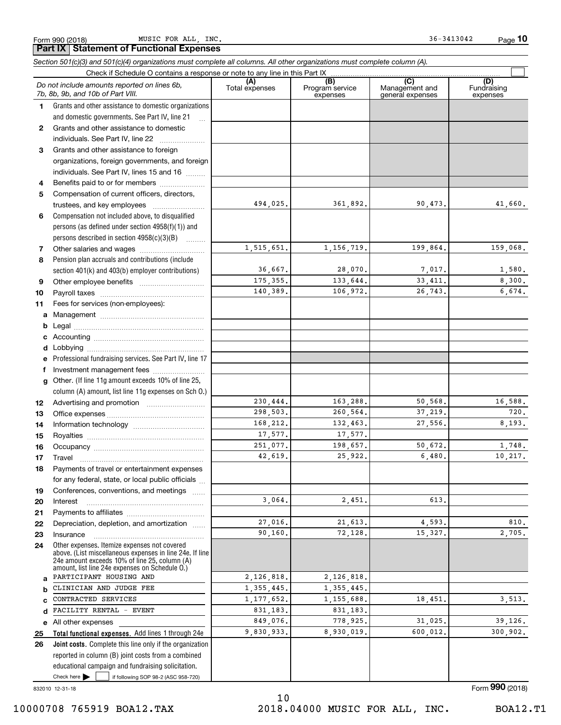Form 990 (2018) Page **Part IX Statement of Functional Expenses** MUSIC FOR ALL, INC.  $36-3413042$ 

**10**

|              | Section 501(c)(3) and 501(c)(4) organizations must complete all columns. All other organizations must complete column (A).<br>Check if Schedule O contains a response or note to any line in this Part IX   |                       |                        |                       |                    |
|--------------|-------------------------------------------------------------------------------------------------------------------------------------------------------------------------------------------------------------|-----------------------|------------------------|-----------------------|--------------------|
|              | Do not include amounts reported on lines 6b,                                                                                                                                                                | (A)<br>Total expenses | (B)<br>Program service | (C)<br>Management and | (D)<br>Fundraising |
|              | 7b, 8b, 9b, and 10b of Part VIII.                                                                                                                                                                           |                       | expenses               | general expenses      | expenses           |
| 1.           | Grants and other assistance to domestic organizations                                                                                                                                                       |                       |                        |                       |                    |
|              | and domestic governments. See Part IV, line 21<br>$\ddotsc$                                                                                                                                                 |                       |                        |                       |                    |
| $\mathbf{2}$ | Grants and other assistance to domestic                                                                                                                                                                     |                       |                        |                       |                    |
|              | individuals. See Part IV, line 22                                                                                                                                                                           |                       |                        |                       |                    |
| 3            | Grants and other assistance to foreign                                                                                                                                                                      |                       |                        |                       |                    |
|              | organizations, foreign governments, and foreign                                                                                                                                                             |                       |                        |                       |                    |
|              | individuals. See Part IV, lines 15 and 16                                                                                                                                                                   |                       |                        |                       |                    |
| 4            | Benefits paid to or for members                                                                                                                                                                             |                       |                        |                       |                    |
| 5            | Compensation of current officers, directors,                                                                                                                                                                | 494,025.              | 361,892.               | 90,473.               | 41,660.            |
|              | trustees, and key employees                                                                                                                                                                                 |                       |                        |                       |                    |
| 6            | Compensation not included above, to disqualified                                                                                                                                                            |                       |                        |                       |                    |
|              | persons (as defined under section 4958(f)(1)) and                                                                                                                                                           |                       |                        |                       |                    |
|              | persons described in section 4958(c)(3)(B)                                                                                                                                                                  | 1,515,651.            | 1, 156, 719.           | 199,864.              | 159,068.           |
| 7            |                                                                                                                                                                                                             |                       |                        |                       |                    |
| 8            | Pension plan accruals and contributions (include                                                                                                                                                            | 36,667.               | 28,070.                | 7,017.                | 1,580.             |
| 9            | section 401(k) and 403(b) employer contributions)                                                                                                                                                           | 175, 355.             | 133,644.               | 33, 411.              | 8,300.             |
|              |                                                                                                                                                                                                             | 140,389.              | 106,972.               | 26,743.               | 6,674.             |
| 10           | Fees for services (non-employees):                                                                                                                                                                          |                       |                        |                       |                    |
| 11           |                                                                                                                                                                                                             |                       |                        |                       |                    |
| a            |                                                                                                                                                                                                             |                       |                        |                       |                    |
| b            |                                                                                                                                                                                                             |                       |                        |                       |                    |
|              |                                                                                                                                                                                                             |                       |                        |                       |                    |
| d            | Professional fundraising services. See Part IV, line 17                                                                                                                                                     |                       |                        |                       |                    |
| f            | Investment management fees                                                                                                                                                                                  |                       |                        |                       |                    |
| g            | Other. (If line 11g amount exceeds 10% of line 25,                                                                                                                                                          |                       |                        |                       |                    |
|              | column (A) amount, list line 11g expenses on Sch O.)                                                                                                                                                        |                       |                        |                       |                    |
| 12           |                                                                                                                                                                                                             | 230,444.              | 163,288.               | 50,568.               | 16,588.            |
| 13           |                                                                                                                                                                                                             | 298,503.              | 260,564.               | 37,219.               | 720.               |
| 14           |                                                                                                                                                                                                             | 168.212.              | 132,463.               | 27,556.               | 8,193.             |
| 15           |                                                                                                                                                                                                             | 17,577.               | 17,577.                |                       |                    |
| 16           |                                                                                                                                                                                                             | 251,077.              | 198,657.               | 50,672.               | 1.748.             |
| 17           | Travel                                                                                                                                                                                                      | 42,619.               | 25,922.                | 6,480.                | 10,217.            |
| 18           | Payments of travel or entertainment expenses                                                                                                                                                                |                       |                        |                       |                    |
|              | for any federal, state, or local public officials                                                                                                                                                           |                       |                        |                       |                    |
| 19           | Conferences, conventions, and meetings                                                                                                                                                                      |                       |                        |                       |                    |
| 20           | Interest                                                                                                                                                                                                    | 3,064.                | 2,451.                 | 613.                  |                    |
| 21           |                                                                                                                                                                                                             |                       |                        |                       |                    |
| 22           | Depreciation, depletion, and amortization                                                                                                                                                                   | 27,016.               | 21,613.                | 4,593.                | 810.               |
| 23           | Insurance                                                                                                                                                                                                   | 90,160.               | 72,128.                | 15,327.               | 2,705.             |
| 24           | Other expenses. Itemize expenses not covered<br>above. (List miscellaneous expenses in line 24e. If line<br>24e amount exceeds 10% of line 25, column (A)<br>amount, list line 24e expenses on Schedule O.) |                       |                        |                       |                    |
| a            | PARTICIPANT HOUSING AND                                                                                                                                                                                     | 2,126,818.            | 2,126,818.             |                       |                    |
| b            | CLINICIAN AND JUDGE FEE                                                                                                                                                                                     | 1, 355, 445.          | 1,355,445.             |                       |                    |
|              | CONTRACTED SERVICES                                                                                                                                                                                         | 1,177,652.            | 1,155,688.             | 18,451.               | 3,513.             |
| d            | FACILITY RENTAL - EVENT                                                                                                                                                                                     | 831,183.              | 831,183.               |                       |                    |
| е            | All other expenses                                                                                                                                                                                          | 849,076.              | 778,925.               | 31,025.               | 39,126.            |
| 25           | Total functional expenses. Add lines 1 through 24e                                                                                                                                                          | 9,830,933.            | 8,930,019.             | 600,012.              | 300,902.           |
| 26           | Joint costs. Complete this line only if the organization                                                                                                                                                    |                       |                        |                       |                    |
|              | reported in column (B) joint costs from a combined                                                                                                                                                          |                       |                        |                       |                    |
|              | educational campaign and fundraising solicitation.                                                                                                                                                          |                       |                        |                       |                    |
|              | Check here $\blacktriangleright$<br>if following SOP 98-2 (ASC 958-720)                                                                                                                                     |                       |                        |                       |                    |

832010 12-31-18

10 10000708 765919 BOA12.TAX 2018.04000 MUSIC FOR ALL, INC. BOA12.T1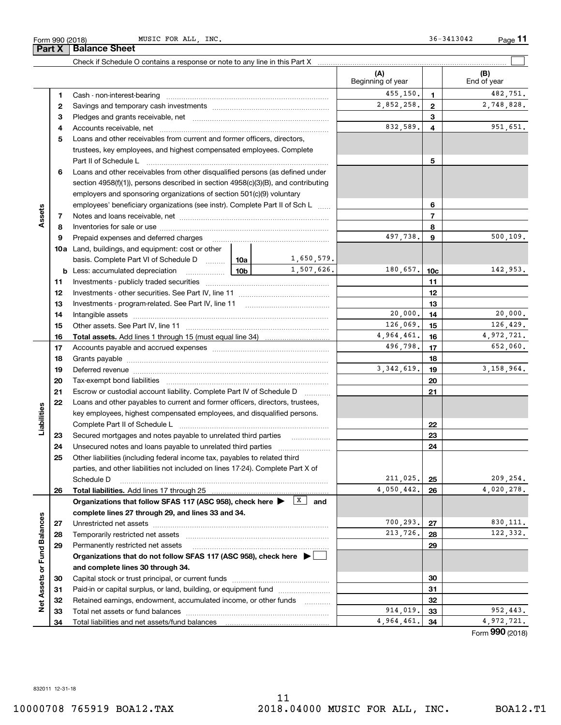|                             | 2  |                                                                                                                              |  |              | 2,852,258. | $\mathbf{2}$   | 2,748,828.      |
|-----------------------------|----|------------------------------------------------------------------------------------------------------------------------------|--|--------------|------------|----------------|-----------------|
|                             | З  |                                                                                                                              |  |              |            | 3              |                 |
|                             | 4  |                                                                                                                              |  |              | 832,589.   | 4              | 951,651.        |
|                             | 5  | Loans and other receivables from current and former officers, directors,                                                     |  |              |            |                |                 |
|                             |    | trustees, key employees, and highest compensated employees. Complete                                                         |  |              |            |                |                 |
|                             |    | Part II of Schedule L                                                                                                        |  |              | 5          |                |                 |
|                             | 6  | Loans and other receivables from other disqualified persons (as defined under                                                |  |              |            |                |                 |
|                             |    | section $4958(f)(1)$ , persons described in section $4958(c)(3)(B)$ , and contributing                                       |  |              |            |                |                 |
|                             |    | employers and sponsoring organizations of section 501(c)(9) voluntary                                                        |  |              |            |                |                 |
|                             |    | employees' beneficiary organizations (see instr). Complete Part II of Sch L                                                  |  |              |            | 6              |                 |
| Assets                      | 7  |                                                                                                                              |  |              |            | $\overline{7}$ |                 |
|                             | 8  |                                                                                                                              |  |              |            | 8              |                 |
|                             | 9  | Prepaid expenses and deferred charges                                                                                        |  |              | 497,738.   | 9              | 500, 109.       |
|                             |    | <b>10a</b> Land, buildings, and equipment: cost or other                                                                     |  |              |            |                |                 |
|                             |    | basis. Complete Part VI of Schedule D  [10a]                                                                                 |  | 1,650,579.   |            |                |                 |
|                             | b  | <u>  10b</u><br>Less: accumulated depreciation                                                                               |  | 1,507,626.   | 180,657.   | 10c            | 142,953.        |
|                             | 11 |                                                                                                                              |  |              |            | 11             |                 |
|                             | 12 |                                                                                                                              |  |              | 12         |                |                 |
|                             | 13 |                                                                                                                              |  |              | 13         |                |                 |
|                             | 14 |                                                                                                                              |  | 20,000.      | 14         | 20,000.        |                 |
|                             | 15 |                                                                                                                              |  | 126,069.     | 15         | 126,429.       |                 |
|                             | 16 |                                                                                                                              |  |              | 4,964,461. | 16             | 4,972,721.      |
|                             | 17 |                                                                                                                              |  |              | 496,798.   | 17             | 652,060.        |
|                             | 18 |                                                                                                                              |  |              | 18         |                |                 |
|                             | 19 | Deferred revenue manual contracts and contracts are all the manual contracts and contracts are contracted and c              |  | 3, 342, 619. | 19         | 3, 158, 964.   |                 |
|                             | 20 |                                                                                                                              |  |              | 20         |                |                 |
|                             | 21 | Escrow or custodial account liability. Complete Part IV of Schedule D                                                        |  |              | 21         |                |                 |
|                             | 22 | Loans and other payables to current and former officers, directors, trustees,                                                |  |              |            |                |                 |
| Liabilities                 |    | key employees, highest compensated employees, and disqualified persons.                                                      |  |              |            |                |                 |
|                             |    |                                                                                                                              |  |              |            | 22             |                 |
|                             | 23 | Secured mortgages and notes payable to unrelated third parties                                                               |  |              |            | 23             |                 |
|                             | 24 | Unsecured notes and loans payable to unrelated third parties                                                                 |  |              |            | 24             |                 |
|                             | 25 | Other liabilities (including federal income tax, payables to related third                                                   |  |              |            |                |                 |
|                             |    | parties, and other liabilities not included on lines 17-24). Complete Part X of                                              |  |              |            |                |                 |
|                             |    | Schedule D                                                                                                                   |  |              | 211,025.   | 25             | 209,254.        |
|                             | 26 | <b>Total liabilities.</b> Add lines 17 through 25                                                                            |  |              | 4,050,442. | 26             | 4,020,278.      |
|                             |    | Organizations that follow SFAS 117 (ASC 958), check here $\blacktriangleright \begin{array}{c} \boxed{X} \\ \end{array}$ and |  |              |            |                |                 |
|                             |    | complete lines 27 through 29, and lines 33 and 34.                                                                           |  |              |            |                |                 |
|                             | 27 | Unrestricted net assets                                                                                                      |  |              | 700,293.   | 27             | 830, 111.       |
|                             | 28 | Temporarily restricted net assets                                                                                            |  |              | 213,726.   | 28             | 122,332.        |
|                             | 29 | Permanently restricted net assets                                                                                            |  |              |            | 29             |                 |
|                             |    | Organizations that do not follow SFAS 117 (ASC 958), check here ▶ □                                                          |  |              |            |                |                 |
|                             |    | and complete lines 30 through 34.                                                                                            |  |              |            |                |                 |
| Net Assets or Fund Balances | 30 |                                                                                                                              |  |              |            | 30             |                 |
|                             | 31 | Paid-in or capital surplus, or land, building, or equipment fund                                                             |  |              | 31         |                |                 |
|                             | 32 | Retained earnings, endowment, accumulated income, or other funds                                                             |  |              |            | 32             |                 |
|                             | 33 | Total net assets or fund balances                                                                                            |  |              | 914,019.   | 33             | 952,443.        |
|                             | 34 | Total liabilities and net assets/fund balances                                                                               |  |              | 4,964,461. | 34             | 4,972,721.      |
|                             |    |                                                                                                                              |  |              |            |                | Form 990 (2018) |

Check if Schedule O contains a response or note to any line in this Part X

Cash - non-interest-bearing ~~~~~~~~~~~~~~~~~~~~~~~~~

**1**

**Part X** | Balance Sheet



(B)<br>End of year

 $\mathcal{L}^{\text{max}}$ 

**(A) (B)**

Beginning of year | | End of year

**1**

455,150. 1 482,751.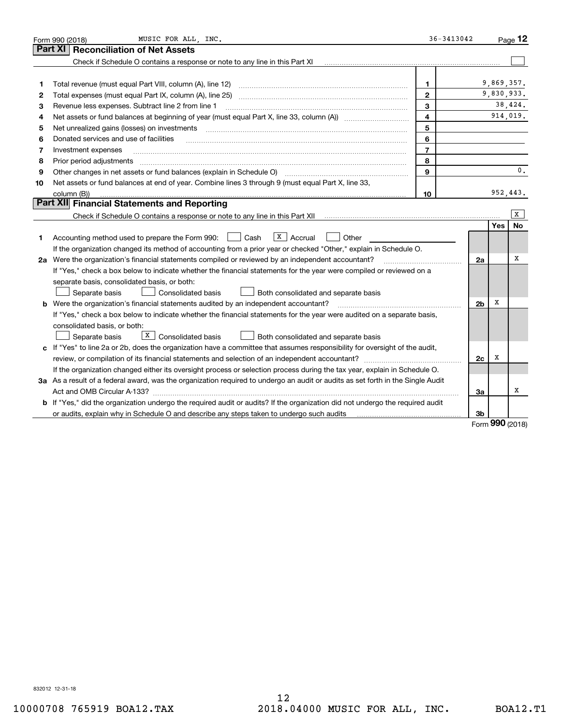|    | MUSIC FOR ALL, INC.<br>Form 990 (2018)                                                                                                                              | $36 - 3413042$ |                |                   | Page $12$      |
|----|---------------------------------------------------------------------------------------------------------------------------------------------------------------------|----------------|----------------|-------------------|----------------|
|    | <b>Reconciliation of Net Assets</b><br>Part XI                                                                                                                      |                |                |                   |                |
|    | Check if Schedule O contains a response or note to any line in this Part XI                                                                                         |                |                |                   |                |
|    |                                                                                                                                                                     |                |                |                   |                |
| 1  | Total revenue (must equal Part VIII, column (A), line 12)                                                                                                           | $\mathbf{1}$   |                | 9,869,357.        |                |
| 2  | Total expenses (must equal Part IX, column (A), line 25)                                                                                                            | $\mathbf{2}$   |                |                   | 9,830,933.     |
| З  | Revenue less expenses. Subtract line 2 from line 1                                                                                                                  | 3              |                |                   | 38,424.        |
| 4  |                                                                                                                                                                     | $\overline{4}$ |                |                   | 914,019.       |
| 5  | Net unrealized gains (losses) on investments                                                                                                                        | 5              |                |                   |                |
| 6  | Donated services and use of facilities                                                                                                                              | 6              |                |                   |                |
| 7  | Investment expenses                                                                                                                                                 | $\overline{7}$ |                |                   |                |
| 8  | Prior period adjustments                                                                                                                                            | 8              |                |                   |                |
| 9  |                                                                                                                                                                     | $\mathbf{Q}$   |                |                   | $\mathbf{0}$ . |
| 10 | Net assets or fund balances at end of year. Combine lines 3 through 9 (must equal Part X, line 33,                                                                  |                |                |                   |                |
|    | column (B))                                                                                                                                                         | 10             |                |                   | 952,443.       |
|    | Part XII Financial Statements and Reporting                                                                                                                         |                |                |                   |                |
|    | Check if Schedule O contains a response or note to any line in this Part XII [11] [12] Check if Schedule O contains a response or note to any line in this Part XII |                |                |                   | x              |
|    |                                                                                                                                                                     |                |                | Yes               | No             |
| 1  | $\sqrt{\frac{x}{x}}$ Accrual<br>Accounting method used to prepare the Form 990: <u>II</u> Cash<br>Other                                                             |                |                |                   |                |
|    | If the organization changed its method of accounting from a prior year or checked "Other," explain in Schedule O.                                                   |                |                |                   |                |
|    | 2a Were the organization's financial statements compiled or reviewed by an independent accountant?                                                                  |                | 2a             |                   | х              |
|    | If "Yes," check a box below to indicate whether the financial statements for the year were compiled or reviewed on a                                                |                |                |                   |                |
|    | separate basis, consolidated basis, or both:                                                                                                                        |                |                |                   |                |
|    | Separate basis<br>Consolidated basis<br>Both consolidated and separate basis                                                                                        |                |                |                   |                |
|    | <b>b</b> Were the organization's financial statements audited by an independent accountant?                                                                         |                | 2 <sub>b</sub> | х                 |                |
|    | If "Yes," check a box below to indicate whether the financial statements for the year were audited on a separate basis,                                             |                |                |                   |                |
|    | consolidated basis, or both:                                                                                                                                        |                |                |                   |                |
|    | $\overline{X}$ Consolidated basis<br>Separate basis<br>Both consolidated and separate basis                                                                         |                |                |                   |                |
|    | c If "Yes" to line 2a or 2b, does the organization have a committee that assumes responsibility for oversight of the audit,                                         |                |                |                   |                |
|    |                                                                                                                                                                     |                | 2c             | х                 |                |
|    | If the organization changed either its oversight process or selection process during the tax year, explain in Schedule O.                                           |                |                |                   |                |
|    | 3a As a result of a federal award, was the organization required to undergo an audit or audits as set forth in the Single Audit                                     |                |                |                   |                |
|    | Act and OMB Circular A-133?                                                                                                                                         |                | За             |                   | х              |
|    | <b>b</b> If "Yes," did the organization undergo the required audit or audits? If the organization did not undergo the required audit                                |                |                |                   |                |
|    |                                                                                                                                                                     |                | 3b             | $000 \text{ mas}$ |                |

Form (2018) **990**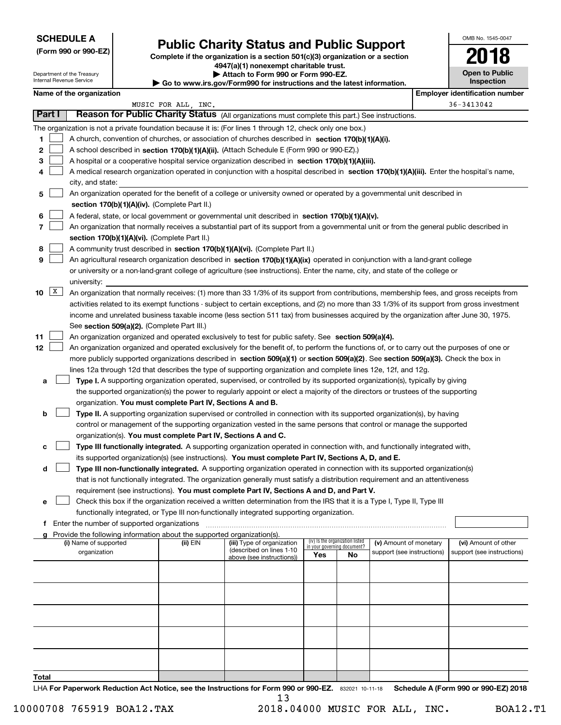Department of the Treasury Internal Revenue Service

|  |  |  | (Form 990 or 990-EZ) |
|--|--|--|----------------------|
|--|--|--|----------------------|

# **Public Charity Status and Public Support**

**Complete if the organization is a section 501(c)(3) organization or a section 4947(a)(1) nonexempt charitable trust. | Attach to Form 990 or Form 990-EZ.** 

| $\cdot$ Go to www.irs.gov/Form990 for instructions and the latest information. |  |  |
|--------------------------------------------------------------------------------|--|--|
|--------------------------------------------------------------------------------|--|--|

| OMB No. 1545-0047            |
|------------------------------|
| 2018                         |
| Open to Public<br>Inspection |

|        |   |                                                                                                                                               |                     | $\,\blacktriangleright\,$ Go to www.irs.gov/Form990 for instructions and the latest information. |                                    |                                 |                            |                                       |  |
|--------|---|-----------------------------------------------------------------------------------------------------------------------------------------------|---------------------|--------------------------------------------------------------------------------------------------|------------------------------------|---------------------------------|----------------------------|---------------------------------------|--|
|        |   | Name of the organization                                                                                                                      |                     |                                                                                                  |                                    |                                 |                            | <b>Employer identification number</b> |  |
| Part I |   | Reason for Public Charity Status (All organizations must complete this part.) See instructions.                                               | MUSIC FOR ALL, INC. |                                                                                                  |                                    |                                 |                            | 36-3413042                            |  |
|        |   | The organization is not a private foundation because it is: (For lines 1 through 12, check only one box.)                                     |                     |                                                                                                  |                                    |                                 |                            |                                       |  |
| 1      |   | A church, convention of churches, or association of churches described in section 170(b)(1)(A)(i).                                            |                     |                                                                                                  |                                    |                                 |                            |                                       |  |
| 2      |   | A school described in section 170(b)(1)(A)(ii). (Attach Schedule E (Form 990 or 990-EZ).)                                                     |                     |                                                                                                  |                                    |                                 |                            |                                       |  |
| 3      |   | A hospital or a cooperative hospital service organization described in section $170(b)(1)(A)(iii)$ .                                          |                     |                                                                                                  |                                    |                                 |                            |                                       |  |
|        |   | A medical research organization operated in conjunction with a hospital described in section 170(b)(1)(A)(iii). Enter the hospital's name,    |                     |                                                                                                  |                                    |                                 |                            |                                       |  |
|        |   | city, and state:                                                                                                                              |                     |                                                                                                  |                                    |                                 |                            |                                       |  |
| 5      |   | An organization operated for the benefit of a college or university owned or operated by a governmental unit described in                     |                     |                                                                                                  |                                    |                                 |                            |                                       |  |
|        |   | section 170(b)(1)(A)(iv). (Complete Part II.)                                                                                                 |                     |                                                                                                  |                                    |                                 |                            |                                       |  |
| 6      |   | A federal, state, or local government or governmental unit described in section 170(b)(1)(A)(v).                                              |                     |                                                                                                  |                                    |                                 |                            |                                       |  |
| 7      |   | An organization that normally receives a substantial part of its support from a governmental unit or from the general public described in     |                     |                                                                                                  |                                    |                                 |                            |                                       |  |
|        |   | section 170(b)(1)(A)(vi). (Complete Part II.)                                                                                                 |                     |                                                                                                  |                                    |                                 |                            |                                       |  |
| 8      |   | A community trust described in section 170(b)(1)(A)(vi). (Complete Part II.)                                                                  |                     |                                                                                                  |                                    |                                 |                            |                                       |  |
| 9      |   | An agricultural research organization described in section 170(b)(1)(A)(ix) operated in conjunction with a land-grant college                 |                     |                                                                                                  |                                    |                                 |                            |                                       |  |
|        |   | or university or a non-land-grant college of agriculture (see instructions). Enter the name, city, and state of the college or                |                     |                                                                                                  |                                    |                                 |                            |                                       |  |
|        |   | university:                                                                                                                                   |                     |                                                                                                  |                                    |                                 |                            |                                       |  |
| 10     | X | An organization that normally receives: (1) more than 33 1/3% of its support from contributions, membership fees, and gross receipts from     |                     |                                                                                                  |                                    |                                 |                            |                                       |  |
|        |   | activities related to its exempt functions - subject to certain exceptions, and (2) no more than 33 1/3% of its support from gross investment |                     |                                                                                                  |                                    |                                 |                            |                                       |  |
|        |   | income and unrelated business taxable income (less section 511 tax) from businesses acquired by the organization after June 30, 1975.         |                     |                                                                                                  |                                    |                                 |                            |                                       |  |
|        |   | See section 509(a)(2). (Complete Part III.)                                                                                                   |                     |                                                                                                  |                                    |                                 |                            |                                       |  |
| 11     |   | An organization organized and operated exclusively to test for public safety. See section 509(a)(4).                                          |                     |                                                                                                  |                                    |                                 |                            |                                       |  |
| 12     |   | An organization organized and operated exclusively for the benefit of, to perform the functions of, or to carry out the purposes of one or    |                     |                                                                                                  |                                    |                                 |                            |                                       |  |
|        |   | more publicly supported organizations described in section 509(a)(1) or section 509(a)(2). See section 509(a)(3). Check the box in            |                     |                                                                                                  |                                    |                                 |                            |                                       |  |
|        |   | lines 12a through 12d that describes the type of supporting organization and complete lines 12e, 12f, and 12g.                                |                     |                                                                                                  |                                    |                                 |                            |                                       |  |
| a      |   | Type I. A supporting organization operated, supervised, or controlled by its supported organization(s), typically by giving                   |                     |                                                                                                  |                                    |                                 |                            |                                       |  |
|        |   | the supported organization(s) the power to regularly appoint or elect a majority of the directors or trustees of the supporting               |                     |                                                                                                  |                                    |                                 |                            |                                       |  |
|        |   | organization. You must complete Part IV, Sections A and B.                                                                                    |                     |                                                                                                  |                                    |                                 |                            |                                       |  |
| b      |   | Type II. A supporting organization supervised or controlled in connection with its supported organization(s), by having                       |                     |                                                                                                  |                                    |                                 |                            |                                       |  |
|        |   | control or management of the supporting organization vested in the same persons that control or manage the supported                          |                     |                                                                                                  |                                    |                                 |                            |                                       |  |
|        |   | organization(s). You must complete Part IV, Sections A and C.                                                                                 |                     |                                                                                                  |                                    |                                 |                            |                                       |  |
| с      |   | Type III functionally integrated. A supporting organization operated in connection with, and functionally integrated with,                    |                     |                                                                                                  |                                    |                                 |                            |                                       |  |
|        |   | its supported organization(s) (see instructions). You must complete Part IV, Sections A, D, and E.                                            |                     |                                                                                                  |                                    |                                 |                            |                                       |  |
| d      |   | Type III non-functionally integrated. A supporting organization operated in connection with its supported organization(s)                     |                     |                                                                                                  |                                    |                                 |                            |                                       |  |
|        |   | that is not functionally integrated. The organization generally must satisfy a distribution requirement and an attentiveness                  |                     |                                                                                                  |                                    |                                 |                            |                                       |  |
|        |   | requirement (see instructions). You must complete Part IV, Sections A and D, and Part V.                                                      |                     |                                                                                                  |                                    |                                 |                            |                                       |  |
| е      |   | Check this box if the organization received a written determination from the IRS that it is a Type I, Type II, Type III                       |                     |                                                                                                  |                                    |                                 |                            |                                       |  |
|        |   | functionally integrated, or Type III non-functionally integrated supporting organization.                                                     |                     |                                                                                                  |                                    |                                 |                            |                                       |  |
| f      |   | Enter the number of supported organizations                                                                                                   |                     |                                                                                                  |                                    |                                 |                            |                                       |  |
|        |   | Provide the following information about the supported organization(s).<br>(i) Name of supported                                               | (ii) EIN            | (iii) Type of organization                                                                       |                                    | (iv) Is the organization listed | (v) Amount of monetary     | (vi) Amount of other                  |  |
|        |   | organization                                                                                                                                  |                     | (described on lines 1-10                                                                         | in your governing document?<br>Yes | No                              | support (see instructions) | support (see instructions)            |  |
|        |   |                                                                                                                                               |                     | above (see instructions))                                                                        |                                    |                                 |                            |                                       |  |
|        |   |                                                                                                                                               |                     |                                                                                                  |                                    |                                 |                            |                                       |  |
|        |   |                                                                                                                                               |                     |                                                                                                  |                                    |                                 |                            |                                       |  |
|        |   |                                                                                                                                               |                     |                                                                                                  |                                    |                                 |                            |                                       |  |
|        |   |                                                                                                                                               |                     |                                                                                                  |                                    |                                 |                            |                                       |  |
|        |   |                                                                                                                                               |                     |                                                                                                  |                                    |                                 |                            |                                       |  |
|        |   |                                                                                                                                               |                     |                                                                                                  |                                    |                                 |                            |                                       |  |
|        |   |                                                                                                                                               |                     |                                                                                                  |                                    |                                 |                            |                                       |  |
|        |   |                                                                                                                                               |                     |                                                                                                  |                                    |                                 |                            |                                       |  |
|        |   |                                                                                                                                               |                     |                                                                                                  |                                    |                                 |                            |                                       |  |
| Total  |   |                                                                                                                                               |                     |                                                                                                  |                                    |                                 |                            |                                       |  |

LHA For Paperwork Reduction Act Notice, see the Instructions for Form 990 or 990-EZ. 832021 10-11-18 Schedule A (Form 990 or 990-EZ) 2018 13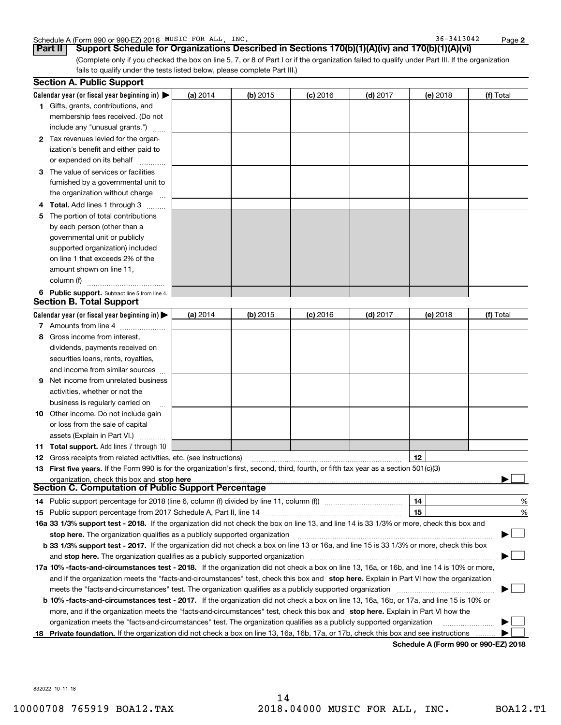|  | Schedule A (Form 990 or 990-EZ) 2018 MUSIC | FOR ALL | INC. | 3413042<br>36. | Page |  |
|--|--------------------------------------------|---------|------|----------------|------|--|
|--|--------------------------------------------|---------|------|----------------|------|--|

36-3413042

**2**

(Complete only if you checked the box on line 5, 7, or 8 of Part I or if the organization failed to qualify under Part III. If the organization fails to qualify under the tests listed below, please complete Part III.) **Part II Support Schedule for Organizations Described in Sections 170(b)(1)(A)(iv) and 170(b)(1)(A)(vi)**

|    | <b>Section A. Public Support</b>                                                                                                               |          |            |            |            |          |           |
|----|------------------------------------------------------------------------------------------------------------------------------------------------|----------|------------|------------|------------|----------|-----------|
|    | Calendar year (or fiscal year beginning in) $\blacktriangleright$                                                                              | (a) 2014 | $(b)$ 2015 | $(c)$ 2016 | $(d)$ 2017 | (e) 2018 | (f) Total |
|    | 1 Gifts, grants, contributions, and                                                                                                            |          |            |            |            |          |           |
|    | membership fees received. (Do not                                                                                                              |          |            |            |            |          |           |
|    | include any "unusual grants.")                                                                                                                 |          |            |            |            |          |           |
|    | 2 Tax revenues levied for the organ-                                                                                                           |          |            |            |            |          |           |
|    | ization's benefit and either paid to                                                                                                           |          |            |            |            |          |           |
|    | or expended on its behalf                                                                                                                      |          |            |            |            |          |           |
|    | 3 The value of services or facilities                                                                                                          |          |            |            |            |          |           |
|    | furnished by a governmental unit to                                                                                                            |          |            |            |            |          |           |
|    | the organization without charge                                                                                                                |          |            |            |            |          |           |
|    | 4 Total. Add lines 1 through 3<br>$\sim$                                                                                                       |          |            |            |            |          |           |
| 5. | The portion of total contributions                                                                                                             |          |            |            |            |          |           |
|    | by each person (other than a                                                                                                                   |          |            |            |            |          |           |
|    | governmental unit or publicly                                                                                                                  |          |            |            |            |          |           |
|    | supported organization) included                                                                                                               |          |            |            |            |          |           |
|    | on line 1 that exceeds 2% of the                                                                                                               |          |            |            |            |          |           |
|    | amount shown on line 11,                                                                                                                       |          |            |            |            |          |           |
|    | column (f)                                                                                                                                     |          |            |            |            |          |           |
|    | 6 Public support. Subtract line 5 from line 4.                                                                                                 |          |            |            |            |          |           |
|    | <b>Section B. Total Support</b>                                                                                                                |          |            |            |            |          |           |
|    | Calendar year (or fiscal year beginning in) $\blacktriangleright$                                                                              | (a) 2014 | $(b)$ 2015 | $(c)$ 2016 | $(d)$ 2017 | (e) 2018 | (f) Total |
|    | 7 Amounts from line 4                                                                                                                          |          |            |            |            |          |           |
| 8  | Gross income from interest,                                                                                                                    |          |            |            |            |          |           |
|    | dividends, payments received on                                                                                                                |          |            |            |            |          |           |
|    | securities loans, rents, royalties,                                                                                                            |          |            |            |            |          |           |
|    | and income from similar sources                                                                                                                |          |            |            |            |          |           |
| 9. | Net income from unrelated business                                                                                                             |          |            |            |            |          |           |
|    | activities, whether or not the                                                                                                                 |          |            |            |            |          |           |
|    | business is regularly carried on                                                                                                               |          |            |            |            |          |           |
|    | <b>10</b> Other income. Do not include gain                                                                                                    |          |            |            |            |          |           |
|    | or loss from the sale of capital                                                                                                               |          |            |            |            |          |           |
|    | assets (Explain in Part VI.)                                                                                                                   |          |            |            |            |          |           |
|    | <b>11 Total support.</b> Add lines 7 through 10                                                                                                |          |            |            |            |          |           |
|    | <b>12</b> Gross receipts from related activities, etc. (see instructions)                                                                      |          |            |            |            | 12       |           |
|    | 13 First five years. If the Form 990 is for the organization's first, second, third, fourth, or fifth tax year as a section 501(c)(3)          |          |            |            |            |          |           |
|    | organization, check this box and stop here                                                                                                     |          |            |            |            |          |           |
|    | Section C. Computation of Public Support Percentage                                                                                            |          |            |            |            |          |           |
|    | 14 Public support percentage for 2018 (line 6, column (f) divided by line 11, column (f) <i>mummeronom</i>                                     |          |            |            |            | 14       | %         |
|    |                                                                                                                                                |          |            |            |            | 15       | %         |
|    | 16a 33 1/3% support test - 2018. If the organization did not check the box on line 13, and line 14 is 33 1/3% or more, check this box and      |          |            |            |            |          |           |
|    | stop here. The organization qualifies as a publicly supported organization                                                                     |          |            |            |            |          |           |
|    | b 33 1/3% support test - 2017. If the organization did not check a box on line 13 or 16a, and line 15 is 33 1/3% or more, check this box       |          |            |            |            |          |           |
|    | and stop here. The organization qualifies as a publicly supported organization                                                                 |          |            |            |            |          |           |
|    | 17a 10% -facts-and-circumstances test - 2018. If the organization did not check a box on line 13, 16a, or 16b, and line 14 is 10% or more,     |          |            |            |            |          |           |
|    | and if the organization meets the "facts-and-circumstances" test, check this box and stop here. Explain in Part VI how the organization        |          |            |            |            |          |           |
|    |                                                                                                                                                |          |            |            |            |          |           |
|    | <b>b 10% -facts-and-circumstances test - 2017.</b> If the organization did not check a box on line 13, 16a, 16b, or 17a, and line 15 is 10% or |          |            |            |            |          |           |
|    | more, and if the organization meets the "facts-and-circumstances" test, check this box and stop here. Explain in Part VI how the               |          |            |            |            |          |           |
|    | organization meets the "facts-and-circumstances" test. The organization qualifies as a publicly supported organization                         |          |            |            |            |          |           |
| 18 | Private foundation. If the organization did not check a box on line 13, 16a, 16b, 17a, or 17b, check this box and see instructions             |          |            |            |            |          |           |
|    |                                                                                                                                                |          |            |            |            |          |           |

**Schedule A (Form 990 or 990-EZ) 2018**

832022 10-11-18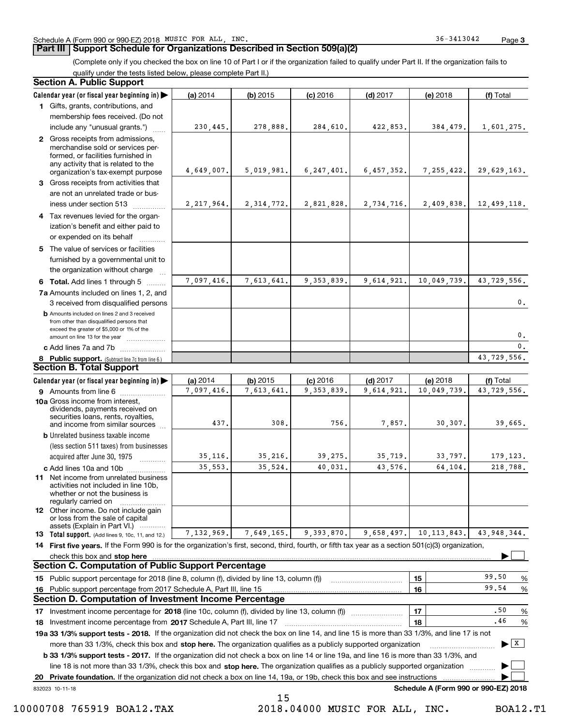#### **Part III Support Schedule for Organizations Described in Section 509(a)(2)**

(Complete only if you checked the box on line 10 of Part I or if the organization failed to qualify under Part II. If the organization fails to

qualify under the tests listed below, please complete Part II.)

|    | <b>Section A. Public Support</b>                                                                                                                                                         |              |              |              |            |                                      |                                |
|----|------------------------------------------------------------------------------------------------------------------------------------------------------------------------------------------|--------------|--------------|--------------|------------|--------------------------------------|--------------------------------|
|    | Calendar year (or fiscal year beginning in)                                                                                                                                              | (a) 2014     | (b) 2015     | $(c)$ 2016   | $(d)$ 2017 | (e) 2018                             | (f) Total                      |
|    | 1 Gifts, grants, contributions, and                                                                                                                                                      |              |              |              |            |                                      |                                |
|    | membership fees received. (Do not                                                                                                                                                        |              |              |              |            |                                      |                                |
|    | include any "unusual grants.")                                                                                                                                                           | 230,445.     | 278,888.     | 284,610.     | 422,853.   | 384,479.                             | 1,601,275.                     |
|    | 2 Gross receipts from admissions,<br>merchandise sold or services per-<br>formed, or facilities furnished in<br>any activity that is related to the<br>organization's tax-exempt purpose | 4,649,007.   | 5,019,981.   | 6, 247, 401. | 6,457,352. | 7, 255, 422.                         | 29,629,163.                    |
|    | 3 Gross receipts from activities that                                                                                                                                                    |              |              |              |            |                                      |                                |
|    | are not an unrelated trade or bus-<br>iness under section 513                                                                                                                            | 2, 217, 964. | 2, 314, 772. | 2,821,828.   | 2,734,716. | 2,409,838.                           | 12,499,118.                    |
|    | 4 Tax revenues levied for the organ-                                                                                                                                                     |              |              |              |            |                                      |                                |
|    | ization's benefit and either paid to<br>or expended on its behalf                                                                                                                        |              |              |              |            |                                      |                                |
|    | 5 The value of services or facilities<br>furnished by a governmental unit to                                                                                                             |              |              |              |            |                                      |                                |
|    | the organization without charge                                                                                                                                                          |              |              |              |            |                                      |                                |
|    | 6 Total. Add lines 1 through 5                                                                                                                                                           | 7,097,416.   | 7,613,641.   | 9, 353, 839. | 9,614,921. | 10,049,739.                          | 43,729,556.                    |
|    | 7a Amounts included on lines 1, 2, and<br>3 received from disqualified persons                                                                                                           |              |              |              |            |                                      | 0.                             |
|    | <b>b</b> Amounts included on lines 2 and 3 received<br>from other than disqualified persons that<br>exceed the greater of \$5,000 or 1% of the<br>amount on line 13 for the year         |              |              |              |            |                                      | 0.                             |
|    | c Add lines 7a and 7b                                                                                                                                                                    |              |              |              |            |                                      | $\mathbf{0}$ .                 |
|    | 8 Public support. (Subtract line 7c from line 6.)                                                                                                                                        |              |              |              |            |                                      | 43,729,556.                    |
|    | <b>Section B. Total Support</b>                                                                                                                                                          |              |              |              |            |                                      |                                |
|    | Calendar year (or fiscal year beginning in)                                                                                                                                              | (a) 2014     | $(b)$ 2015   | $(c)$ 2016   | $(d)$ 2017 | (e) 2018                             | (f) Total                      |
|    | <b>9</b> Amounts from line 6                                                                                                                                                             | 7,097,416.   | 7,613,641.   | 9, 353, 839. | 9,614,921. | 10,049,739.                          | 43,729,556.                    |
|    | 10a Gross income from interest,<br>dividends, payments received on<br>securities loans, rents, royalties,<br>and income from similar sources                                             | 437.         | 308.         | 756.         | 7,857.     | 30,307.                              | 39,665.                        |
|    | <b>b</b> Unrelated business taxable income                                                                                                                                               |              |              |              |            |                                      |                                |
|    | (less section 511 taxes) from businesses                                                                                                                                                 |              |              |              |            |                                      |                                |
|    | acquired after June 30, 1975                                                                                                                                                             | 35, 116.     | 35,216.      | 39,275.      | 35,719.    | 33,797.                              | 179, 123.                      |
|    | c Add lines 10a and 10b                                                                                                                                                                  | 35,553.      | 35,524.      | 40,031.      | 43,576.    | 64,104.                              | 218,788.                       |
|    | <b>11</b> Net income from unrelated business<br>activities not included in line 10b.<br>whether or not the business is<br>regularly carried on                                           |              |              |              |            |                                      |                                |
|    | <b>12</b> Other income. Do not include gain<br>or loss from the sale of capital<br>assets (Explain in Part VI.)                                                                          |              |              |              |            |                                      |                                |
|    | <b>13</b> Total support. (Add lines 9, 10c, 11, and 12.)                                                                                                                                 | 7,132,969.   | 7,649,165.   | 9,393,870.   | 9,658,497. | 10, 113, 843.                        | 43,948,344.                    |
|    | 14 First five years. If the Form 990 is for the organization's first, second, third, fourth, or fifth tax year as a section 501(c)(3) organization,                                      |              |              |              |            |                                      |                                |
|    | check this box and <b>stop here</b> www.communication.communication.communication.com/                                                                                                   |              |              |              |            |                                      |                                |
|    | <b>Section C. Computation of Public Support Percentage</b>                                                                                                                               |              |              |              |            |                                      |                                |
|    | 15 Public support percentage for 2018 (line 8, column (f), divided by line 13, column (f))                                                                                               |              |              |              |            | 15                                   | 99.50<br>%                     |
|    | 16 Public support percentage from 2017 Schedule A, Part III, line 15<br><b>Section D. Computation of Investment Income Percentage</b>                                                    |              |              |              |            | 16                                   | 99.54<br>%                     |
|    | 17 Investment income percentage for 2018 (line 10c, column (f), divided by line 13, column (f))                                                                                          |              |              |              |            | 17                                   | .50<br>%                       |
|    | 18 Investment income percentage from 2017 Schedule A, Part III, line 17                                                                                                                  |              |              |              |            | 18                                   | .46<br>%                       |
|    | 19a 33 1/3% support tests - 2018. If the organization did not check the box on line 14, and line 15 is more than 33 1/3%, and line 17 is not                                             |              |              |              |            |                                      |                                |
|    | more than 33 1/3%, check this box and stop here. The organization qualifies as a publicly supported organization                                                                         |              |              |              |            |                                      | $\blacktriangleright$ $\mid$ X |
|    | <b>b 33 1/3% support tests - 2017.</b> If the organization did not check a box on line 14 or line 19a, and line 16 is more than 33 1/3%, and                                             |              |              |              |            |                                      |                                |
|    | line 18 is not more than 33 1/3%, check this box and stop here. The organization qualifies as a publicly supported organization                                                          |              |              |              |            |                                      |                                |
| 20 | Private foundation. If the organization did not check a box on line 14, 19a, or 19b, check this box and see instructions                                                                 |              |              |              |            |                                      |                                |
|    | 832023 10-11-18                                                                                                                                                                          |              |              |              |            | Schedule A (Form 990 or 990-EZ) 2018 |                                |
|    |                                                                                                                                                                                          |              | 1 F          |              |            |                                      |                                |

10000708 765919 BOA12.TAX 2018.04000 MUSIC FOR ALL, INC. BOA12.T1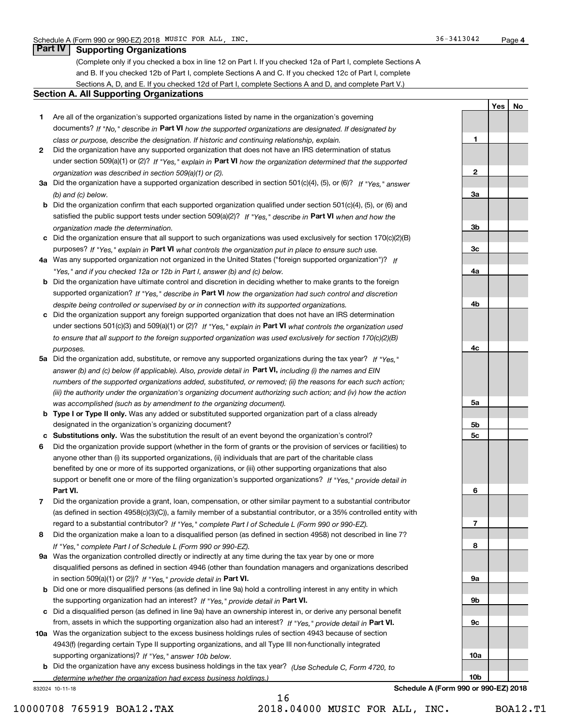## **Part IV Supporting Organizations**

(Complete only if you checked a box in line 12 on Part I. If you checked 12a of Part I, complete Sections A and B. If you checked 12b of Part I, complete Sections A and C. If you checked 12c of Part I, complete Sections A, D, and E. If you checked 12d of Part I, complete Sections A and D, and complete Part V.)

#### **Section A. All Supporting Organizations**

- **1** Are all of the organization's supported organizations listed by name in the organization's governing documents? If "No," describe in **Part VI** how the supported organizations are designated. If designated by *class or purpose, describe the designation. If historic and continuing relationship, explain.*
- **2** Did the organization have any supported organization that does not have an IRS determination of status under section 509(a)(1) or (2)? If "Yes," explain in Part VI how the organization determined that the supported *organization was described in section 509(a)(1) or (2).*
- **3a** Did the organization have a supported organization described in section 501(c)(4), (5), or (6)? If "Yes," answer *(b) and (c) below.*
- **b** Did the organization confirm that each supported organization qualified under section 501(c)(4), (5), or (6) and satisfied the public support tests under section 509(a)(2)? If "Yes," describe in **Part VI** when and how the *organization made the determination.*
- **c**Did the organization ensure that all support to such organizations was used exclusively for section 170(c)(2)(B) purposes? If "Yes," explain in **Part VI** what controls the organization put in place to ensure such use.
- **4a***If* Was any supported organization not organized in the United States ("foreign supported organization")? *"Yes," and if you checked 12a or 12b in Part I, answer (b) and (c) below.*
- **b** Did the organization have ultimate control and discretion in deciding whether to make grants to the foreign supported organization? If "Yes," describe in **Part VI** how the organization had such control and discretion *despite being controlled or supervised by or in connection with its supported organizations.*
- **c** Did the organization support any foreign supported organization that does not have an IRS determination under sections 501(c)(3) and 509(a)(1) or (2)? If "Yes," explain in **Part VI** what controls the organization used *to ensure that all support to the foreign supported organization was used exclusively for section 170(c)(2)(B) purposes.*
- **5a** Did the organization add, substitute, or remove any supported organizations during the tax year? If "Yes," answer (b) and (c) below (if applicable). Also, provide detail in **Part VI,** including (i) the names and EIN *numbers of the supported organizations added, substituted, or removed; (ii) the reasons for each such action; (iii) the authority under the organization's organizing document authorizing such action; and (iv) how the action was accomplished (such as by amendment to the organizing document).*
- **b** Type I or Type II only. Was any added or substituted supported organization part of a class already designated in the organization's organizing document?
- **cSubstitutions only.**  Was the substitution the result of an event beyond the organization's control?
- **6** Did the organization provide support (whether in the form of grants or the provision of services or facilities) to **Part VI.** *If "Yes," provide detail in* support or benefit one or more of the filing organization's supported organizations? anyone other than (i) its supported organizations, (ii) individuals that are part of the charitable class benefited by one or more of its supported organizations, or (iii) other supporting organizations that also
- **7**Did the organization provide a grant, loan, compensation, or other similar payment to a substantial contributor *If "Yes," complete Part I of Schedule L (Form 990 or 990-EZ).* regard to a substantial contributor? (as defined in section 4958(c)(3)(C)), a family member of a substantial contributor, or a 35% controlled entity with
- **8** Did the organization make a loan to a disqualified person (as defined in section 4958) not described in line 7? *If "Yes," complete Part I of Schedule L (Form 990 or 990-EZ).*
- **9a** Was the organization controlled directly or indirectly at any time during the tax year by one or more in section 509(a)(1) or (2))? If "Yes," *provide detail in* <code>Part VI.</code> disqualified persons as defined in section 4946 (other than foundation managers and organizations described
- **b** Did one or more disqualified persons (as defined in line 9a) hold a controlling interest in any entity in which the supporting organization had an interest? If "Yes," provide detail in P**art VI**.
- **c**Did a disqualified person (as defined in line 9a) have an ownership interest in, or derive any personal benefit from, assets in which the supporting organization also had an interest? If "Yes," provide detail in P**art VI.**
- **10a** Was the organization subject to the excess business holdings rules of section 4943 because of section supporting organizations)? If "Yes," answer 10b below. 4943(f) (regarding certain Type II supporting organizations, and all Type III non-functionally integrated
- **b** Did the organization have any excess business holdings in the tax year? (Use Schedule C, Form 4720, to *determine whether the organization had excess business holdings.)*

832024 10-11-18

**23a3b3c4a4b4c5a 5b5c6789a 9b9c**

**1**

**YesNo**

**Schedule A (Form 990 or 990-EZ) 2018**

**10a**

**10b**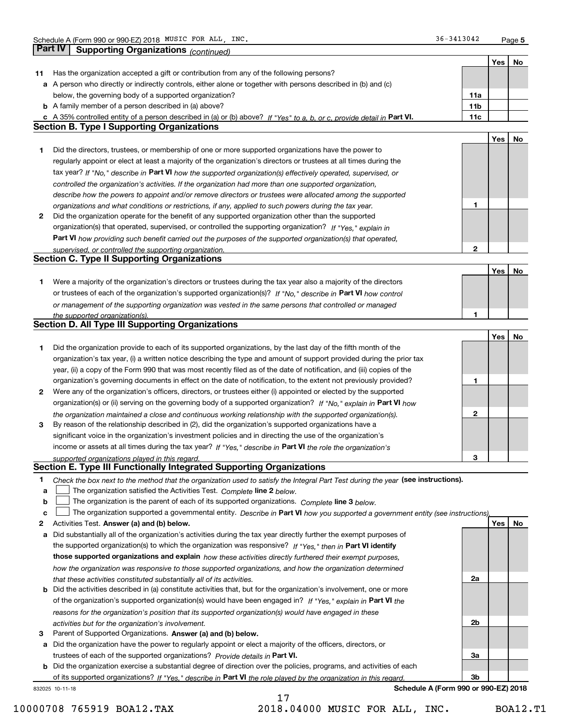|    | <b>Part IV</b><br>Supporting Organizations (continued)                                                                                                                       |                 |     |    |
|----|------------------------------------------------------------------------------------------------------------------------------------------------------------------------------|-----------------|-----|----|
|    |                                                                                                                                                                              |                 | Yes | No |
| 11 | Has the organization accepted a gift or contribution from any of the following persons?                                                                                      |                 |     |    |
|    | a A person who directly or indirectly controls, either alone or together with persons described in (b) and (c)                                                               |                 |     |    |
|    | below, the governing body of a supported organization?                                                                                                                       | 11a             |     |    |
|    | <b>b</b> A family member of a person described in (a) above?                                                                                                                 | 11 <sub>b</sub> |     |    |
|    |                                                                                                                                                                              | 11c             |     |    |
|    | c A 35% controlled entity of a person described in (a) or (b) above? If "Yes" to a, b, or c, provide detail in Part VI.<br><b>Section B. Type I Supporting Organizations</b> |                 |     |    |
|    |                                                                                                                                                                              |                 |     |    |
|    |                                                                                                                                                                              |                 | Yes | No |
| 1  | Did the directors, trustees, or membership of one or more supported organizations have the power to                                                                          |                 |     |    |
|    | regularly appoint or elect at least a majority of the organization's directors or trustees at all times during the                                                           |                 |     |    |
|    | tax year? If "No," describe in Part VI how the supported organization(s) effectively operated, supervised, or                                                                |                 |     |    |
|    | controlled the organization's activities. If the organization had more than one supported organization,                                                                      |                 |     |    |
|    | describe how the powers to appoint and/or remove directors or trustees were allocated among the supported                                                                    |                 |     |    |
|    | organizations and what conditions or restrictions, if any, applied to such powers during the tax year.                                                                       | 1               |     |    |
| 2  | Did the organization operate for the benefit of any supported organization other than the supported                                                                          |                 |     |    |
|    | organization(s) that operated, supervised, or controlled the supporting organization? If "Yes," explain in                                                                   |                 |     |    |
|    | Part VI how providing such benefit carried out the purposes of the supported organization(s) that operated,                                                                  |                 |     |    |
|    | supervised, or controlled the supporting organization.                                                                                                                       | 2               |     |    |
|    | <b>Section C. Type II Supporting Organizations</b>                                                                                                                           |                 |     |    |
|    |                                                                                                                                                                              |                 | Yes | No |
| 1  | Were a majority of the organization's directors or trustees during the tax year also a majority of the directors                                                             |                 |     |    |
|    | or trustees of each of the organization's supported organization(s)? If "No." describe in Part VI how control                                                                |                 |     |    |
|    | or management of the supporting organization was vested in the same persons that controlled or managed                                                                       |                 |     |    |
|    | the supported organization(s).                                                                                                                                               | 1               |     |    |
|    | <b>Section D. All Type III Supporting Organizations</b>                                                                                                                      |                 |     |    |
|    |                                                                                                                                                                              |                 | Yes | No |
| 1  | Did the organization provide to each of its supported organizations, by the last day of the fifth month of the                                                               |                 |     |    |
|    | organization's tax year, (i) a written notice describing the type and amount of support provided during the prior tax                                                        |                 |     |    |
|    | year, (ii) a copy of the Form 990 that was most recently filed as of the date of notification, and (iii) copies of the                                                       |                 |     |    |
|    | organization's governing documents in effect on the date of notification, to the extent not previously provided?                                                             | 1               |     |    |
| 2  | Were any of the organization's officers, directors, or trustees either (i) appointed or elected by the supported                                                             |                 |     |    |
|    | organization(s) or (ii) serving on the governing body of a supported organization? If "No," explain in Part VI how                                                           |                 |     |    |
|    | the organization maintained a close and continuous working relationship with the supported organization(s).                                                                  | $\mathbf{2}$    |     |    |
| 3  | By reason of the relationship described in (2), did the organization's supported organizations have a                                                                        |                 |     |    |
|    | significant voice in the organization's investment policies and in directing the use of the organization's                                                                   |                 |     |    |
|    |                                                                                                                                                                              |                 |     |    |
|    | income or assets at all times during the tax year? If "Yes," describe in Part VI the role the organization's                                                                 |                 |     |    |
|    | supported organizations played in this regard.<br>Section E. Type III Functionally Integrated Supporting Organizations                                                       | 3               |     |    |
|    |                                                                                                                                                                              |                 |     |    |
| 1  | Check the box next to the method that the organization used to satisfy the Integral Part Test during the year (see instructions).                                            |                 |     |    |
| a  | The organization satisfied the Activities Test. Complete line 2 below.                                                                                                       |                 |     |    |
| b  | The organization is the parent of each of its supported organizations. Complete line 3 below.                                                                                |                 |     |    |
| c  | The organization supported a governmental entity. Describe in Part VI how you supported a government entity (see instructions).                                              |                 |     |    |
| 2  | Activities Test. Answer (a) and (b) below.                                                                                                                                   |                 | Yes | No |
| а  | Did substantially all of the organization's activities during the tax year directly further the exempt purposes of                                                           |                 |     |    |
|    | the supported organization(s) to which the organization was responsive? If "Yes," then in Part VI identify                                                                   |                 |     |    |
|    | those supported organizations and explain how these activities directly furthered their exempt purposes,                                                                     |                 |     |    |
|    | how the organization was responsive to those supported organizations, and how the organization determined                                                                    |                 |     |    |
|    | that these activities constituted substantially all of its activities.                                                                                                       | 2a              |     |    |
| b  | Did the activities described in (a) constitute activities that, but for the organization's involvement, one or more                                                          |                 |     |    |
|    | of the organization's supported organization(s) would have been engaged in? If "Yes," explain in Part VI the                                                                 |                 |     |    |
|    | reasons for the organization's position that its supported organization(s) would have engaged in these                                                                       |                 |     |    |
|    | activities but for the organization's involvement.                                                                                                                           | 2b              |     |    |
| з  | Parent of Supported Organizations. Answer (a) and (b) below.                                                                                                                 |                 |     |    |
| а  | Did the organization have the power to regularly appoint or elect a majority of the officers, directors, or                                                                  |                 |     |    |
|    | trustees of each of the supported organizations? Provide details in Part VI.                                                                                                 | За              |     |    |
|    | <b>b</b> Did the organization exercise a substantial degree of direction over the policies, programs, and activities of each                                                 |                 |     |    |
|    | of its supported organizations? If "Yes," describe in Part VI the role played by the organization in this regard                                                             | 3b              |     |    |
|    | Schedule A (Form 990 or 990-EZ) 2018<br>832025 10-11-18                                                                                                                      |                 |     |    |
|    | 17                                                                                                                                                                           |                 |     |    |

 <sup>10000708 765919</sup> BOA12.TAX 2018.04000 MUSIC FOR ALL, INC. BOA12.T1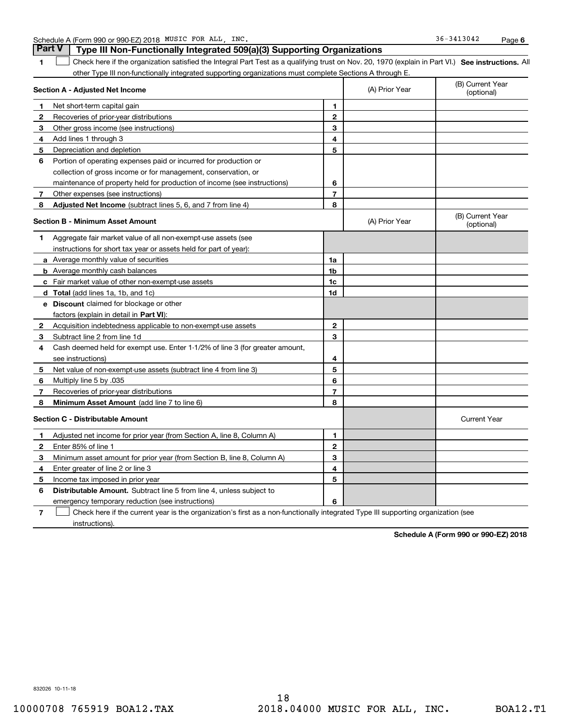| Schedule A (Form 990 or 990-EZ) 2018 MUSIC FOR ALL, INC |  |  |  |  |
|---------------------------------------------------------|--|--|--|--|
|---------------------------------------------------------|--|--|--|--|

**1SEP 10. See instructions.** All antegral Part Test as a qualifying trust on Nov. 20, 1970 (explain in Part VI.) See instructions. All **Section A - Adjusted Net Income 123** Other gross income (see instructions) **456** Portion of operating expenses paid or incurred for production or **7** Other expenses (see instructions) **8** Adjusted Net Income (subtract lines 5, 6, and 7 from line 4) **8 8 1234567Section B - Minimum Asset Amount 1**Aggregate fair market value of all non-exempt-use assets (see **2**Acquisition indebtedness applicable to non-exempt-use assets **3** Subtract line 2 from line 1d **4**Cash deemed held for exempt use. Enter 1-1/2% of line 3 (for greater amount, **5** Net value of non-exempt-use assets (subtract line 4 from line 3) **678a** Average monthly value of securities **b** Average monthly cash balances **c**Fair market value of other non-exempt-use assets **dTotal**  (add lines 1a, 1b, and 1c) **eDiscount** claimed for blockage or other **1a1b1c1d2345678**factors (explain in detail in **Part VI**): **Minimum Asset Amount**  (add line 7 to line 6) **Section C - Distributable Amount 123412345**Schedule A (Form 990 or 990-EZ) 2018 MUSIC FOR ALL,INC. 36-3413042 Page other Type III non-functionally integrated supporting organizations must complete Sections A through E. (B) Current Year (optional)(A) Prior Year Net short-term capital gain Recoveries of prior-year distributions Add lines 1 through 3 Depreciation and depletion collection of gross income or for management, conservation, or maintenance of property held for production of income (see instructions) (B) Current Year (optional)(A) Prior Year instructions for short tax year or assets held for part of year): see instructions) Multiply line 5 by .035 Recoveries of prior-year distributions Current Year Adjusted net income for prior year (from Section A, line 8, Column A) Enter 85% of line 1 Minimum asset amount for prior year (from Section B, line 8, Column A) Enter greater of line 2 or line 3 **Part V** Type III Non-Functionally Integrated 509(a)(3) Supporting Organizations  $\mathcal{L}^{\text{max}}$ 

**7**emergency temporary reduction (see instructions) Check here if the current year is the organization's first as a non-functionally integrated Type III supporting organization (see instructions). $\mathcal{L}^{\text{max}}$ 

**Distributable Amount.** Subtract line 5 from line 4, unless subject to

**Schedule A (Form 990 or 990-EZ) 2018**

832026 10-11-18

**56**

**6**

Income tax imposed in prior year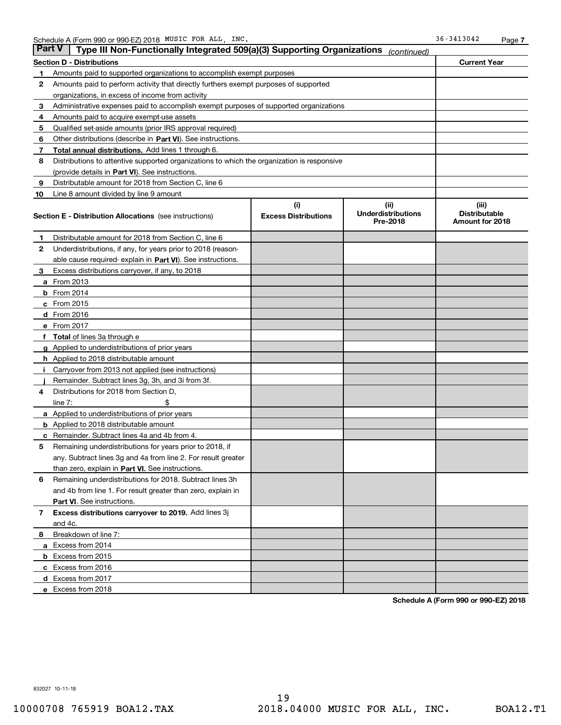|    | Part V<br>Type III Non-Functionally Integrated 509(a)(3) Supporting Organizations          |                             | (continued)                           |                                         |
|----|--------------------------------------------------------------------------------------------|-----------------------------|---------------------------------------|-----------------------------------------|
|    | <b>Section D - Distributions</b>                                                           |                             |                                       | <b>Current Year</b>                     |
| 1  | Amounts paid to supported organizations to accomplish exempt purposes                      |                             |                                       |                                         |
| 2  | Amounts paid to perform activity that directly furthers exempt purposes of supported       |                             |                                       |                                         |
|    | organizations, in excess of income from activity                                           |                             |                                       |                                         |
| з  | Administrative expenses paid to accomplish exempt purposes of supported organizations      |                             |                                       |                                         |
| 4  | Amounts paid to acquire exempt-use assets                                                  |                             |                                       |                                         |
| 5  | Qualified set-aside amounts (prior IRS approval required)                                  |                             |                                       |                                         |
| 6  | Other distributions (describe in Part VI). See instructions.                               |                             |                                       |                                         |
| 7  | <b>Total annual distributions.</b> Add lines 1 through 6.                                  |                             |                                       |                                         |
| 8  | Distributions to attentive supported organizations to which the organization is responsive |                             |                                       |                                         |
|    | (provide details in Part VI). See instructions.                                            |                             |                                       |                                         |
| 9  | Distributable amount for 2018 from Section C, line 6                                       |                             |                                       |                                         |
| 10 | Line 8 amount divided by line 9 amount                                                     |                             |                                       |                                         |
|    |                                                                                            | (i)                         | (iii)                                 | (iii)                                   |
|    | <b>Section E - Distribution Allocations</b> (see instructions)                             | <b>Excess Distributions</b> | <b>Underdistributions</b><br>Pre-2018 | <b>Distributable</b><br>Amount for 2018 |
| 1  | Distributable amount for 2018 from Section C, line 6                                       |                             |                                       |                                         |
| 2  | Underdistributions, if any, for years prior to 2018 (reason-                               |                             |                                       |                                         |
|    | able cause required- explain in <b>Part VI</b> ). See instructions.                        |                             |                                       |                                         |
| з  | Excess distributions carryover, if any, to 2018                                            |                             |                                       |                                         |
|    | <b>a</b> From 2013                                                                         |                             |                                       |                                         |
|    | $b$ From 2014                                                                              |                             |                                       |                                         |
|    | $c$ From 2015                                                                              |                             |                                       |                                         |
|    | d From 2016                                                                                |                             |                                       |                                         |
|    | e From 2017                                                                                |                             |                                       |                                         |
|    | Total of lines 3a through e                                                                |                             |                                       |                                         |
|    | <b>g</b> Applied to underdistributions of prior years                                      |                             |                                       |                                         |
|    | <b>h</b> Applied to 2018 distributable amount                                              |                             |                                       |                                         |
|    | Carryover from 2013 not applied (see instructions)                                         |                             |                                       |                                         |
|    | Remainder. Subtract lines 3g, 3h, and 3i from 3f.                                          |                             |                                       |                                         |
| 4  | Distributions for 2018 from Section D,                                                     |                             |                                       |                                         |
|    | line $7:$                                                                                  |                             |                                       |                                         |
|    | <b>a</b> Applied to underdistributions of prior years                                      |                             |                                       |                                         |
|    | <b>b</b> Applied to 2018 distributable amount                                              |                             |                                       |                                         |
| c  | Remainder. Subtract lines 4a and 4b from 4.                                                |                             |                                       |                                         |
| 5  | Remaining underdistributions for years prior to 2018, if                                   |                             |                                       |                                         |
|    | any. Subtract lines 3g and 4a from line 2. For result greater                              |                             |                                       |                                         |
|    | than zero, explain in Part VI. See instructions.                                           |                             |                                       |                                         |
| 6  | Remaining underdistributions for 2018. Subtract lines 3h                                   |                             |                                       |                                         |
|    | and 4b from line 1. For result greater than zero, explain in                               |                             |                                       |                                         |
|    | Part VI. See instructions.                                                                 |                             |                                       |                                         |
| 7  | Excess distributions carryover to 2019. Add lines 3j                                       |                             |                                       |                                         |
|    | and 4c.                                                                                    |                             |                                       |                                         |
| 8  | Breakdown of line 7:                                                                       |                             |                                       |                                         |
|    | a Excess from 2014                                                                         |                             |                                       |                                         |
|    | <b>b</b> Excess from 2015                                                                  |                             |                                       |                                         |
|    | c Excess from 2016                                                                         |                             |                                       |                                         |
|    | d Excess from 2017                                                                         |                             |                                       |                                         |
|    | e Excess from 2018                                                                         |                             |                                       |                                         |

**Schedule A (Form 990 or 990-EZ) 2018**

832027 10-11-18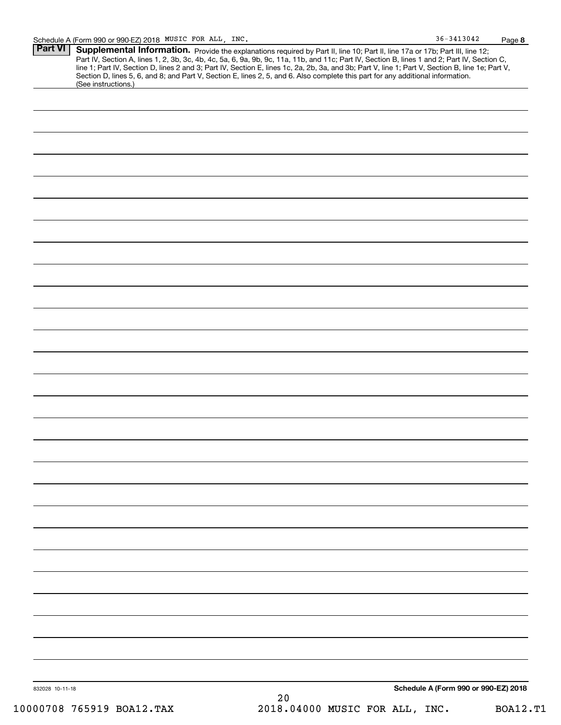| $36 - 3413042$ | Page 8 |
|----------------|--------|
|                |        |

| Part VI   Supplemental Information. Provide the explanations required by Part II, line 10; Part II, line 17a or 17b; Part III, line 12;          |
|--------------------------------------------------------------------------------------------------------------------------------------------------|
| Part IV, Section A, lines 1, 2, 3b, 3c, 4b, 4c, 5a, 6, 9a, 9b, 9c, 11a, 11b, and 11c; Part IV, Section B, lines 1 and 2; Part IV, Section C,     |
| line 1; Part IV, Section D, lines 2 and 3; Part IV, Section E, lines 1c, 2a, 2b, 3a, and 3b; Part V, line 1; Part V, Section B, line 1e; Part V, |
| Section D, lines 5, 6, and 8; and Part V, Section E, lines 2, 5, and 6. Also complete this part for any additional information.                  |
| (See instructions.)                                                                                                                              |

| 832028 10-11-18 | Schedule A (Form 990 or 990-EZ) 2018 |  |
|-----------------|--------------------------------------|--|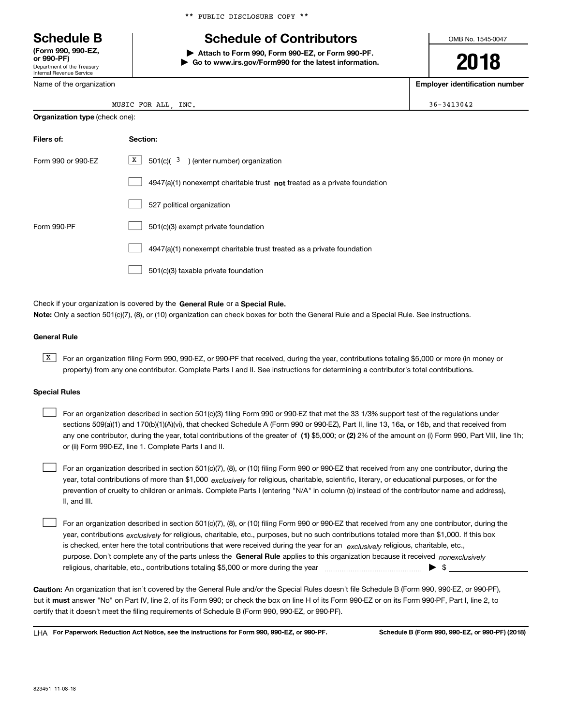Department of the Treasury Internal Revenue Service **(Form 990, 990-EZ, or 990-PF)**

Name of the organization

**Organization type** (check one):

# **Schedule B Schedule of Contributors**

**| Attach to Form 990, Form 990-EZ, or Form 990-PF. | Go to www.irs.gov/Form990 for the latest information.** OMB No. 1545-0047

**2018**

**Employer identification number**

| ъ<br>6<br>э. |
|--------------|
| . .          |

MUSIC FOR ALL, INC.  $36-3413042$ 

| Filers of:         | Section:                                                                    |
|--------------------|-----------------------------------------------------------------------------|
| Form 990 or 990-FZ | X<br>$501(c)$ ( $3$ ) (enter number) organization                           |
|                    | $4947(a)(1)$ nonexempt charitable trust not treated as a private foundation |
|                    | 527 political organization                                                  |
| Form 990-PF        | 501(c)(3) exempt private foundation                                         |
|                    | 4947(a)(1) nonexempt charitable trust treated as a private foundation       |
|                    | 501(c)(3) taxable private foundation                                        |

Check if your organization is covered by the **General Rule** or a **Special Rule. Note:**  Only a section 501(c)(7), (8), or (10) organization can check boxes for both the General Rule and a Special Rule. See instructions.

#### **General Rule**

 $\overline{X}$  For an organization filing Form 990, 990-EZ, or 990-PF that received, during the year, contributions totaling \$5,000 or more (in money or property) from any one contributor. Complete Parts I and II. See instructions for determining a contributor's total contributions.

#### **Special Rules**

any one contributor, during the year, total contributions of the greater of  $\,$  (1) \$5,000; or **(2)** 2% of the amount on (i) Form 990, Part VIII, line 1h; For an organization described in section 501(c)(3) filing Form 990 or 990-EZ that met the 33 1/3% support test of the regulations under sections 509(a)(1) and 170(b)(1)(A)(vi), that checked Schedule A (Form 990 or 990-EZ), Part II, line 13, 16a, or 16b, and that received from or (ii) Form 990-EZ, line 1. Complete Parts I and II.  $\mathcal{L}^{\text{max}}$ 

year, total contributions of more than \$1,000 *exclusively* for religious, charitable, scientific, literary, or educational purposes, or for the For an organization described in section 501(c)(7), (8), or (10) filing Form 990 or 990-EZ that received from any one contributor, during the prevention of cruelty to children or animals. Complete Parts I (entering "N/A" in column (b) instead of the contributor name and address), II, and III.  $\mathcal{L}^{\text{max}}$ 

purpose. Don't complete any of the parts unless the **General Rule** applies to this organization because it received *nonexclusively* year, contributions <sub>exclusively</sub> for religious, charitable, etc., purposes, but no such contributions totaled more than \$1,000. If this box is checked, enter here the total contributions that were received during the year for an  $\;$ exclusively religious, charitable, etc., For an organization described in section 501(c)(7), (8), or (10) filing Form 990 or 990-EZ that received from any one contributor, during the religious, charitable, etc., contributions totaling \$5,000 or more during the year  $\Box$ — $\Box$   $\Box$  $\mathcal{L}^{\text{max}}$ 

**Caution:**  An organization that isn't covered by the General Rule and/or the Special Rules doesn't file Schedule B (Form 990, 990-EZ, or 990-PF),  **must** but it answer "No" on Part IV, line 2, of its Form 990; or check the box on line H of its Form 990-EZ or on its Form 990-PF, Part I, line 2, to certify that it doesn't meet the filing requirements of Schedule B (Form 990, 990-EZ, or 990-PF).

**For Paperwork Reduction Act Notice, see the instructions for Form 990, 990-EZ, or 990-PF. Schedule B (Form 990, 990-EZ, or 990-PF) (2018)** LHA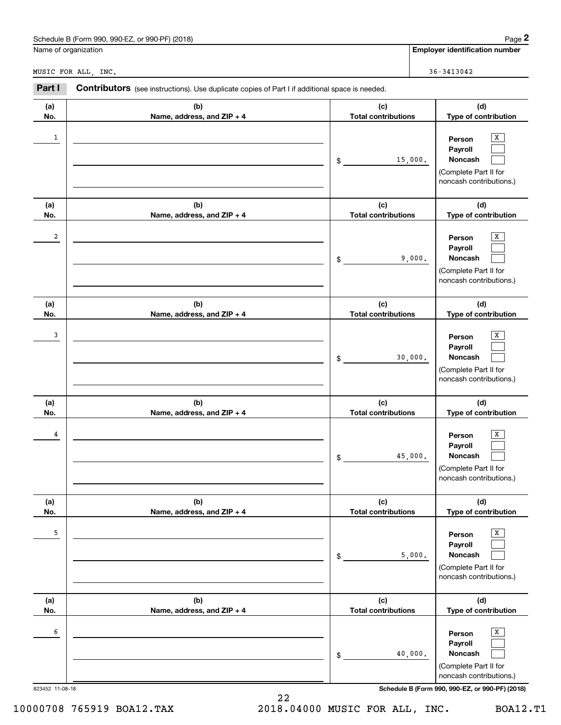| ) (2018)<br>Schedule<br>or 990-PF)<br>___<br>990-E<br>.-orm 990.<br>B (Form | 12000<br>aue |
|-----------------------------------------------------------------------------|--------------|
|                                                                             |              |

|                      |                                                                                                |                                   | Page 2                                                                                |
|----------------------|------------------------------------------------------------------------------------------------|-----------------------------------|---------------------------------------------------------------------------------------|
| Name of organization |                                                                                                |                                   | <b>Employer identification number</b>                                                 |
| MUSIC FOR ALL, INC.  |                                                                                                |                                   | 36-3413042                                                                            |
| Part I               | Contributors (see instructions). Use duplicate copies of Part I if additional space is needed. |                                   |                                                                                       |
| (a)<br>No.           | (b)<br>Name, address, and ZIP + 4                                                              | (c)<br><b>Total contributions</b> | (d)<br>Type of contribution                                                           |
| 1                    |                                                                                                | \$<br>15,000.                     | х<br>Person<br>Payroll<br>Noncash<br>(Complete Part II for<br>noncash contributions.) |
| (a)<br>No.           | (b)<br>Name, address, and ZIP + 4                                                              | (c)<br><b>Total contributions</b> | (d)<br>Type of contribution                                                           |
| 2                    |                                                                                                | \$<br>9,000.                      | X<br>Person<br>Payroll<br>Noncash<br>(Complete Part II for<br>noncash contributions.) |
| (a)<br>No.           | (b)<br>Name, address, and ZIP + 4                                                              | (c)<br><b>Total contributions</b> | (d)<br>Type of contribution                                                           |
| 3                    |                                                                                                | \$<br>30,000.                     | х<br>Person<br>Payroll<br>Noncash<br>(Complete Part II for<br>noncash contributions.) |
| (a)<br>No.           | (b)<br>Name, address, and ZIP + 4                                                              | (c)<br><b>Total contributions</b> | (d)<br>Type of contribution                                                           |
| 4                    |                                                                                                | \$<br>45,000.                     | х<br>Person<br>Payroll<br>Noncash<br>(Complete Part II for<br>noncash contributions.) |
| (a)<br>No.           | (b)<br>Name, address, and ZIP + 4                                                              | (c)<br><b>Total contributions</b> | (d)<br>Type of contribution                                                           |
| 5                    |                                                                                                | \$<br>5,000.                      | Х<br>Person<br>Payroll<br>Noncash<br>(Complete Part II for<br>noncash contributions.) |
| (a)<br>No.           | (b)<br>Name, address, and ZIP + 4                                                              | (c)<br><b>Total contributions</b> | (d)<br>Type of contribution                                                           |
| 6                    |                                                                                                | \$<br>40,000.                     | Х<br>Person<br>Payroll<br>Noncash<br>(Complete Part II for<br>noncash contributions.) |

22 10000708 765919 BOA12.TAX 2018.04000 MUSIC FOR ALL, INC. BOA12.T1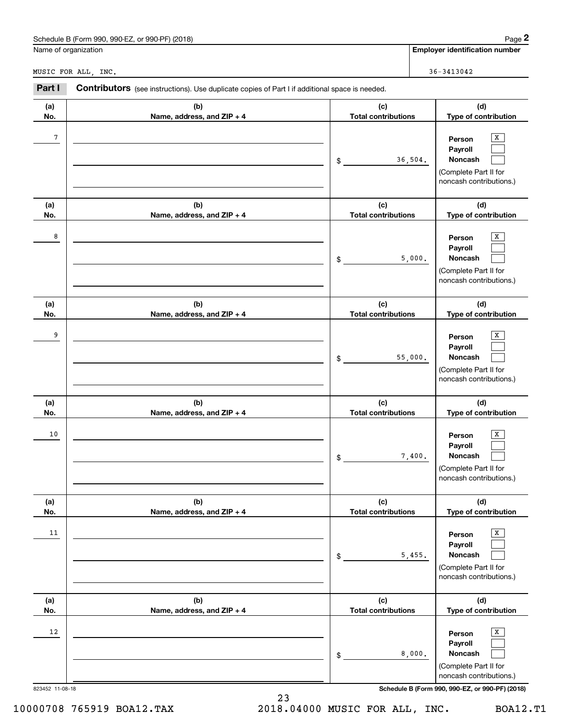| Schedule B (Form 990, 990-EZ, or 990-PF) (2018)                                                                 | Page 2                                |  |  |  |
|-----------------------------------------------------------------------------------------------------------------|---------------------------------------|--|--|--|
| Name of organization                                                                                            | <b>Employer identification number</b> |  |  |  |
| MUSIC FOR ALL.<br>INC.                                                                                          | $36 - 3413042$                        |  |  |  |
| Part I<br><b>Contributors</b> (see instructions). Use duplicate copies of Part I if additional space is needed. |                                       |  |  |  |

**(b) Name, address, and ZIP + 4**

and the contract of the contract of the contract of the contract of the contract of the contract of the contract of the contract of the contract of the contract of the contract of the contract of the contract of the contra

**(d)Type of contribution**

> $\sqrt{x}$  $\mathcal{L}^{\text{max}}$  $\mathcal{L}^{\text{max}}$

**Person PayrollNoncash**

**(c) Total contributions**

36,504.

\$

**(a) No.**

|                 |                                   |                                   | (Complete Part II for<br>noncash contributions.)                                      |
|-----------------|-----------------------------------|-----------------------------------|---------------------------------------------------------------------------------------|
| (a)<br>No.      | (b)<br>Name, address, and ZIP + 4 | (c)<br><b>Total contributions</b> | (d)<br>Type of contribution                                                           |
| 8               |                                   | 5,000.<br>\$                      | X<br>Person<br>Payroll<br>Noncash<br>(Complete Part II for<br>noncash contributions.) |
| (a)<br>No.      | (b)<br>Name, address, and ZIP + 4 | (c)<br><b>Total contributions</b> | (d)<br>Type of contribution                                                           |
| 9               |                                   | 55,000.<br>$\$$                   | x<br>Person<br>Payroll<br>Noncash<br>(Complete Part II for<br>noncash contributions.) |
| (a)<br>No.      | (b)<br>Name, address, and ZIP + 4 | (c)<br><b>Total contributions</b> | (d)<br>Type of contribution                                                           |
| 10              |                                   | 7,400.<br>$\$$                    | X<br>Person<br>Payroll<br>Noncash<br>(Complete Part II for<br>noncash contributions.) |
| (a)<br>No.      | (b)<br>Name, address, and ZIP + 4 | (c)<br><b>Total contributions</b> | (d)<br>Type of contribution                                                           |
| 11              |                                   | 5,455.<br>\$                      | x<br>Person<br>Payroll<br>Noncash<br>(Complete Part II for<br>noncash contributions.) |
| (a)<br>No.      | (b)<br>Name, address, and ZIP + 4 | (c)<br><b>Total contributions</b> | (d)<br>Type of contribution                                                           |
| 12              |                                   | 8,000.<br>\$                      | x<br>Person<br>Payroll<br>Noncash<br>(Complete Part II for<br>noncash contributions.) |
| 823452 11-08-18 |                                   |                                   | Schedule B (Form 990, 990-EZ, or 990-PF) (2018)                                       |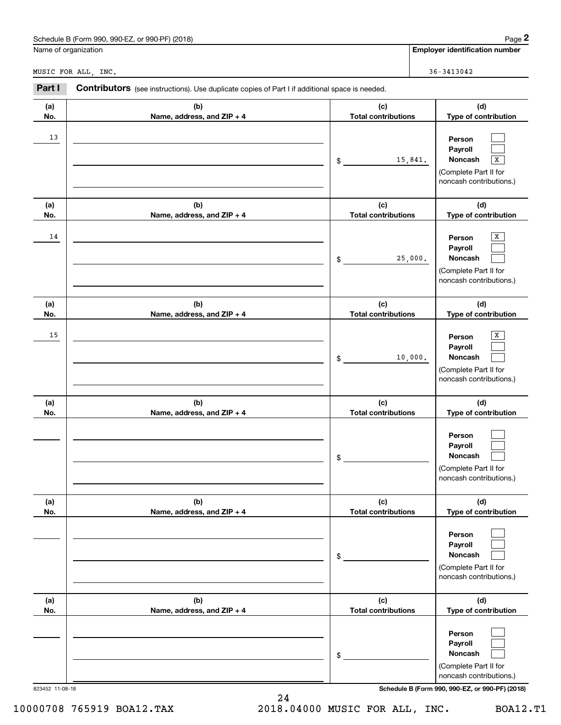| Schedule<br>990-EZ<br>(2018)<br>990. ا<br>DE.<br>form)<br>or<br>ิ 990-1 |  |  | $\cdot$ .<br>auc |
|-------------------------------------------------------------------------|--|--|------------------|
|                                                                         |  |  |                  |

|            | Schedule B (Form 990, 990-EZ, or 990-PF) (2018)                                                |                                   | Page 2                                                                                |
|------------|------------------------------------------------------------------------------------------------|-----------------------------------|---------------------------------------------------------------------------------------|
|            | Name of organization                                                                           |                                   | <b>Employer identification number</b>                                                 |
|            | MUSIC FOR ALL, INC.                                                                            |                                   | $36 - 3413042$                                                                        |
| Part I     | Contributors (see instructions). Use duplicate copies of Part I if additional space is needed. |                                   |                                                                                       |
| (a)<br>No. | (b)<br>Name, address, and ZIP + 4                                                              | (c)<br><b>Total contributions</b> | (d)<br>Type of contribution                                                           |
| 13         |                                                                                                | 15,841.<br>\$                     | Person<br>Payroll<br>Noncash<br>X<br>(Complete Part II for<br>noncash contributions.) |
| (a)<br>No. | (b)<br>Name, address, and ZIP + 4                                                              | (c)<br><b>Total contributions</b> | (d)<br>Type of contribution                                                           |
| 14         |                                                                                                | 25,000.<br>\$                     | х<br>Person<br>Payroll<br>Noncash<br>(Complete Part II for<br>noncash contributions.) |
| (a)<br>No. | (b)<br>Name, address, and ZIP + 4                                                              | (c)<br><b>Total contributions</b> | (d)<br>Type of contribution                                                           |
| 15         |                                                                                                | 10,000.<br>\$                     | х<br>Person<br>Payroll<br>Noncash<br>(Complete Part II for<br>noncash contributions.) |
| (a)<br>No. | (b)<br>Name, address, and ZIP + 4                                                              | (c)<br><b>Total contributions</b> | (d)<br>Type of contribution                                                           |
|            |                                                                                                | \$                                | Person<br>Payroll<br>Noncash<br>(Complete Part II for<br>noncash contributions.)      |
| (a)<br>No. | (b)<br>Name, address, and ZIP + 4                                                              | (c)<br><b>Total contributions</b> | (d)<br>Type of contribution                                                           |
|            |                                                                                                | \$                                | Person<br>Payroll<br>Noncash<br>(Complete Part II for<br>noncash contributions.)      |
| (a)<br>No. | (b)<br>Name, address, and ZIP + 4                                                              | (c)<br><b>Total contributions</b> | (d)<br>Type of contribution                                                           |
|            |                                                                                                | \$                                | Person<br>Payroll<br>Noncash<br>(Complete Part II for<br>noncash contributions.)      |

823452 11-08-18 **Schedule B (Form 990, 990-EZ, or 990-PF) (2018)**

24 10000708 765919 BOA12.TAX 2018.04000 MUSIC FOR ALL, INC. BOA12.T1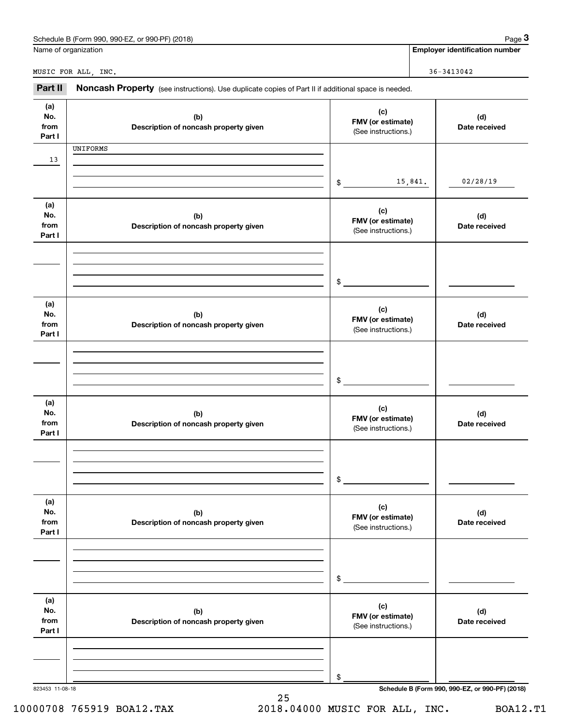|                              | Schedule B (Form 990, 990-EZ, or 990-PF) (2018)                                                     |                                                 | Page 3                                          |
|------------------------------|-----------------------------------------------------------------------------------------------------|-------------------------------------------------|-------------------------------------------------|
|                              | Name of organization                                                                                |                                                 | <b>Employer identification number</b>           |
|                              | MUSIC FOR ALL, INC.                                                                                 |                                                 | $36 - 3413042$                                  |
| Part II                      | Noncash Property (see instructions). Use duplicate copies of Part II if additional space is needed. |                                                 |                                                 |
| (a)<br>No.<br>from<br>Part I | (b)<br>Description of noncash property given                                                        | (c)<br>FMV (or estimate)<br>(See instructions.) | (d)<br>Date received                            |
| 13                           | UNIFORMS                                                                                            |                                                 |                                                 |
|                              |                                                                                                     | $\frac{1}{2}$                                   | 15,841.<br>02/28/19                             |
| (a)<br>No.<br>from<br>Part I | (b)<br>Description of noncash property given                                                        | (c)<br>FMV (or estimate)<br>(See instructions.) | (d)<br>Date received                            |
|                              |                                                                                                     | $\frac{1}{2}$                                   |                                                 |
| (a)<br>No.<br>from<br>Part I | (b)<br>Description of noncash property given                                                        | (c)<br>FMV (or estimate)<br>(See instructions.) | (d)<br>Date received                            |
|                              |                                                                                                     | $\frac{1}{2}$                                   |                                                 |
| (a)<br>No.<br>from<br>Part I | (b)<br>Description of noncash property given                                                        | (c)<br>FMV (or estimate)<br>(See instructions.) | (d)<br>Date received                            |
|                              |                                                                                                     | \$                                              |                                                 |
| (a)<br>No.<br>from<br>Part I | (b)<br>Description of noncash property given                                                        | (c)<br>FMV (or estimate)<br>(See instructions.) | (d)<br>Date received                            |
|                              |                                                                                                     | \$                                              |                                                 |
| (a)<br>No.<br>from<br>Part I | (b)<br>Description of noncash property given                                                        | (c)<br>FMV (or estimate)<br>(See instructions.) | (d)<br>Date received                            |
|                              |                                                                                                     | \$                                              |                                                 |
| 823453 11-08-18              |                                                                                                     |                                                 | Schedule B (Form 990, 990-EZ, or 990-PF) (2018) |

10000708 765919 BOA12.TAX 2018.04000 MUSIC FOR ALL, INC. BOA12.T1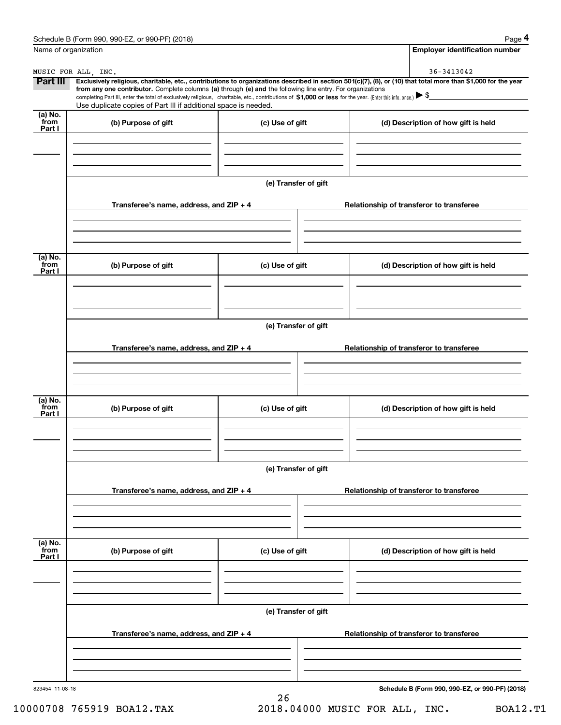|                           | Schedule B (Form 990, 990-EZ, or 990-PF) (2018)                                                                                                                                                                                                                                                 |                      | Page 4                                          |
|---------------------------|-------------------------------------------------------------------------------------------------------------------------------------------------------------------------------------------------------------------------------------------------------------------------------------------------|----------------------|-------------------------------------------------|
| Name of organization      |                                                                                                                                                                                                                                                                                                 |                      | <b>Employer identification number</b>           |
|                           | MUSIC FOR ALL, INC.                                                                                                                                                                                                                                                                             |                      | 36-3413042                                      |
| Part III                  | Exclusively religious, charitable, etc., contributions to organizations described in section 501(c)(7), (8), or (10) that total more than \$1,000 for the year                                                                                                                                  |                      |                                                 |
|                           | from any one contributor. Complete columns (a) through (e) and the following line entry. For organizations<br>completing Part III, enter the total of exclusively religious, charitable, etc., contributions of \$1,000 or less for the year. (Enter this info. once.) $\blacktriangleright$ \$ |                      |                                                 |
|                           | Use duplicate copies of Part III if additional space is needed.                                                                                                                                                                                                                                 |                      |                                                 |
| (a) No.<br>from<br>Part I | (b) Purpose of gift                                                                                                                                                                                                                                                                             | (c) Use of gift      | (d) Description of how gift is held             |
|                           |                                                                                                                                                                                                                                                                                                 |                      |                                                 |
|                           |                                                                                                                                                                                                                                                                                                 | (e) Transfer of gift |                                                 |
|                           | Transferee's name, address, and ZIP + 4                                                                                                                                                                                                                                                         |                      | Relationship of transferor to transferee        |
|                           |                                                                                                                                                                                                                                                                                                 |                      |                                                 |
|                           |                                                                                                                                                                                                                                                                                                 |                      |                                                 |
| (a) No.<br>from<br>Part I | (b) Purpose of gift                                                                                                                                                                                                                                                                             | (c) Use of gift      | (d) Description of how gift is held             |
|                           |                                                                                                                                                                                                                                                                                                 |                      |                                                 |
|                           |                                                                                                                                                                                                                                                                                                 | (e) Transfer of gift |                                                 |
|                           | Transferee's name, address, and ZIP + 4                                                                                                                                                                                                                                                         |                      | Relationship of transferor to transferee        |
|                           |                                                                                                                                                                                                                                                                                                 |                      |                                                 |
|                           |                                                                                                                                                                                                                                                                                                 |                      |                                                 |
| (a) No.<br>from<br>Part I | (b) Purpose of gift                                                                                                                                                                                                                                                                             | (c) Use of gift      | (d) Description of how gift is held             |
|                           |                                                                                                                                                                                                                                                                                                 |                      |                                                 |
|                           |                                                                                                                                                                                                                                                                                                 | (e) Transfer of gift |                                                 |
|                           | Transferee's name, address, and $ZIP + 4$                                                                                                                                                                                                                                                       |                      | Relationship of transferor to transferee        |
|                           |                                                                                                                                                                                                                                                                                                 |                      |                                                 |
| (a) No.<br>from           |                                                                                                                                                                                                                                                                                                 |                      |                                                 |
| Part I                    | (b) Purpose of gift                                                                                                                                                                                                                                                                             | (c) Use of gift      | (d) Description of how gift is held             |
|                           |                                                                                                                                                                                                                                                                                                 |                      |                                                 |
|                           |                                                                                                                                                                                                                                                                                                 | (e) Transfer of gift |                                                 |
|                           | Transferee's name, address, and $ZIP + 4$                                                                                                                                                                                                                                                       |                      | Relationship of transferor to transferee        |
|                           |                                                                                                                                                                                                                                                                                                 |                      |                                                 |
|                           |                                                                                                                                                                                                                                                                                                 |                      |                                                 |
| 823454 11-08-18           |                                                                                                                                                                                                                                                                                                 |                      | Schedule B (Form 990, 990-EZ, or 990-PF) (2018) |

10000708 765919 BOA12.TAX 2018.04000 MUSIC FOR ALL, INC. BOA12.T1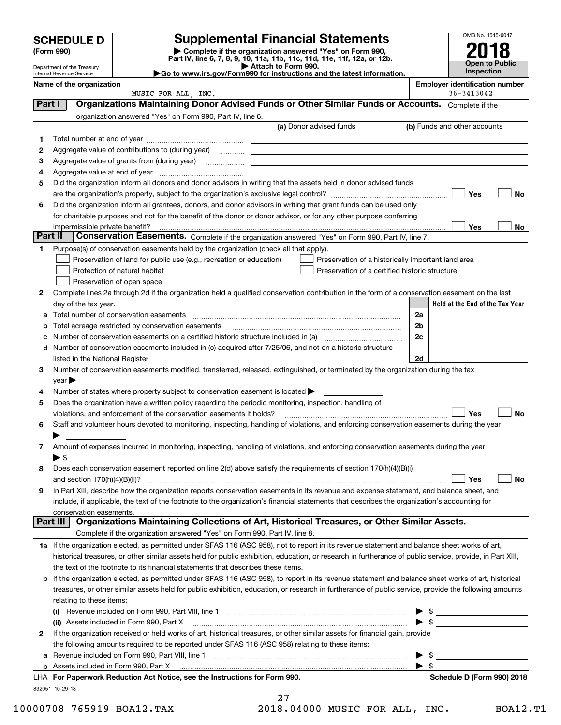| <b>SCHEDULE D</b> |  |
|-------------------|--|
|-------------------|--|

Department of the Treasury

| (Form 990) |  |
|------------|--|
|------------|--|

# **SCHEDULE D Supplemental Financial Statements**

(Form 990)<br>
Pepartment of the Treasury<br>
Department of the Treasury<br>
Department of the Treasury<br>
Department of the Treasury<br> **Co to www.irs.gov/Form990 for instructions and the latest information.**<br> **Co to www.irs.gov/Form9** 



|         | Internal Revenue Service                                                                                                                                                                                                                                                                                                                                           | $\blacktriangleright$ Go to www.irs.gov/Form990 for instructions and the latest information. |    |                          | <b>Inspection</b>                     |           |
|---------|--------------------------------------------------------------------------------------------------------------------------------------------------------------------------------------------------------------------------------------------------------------------------------------------------------------------------------------------------------------------|----------------------------------------------------------------------------------------------|----|--------------------------|---------------------------------------|-----------|
|         | Name of the organization                                                                                                                                                                                                                                                                                                                                           |                                                                                              |    |                          | <b>Employer identification number</b> |           |
| Part I  | MUSIC FOR ALL, INC.<br>Organizations Maintaining Donor Advised Funds or Other Similar Funds or Accounts. Complete if the                                                                                                                                                                                                                                           |                                                                                              |    |                          | 36-3413042                            |           |
|         | organization answered "Yes" on Form 990, Part IV, line 6.                                                                                                                                                                                                                                                                                                          |                                                                                              |    |                          |                                       |           |
|         |                                                                                                                                                                                                                                                                                                                                                                    | (a) Donor advised funds                                                                      |    |                          | (b) Funds and other accounts          |           |
| 1.      |                                                                                                                                                                                                                                                                                                                                                                    |                                                                                              |    |                          |                                       |           |
| 2       | Aggregate value of contributions to (during year)                                                                                                                                                                                                                                                                                                                  |                                                                                              |    |                          |                                       |           |
| з       | Aggregate value of grants from (during year)                                                                                                                                                                                                                                                                                                                       |                                                                                              |    |                          |                                       |           |
| 4       |                                                                                                                                                                                                                                                                                                                                                                    |                                                                                              |    |                          |                                       |           |
| 5       | Did the organization inform all donors and donor advisors in writing that the assets held in donor advised funds                                                                                                                                                                                                                                                   |                                                                                              |    |                          |                                       |           |
|         |                                                                                                                                                                                                                                                                                                                                                                    |                                                                                              |    |                          | Yes                                   | No        |
| 6       | Did the organization inform all grantees, donors, and donor advisors in writing that grant funds can be used only                                                                                                                                                                                                                                                  |                                                                                              |    |                          |                                       |           |
|         | for charitable purposes and not for the benefit of the donor or donor advisor, or for any other purpose conferring                                                                                                                                                                                                                                                 |                                                                                              |    |                          |                                       |           |
|         |                                                                                                                                                                                                                                                                                                                                                                    |                                                                                              |    |                          | Yes                                   | No        |
| Part II | Conservation Easements. Complete if the organization answered "Yes" on Form 990, Part IV, line 7.                                                                                                                                                                                                                                                                  |                                                                                              |    |                          |                                       |           |
| 1       | Purpose(s) of conservation easements held by the organization (check all that apply).                                                                                                                                                                                                                                                                              |                                                                                              |    |                          |                                       |           |
|         | Preservation of land for public use (e.g., recreation or education)                                                                                                                                                                                                                                                                                                | Preservation of a historically important land area                                           |    |                          |                                       |           |
|         | Protection of natural habitat                                                                                                                                                                                                                                                                                                                                      | Preservation of a certified historic structure                                               |    |                          |                                       |           |
|         | Preservation of open space                                                                                                                                                                                                                                                                                                                                         |                                                                                              |    |                          |                                       |           |
| 2       | Complete lines 2a through 2d if the organization held a qualified conservation contribution in the form of a conservation easement on the last                                                                                                                                                                                                                     |                                                                                              |    |                          |                                       |           |
|         | day of the tax year.                                                                                                                                                                                                                                                                                                                                               |                                                                                              |    |                          | Held at the End of the Tax Year       |           |
| а       | Total number of conservation easements                                                                                                                                                                                                                                                                                                                             |                                                                                              | 2a |                          |                                       |           |
| b       | Total acreage restricted by conservation easements                                                                                                                                                                                                                                                                                                                 |                                                                                              | 2b |                          |                                       |           |
| с       |                                                                                                                                                                                                                                                                                                                                                                    |                                                                                              | 2c |                          |                                       |           |
| d       | Number of conservation easements included in (c) acquired after 7/25/06, and not on a historic structure                                                                                                                                                                                                                                                           |                                                                                              | 2d |                          |                                       |           |
| 3       | listed in the National Register [[11] matter contract the state of the state of the National Register [11] matter state is a state of the National Register [11] matter state is a state of the state of the state of the stat<br>Number of conservation easements modified, transferred, released, extinguished, or terminated by the organization during the tax |                                                                                              |    |                          |                                       |           |
|         | $\gamma$ ear $\blacktriangleright$                                                                                                                                                                                                                                                                                                                                 |                                                                                              |    |                          |                                       |           |
| 4       | Number of states where property subject to conservation easement is located $\blacktriangleright$                                                                                                                                                                                                                                                                  |                                                                                              |    |                          |                                       |           |
| 5       | Does the organization have a written policy regarding the periodic monitoring, inspection, handling of                                                                                                                                                                                                                                                             |                                                                                              |    |                          |                                       |           |
|         | violations, and enforcement of the conservation easements it holds?                                                                                                                                                                                                                                                                                                |                                                                                              |    |                          | Yes                                   | <b>No</b> |
| 6       | Staff and volunteer hours devoted to monitoring, inspecting, handling of violations, and enforcing conservation easements during the year                                                                                                                                                                                                                          |                                                                                              |    |                          |                                       |           |
|         |                                                                                                                                                                                                                                                                                                                                                                    |                                                                                              |    |                          |                                       |           |
| 7       | Amount of expenses incurred in monitoring, inspecting, handling of violations, and enforcing conservation easements during the year                                                                                                                                                                                                                                |                                                                                              |    |                          |                                       |           |
|         | $\blacktriangleright$ \$                                                                                                                                                                                                                                                                                                                                           |                                                                                              |    |                          |                                       |           |
| 8       | Does each conservation easement reported on line 2(d) above satisfy the requirements of section 170(h)(4)(B)(i)                                                                                                                                                                                                                                                    |                                                                                              |    |                          |                                       |           |
|         | and section 170(h)(4)(B)(ii)?                                                                                                                                                                                                                                                                                                                                      |                                                                                              |    |                          | Yes                                   | No        |
| 9       | In Part XIII, describe how the organization reports conservation easements in its revenue and expense statement, and balance sheet, and                                                                                                                                                                                                                            |                                                                                              |    |                          |                                       |           |
|         | include, if applicable, the text of the footnote to the organization's financial statements that describes the organization's accounting for                                                                                                                                                                                                                       |                                                                                              |    |                          |                                       |           |
|         | conservation easements.                                                                                                                                                                                                                                                                                                                                            |                                                                                              |    |                          |                                       |           |
|         | Organizations Maintaining Collections of Art, Historical Treasures, or Other Similar Assets.<br>Part III                                                                                                                                                                                                                                                           |                                                                                              |    |                          |                                       |           |
|         | Complete if the organization answered "Yes" on Form 990, Part IV, line 8.                                                                                                                                                                                                                                                                                          |                                                                                              |    |                          |                                       |           |
|         | 1a If the organization elected, as permitted under SFAS 116 (ASC 958), not to report in its revenue statement and balance sheet works of art,                                                                                                                                                                                                                      |                                                                                              |    |                          |                                       |           |
|         | historical treasures, or other similar assets held for public exhibition, education, or research in furtherance of public service, provide, in Part XIII,<br>the text of the footnote to its financial statements that describes these items.                                                                                                                      |                                                                                              |    |                          |                                       |           |
|         | <b>b</b> If the organization elected, as permitted under SFAS 116 (ASC 958), to report in its revenue statement and balance sheet works of art, historical                                                                                                                                                                                                         |                                                                                              |    |                          |                                       |           |
|         | treasures, or other similar assets held for public exhibition, education, or research in furtherance of public service, provide the following amounts                                                                                                                                                                                                              |                                                                                              |    |                          |                                       |           |
|         | relating to these items:                                                                                                                                                                                                                                                                                                                                           |                                                                                              |    |                          |                                       |           |
|         |                                                                                                                                                                                                                                                                                                                                                                    |                                                                                              |    |                          | $\triangleright$ \$                   |           |
|         | (ii) Assets included in Form 990, Part X                                                                                                                                                                                                                                                                                                                           |                                                                                              |    | $\blacktriangleright$ \$ |                                       |           |
| 2       | If the organization received or held works of art, historical treasures, or other similar assets for financial gain, provide                                                                                                                                                                                                                                       |                                                                                              |    |                          |                                       |           |
|         | the following amounts required to be reported under SFAS 116 (ASC 958) relating to these items:                                                                                                                                                                                                                                                                    |                                                                                              |    |                          |                                       |           |
|         | a Revenue included on Form 990, Part VIII, line 1 [2000] [2000] [2000] [2000] [2000] [2000] [2000] [2000] [2000                                                                                                                                                                                                                                                    |                                                                                              |    | - \$                     |                                       |           |
|         |                                                                                                                                                                                                                                                                                                                                                                    |                                                                                              |    | $\blacktriangleright$ \$ |                                       |           |
|         | LHA For Paperwork Reduction Act Notice, see the Instructions for Form 990.                                                                                                                                                                                                                                                                                         |                                                                                              |    |                          | Schedule D (Form 990) 2018            |           |

832051 10-29-18

| ┍<br>7<br>2 |  |  |
|-------------|--|--|
|             |  |  |

10000708 765919 BOA12.TAX 2018.04000 MUSIC FOR ALL, INC. BOA12.T1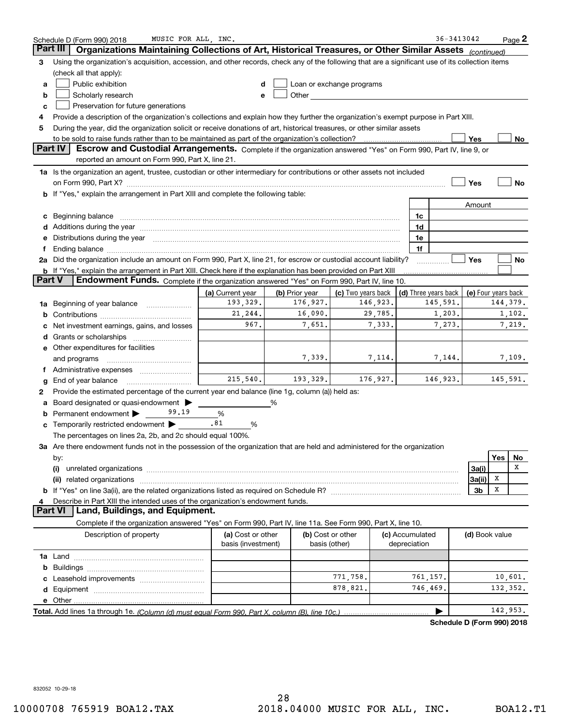|        | MUSIC FOR ALL, INC.<br>Schedule D (Form 990) 2018                                                                                                                                                                              |                                         |                |                                                                                                                                                                                                                               |                                 | 36-3413042                                       |                |     | $Page$ 2 |
|--------|--------------------------------------------------------------------------------------------------------------------------------------------------------------------------------------------------------------------------------|-----------------------------------------|----------------|-------------------------------------------------------------------------------------------------------------------------------------------------------------------------------------------------------------------------------|---------------------------------|--------------------------------------------------|----------------|-----|----------|
|        | Organizations Maintaining Collections of Art, Historical Treasures, or Other Similar Assets (continued)<br>Part III                                                                                                            |                                         |                |                                                                                                                                                                                                                               |                                 |                                                  |                |     |          |
| 3      | Using the organization's acquisition, accession, and other records, check any of the following that are a significant use of its collection items                                                                              |                                         |                |                                                                                                                                                                                                                               |                                 |                                                  |                |     |          |
|        | (check all that apply):                                                                                                                                                                                                        |                                         |                |                                                                                                                                                                                                                               |                                 |                                                  |                |     |          |
| a      | Public exhibition                                                                                                                                                                                                              |                                         |                | Loan or exchange programs                                                                                                                                                                                                     |                                 |                                                  |                |     |          |
| b      | Scholarly research                                                                                                                                                                                                             |                                         |                | Other and the contract of the contract of the contract of the contract of the contract of the contract of the contract of the contract of the contract of the contract of the contract of the contract of the contract of the |                                 |                                                  |                |     |          |
| c      | Preservation for future generations                                                                                                                                                                                            |                                         |                |                                                                                                                                                                                                                               |                                 |                                                  |                |     |          |
| 4      | Provide a description of the organization's collections and explain how they further the organization's exempt purpose in Part XIII.                                                                                           |                                         |                |                                                                                                                                                                                                                               |                                 |                                                  |                |     |          |
| 5      | During the year, did the organization solicit or receive donations of art, historical treasures, or other similar assets                                                                                                       |                                         |                |                                                                                                                                                                                                                               |                                 |                                                  |                |     |          |
|        | to be sold to raise funds rather than to be maintained as part of the organization's collection?<br>Yes<br>No                                                                                                                  |                                         |                |                                                                                                                                                                                                                               |                                 |                                                  |                |     |          |
|        | Escrow and Custodial Arrangements. Complete if the organization answered "Yes" on Form 990, Part IV, line 9, or<br><b>Part IV</b><br>reported an amount on Form 990, Part X, line 21.                                          |                                         |                |                                                                                                                                                                                                                               |                                 |                                                  |                |     |          |
|        | 1a Is the organization an agent, trustee, custodian or other intermediary for contributions or other assets not included                                                                                                       |                                         |                |                                                                                                                                                                                                                               |                                 |                                                  |                |     |          |
|        | on Form 990, Part X? [11] matter contracts and contracts and contracts are contracted as a form 990, Part X?                                                                                                                   |                                         |                |                                                                                                                                                                                                                               |                                 |                                                  | Yes            |     | No       |
|        | b If "Yes," explain the arrangement in Part XIII and complete the following table:                                                                                                                                             |                                         |                |                                                                                                                                                                                                                               |                                 |                                                  |                |     |          |
|        |                                                                                                                                                                                                                                |                                         |                |                                                                                                                                                                                                                               |                                 |                                                  | Amount         |     |          |
| c      |                                                                                                                                                                                                                                |                                         |                |                                                                                                                                                                                                                               | 1c                              |                                                  |                |     |          |
|        | d Additions during the year measurements are all an according to the year.                                                                                                                                                     |                                         |                |                                                                                                                                                                                                                               | 1d                              |                                                  |                |     |          |
| е      | Distributions during the year manufactured and an according to the state of the state of the state of the state of the state of the state of the state of the state of the state of the state of the state of the state of the |                                         |                |                                                                                                                                                                                                                               | 1e                              |                                                  |                |     |          |
| f.     |                                                                                                                                                                                                                                |                                         |                |                                                                                                                                                                                                                               |                                 | 1f                                               |                |     |          |
|        | 2a Did the organization include an amount on Form 990, Part X, line 21, for escrow or custodial account liability?                                                                                                             |                                         |                |                                                                                                                                                                                                                               |                                 |                                                  | Yes            |     | No       |
|        | <b>b</b> If "Yes," explain the arrangement in Part XIII. Check here if the explanation has been provided on Part XIII                                                                                                          |                                         |                |                                                                                                                                                                                                                               |                                 |                                                  |                |     |          |
| Part V | Endowment Funds. Complete if the organization answered "Yes" on Form 990, Part IV, line 10.                                                                                                                                    |                                         |                |                                                                                                                                                                                                                               |                                 |                                                  |                |     |          |
|        |                                                                                                                                                                                                                                | (a) Current year                        | (b) Prior year | (c) Two years back                                                                                                                                                                                                            |                                 | (d) Three years back $\vert$ (e) Four years back |                |     |          |
| 1a     | Beginning of year balance <i>manumens</i>                                                                                                                                                                                      | 193,329.                                | 176,927.       | 146,923.                                                                                                                                                                                                                      |                                 | 145,591.                                         |                |     | 144,379. |
| b      |                                                                                                                                                                                                                                | 21,244.                                 | 16,090.        | 29,785.                                                                                                                                                                                                                       |                                 | 1,203.                                           |                |     | 1,102.   |
|        | Net investment earnings, gains, and losses                                                                                                                                                                                     | 967.                                    | 7,651.         | 7,333.                                                                                                                                                                                                                        |                                 | 7,273.                                           |                |     | 7,219.   |
|        |                                                                                                                                                                                                                                |                                         |                |                                                                                                                                                                                                                               |                                 |                                                  |                |     |          |
|        | e Other expenditures for facilities                                                                                                                                                                                            |                                         |                |                                                                                                                                                                                                                               |                                 |                                                  |                |     |          |
|        | and programs                                                                                                                                                                                                                   |                                         | 7,339.         | 7,114.                                                                                                                                                                                                                        |                                 | 7,144.                                           |                |     | 7,109.   |
|        | f Administrative expenses <i></i>                                                                                                                                                                                              |                                         |                |                                                                                                                                                                                                                               |                                 |                                                  |                |     |          |
| g      | End of year balance                                                                                                                                                                                                            | 215,540.                                | 193,329.       | 176, 927.                                                                                                                                                                                                                     |                                 | 146,923.                                         |                |     | 145,591. |
| 2      | Provide the estimated percentage of the current year end balance (line 1g, column (a)) held as:                                                                                                                                |                                         |                |                                                                                                                                                                                                                               |                                 |                                                  |                |     |          |
| а      | Board designated or quasi-endowment                                                                                                                                                                                            |                                         | %              |                                                                                                                                                                                                                               |                                 |                                                  |                |     |          |
|        | <b>b</b> Permanent endowment $\blacktriangleright$<br>99.19                                                                                                                                                                    | %                                       |                |                                                                                                                                                                                                                               |                                 |                                                  |                |     |          |
|        | <b>c</b> Temporarily restricted endowment $\blacktriangleright$ $\_\_$                                                                                                                                                         | .81<br>%                                |                |                                                                                                                                                                                                                               |                                 |                                                  |                |     |          |
|        | The percentages on lines 2a, 2b, and 2c should equal 100%.                                                                                                                                                                     |                                         |                |                                                                                                                                                                                                                               |                                 |                                                  |                |     |          |
|        | 3a Are there endowment funds not in the possession of the organization that are held and administered for the organization                                                                                                     |                                         |                |                                                                                                                                                                                                                               |                                 |                                                  |                |     |          |
|        | by:                                                                                                                                                                                                                            |                                         |                |                                                                                                                                                                                                                               |                                 |                                                  |                | Yes | No       |
|        | (i)                                                                                                                                                                                                                            |                                         |                |                                                                                                                                                                                                                               |                                 |                                                  | 3a(i)          |     | х        |
|        |                                                                                                                                                                                                                                |                                         |                |                                                                                                                                                                                                                               |                                 |                                                  | 3a(ii)         | x   |          |
|        |                                                                                                                                                                                                                                |                                         |                |                                                                                                                                                                                                                               |                                 |                                                  | 3b             | х   |          |
| 4      | Describe in Part XIII the intended uses of the organization's endowment funds.<br><b>Part VI</b><br>Land, Buildings, and Equipment.                                                                                            |                                         |                |                                                                                                                                                                                                                               |                                 |                                                  |                |     |          |
|        |                                                                                                                                                                                                                                |                                         |                |                                                                                                                                                                                                                               |                                 |                                                  |                |     |          |
|        | Complete if the organization answered "Yes" on Form 990, Part IV, line 11a. See Form 990, Part X, line 10.                                                                                                                     |                                         |                |                                                                                                                                                                                                                               |                                 |                                                  |                |     |          |
|        | Description of property                                                                                                                                                                                                        | (a) Cost or other<br>basis (investment) |                | (b) Cost or other<br>basis (other)                                                                                                                                                                                            | (c) Accumulated<br>depreciation |                                                  | (d) Book value |     |          |
|        |                                                                                                                                                                                                                                |                                         |                |                                                                                                                                                                                                                               |                                 |                                                  |                |     |          |
| b      |                                                                                                                                                                                                                                |                                         |                |                                                                                                                                                                                                                               |                                 |                                                  |                |     |          |
| c      |                                                                                                                                                                                                                                |                                         |                | 771,758.                                                                                                                                                                                                                      |                                 | 761,157.                                         |                |     | 10,601.  |
| d      |                                                                                                                                                                                                                                |                                         |                | 878,821.                                                                                                                                                                                                                      |                                 | 746,469.                                         |                |     | 132,352. |
|        |                                                                                                                                                                                                                                |                                         |                |                                                                                                                                                                                                                               |                                 |                                                  |                |     |          |
|        |                                                                                                                                                                                                                                |                                         |                |                                                                                                                                                                                                                               |                                 |                                                  |                |     | 142,953. |
|        |                                                                                                                                                                                                                                |                                         |                |                                                                                                                                                                                                                               |                                 | Schedule D (Form 990) 2018                       |                |     |          |

832052 10-29-18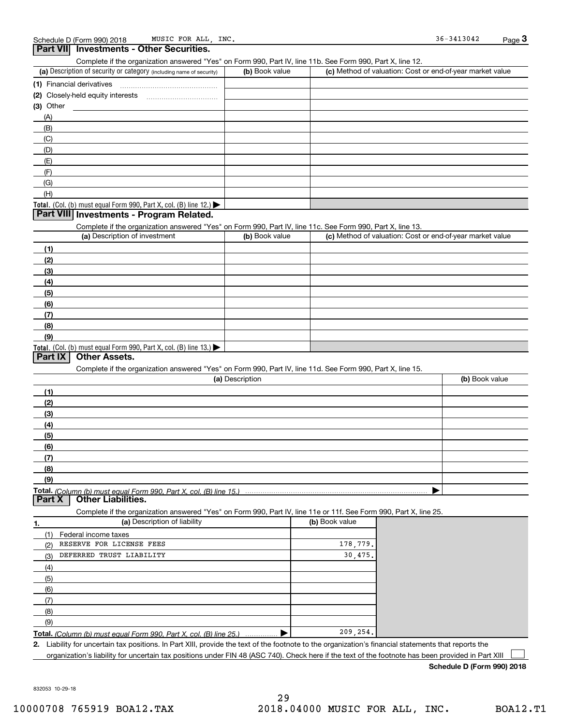| Part VII Investments - Other Securities.                                                                          |                 |                |                                                           |
|-------------------------------------------------------------------------------------------------------------------|-----------------|----------------|-----------------------------------------------------------|
| Complete if the organization answered "Yes" on Form 990, Part IV, line 11b. See Form 990, Part X, line 12.        |                 |                |                                                           |
| (a) Description of security or category (including name of security)                                              | (b) Book value  |                | (c) Method of valuation: Cost or end-of-year market value |
| (1) Financial derivatives                                                                                         |                 |                |                                                           |
|                                                                                                                   |                 |                |                                                           |
| $(3)$ Other                                                                                                       |                 |                |                                                           |
| (A)                                                                                                               |                 |                |                                                           |
| (B)                                                                                                               |                 |                |                                                           |
| (C)                                                                                                               |                 |                |                                                           |
| (D)                                                                                                               |                 |                |                                                           |
| (E)<br>(F)                                                                                                        |                 |                |                                                           |
| (G)                                                                                                               |                 |                |                                                           |
| (H)                                                                                                               |                 |                |                                                           |
| Total. (Col. (b) must equal Form 990, Part X, col. (B) line 12.)                                                  |                 |                |                                                           |
| Part VIII Investments - Program Related.                                                                          |                 |                |                                                           |
| Complete if the organization answered "Yes" on Form 990, Part IV, line 11c. See Form 990, Part X, line 13.        |                 |                |                                                           |
| (a) Description of investment                                                                                     | (b) Book value  |                | (c) Method of valuation: Cost or end-of-year market value |
| (1)                                                                                                               |                 |                |                                                           |
| (2)                                                                                                               |                 |                |                                                           |
| (3)                                                                                                               |                 |                |                                                           |
| (4)                                                                                                               |                 |                |                                                           |
| (5)                                                                                                               |                 |                |                                                           |
| (6)                                                                                                               |                 |                |                                                           |
| (7)                                                                                                               |                 |                |                                                           |
| (8)                                                                                                               |                 |                |                                                           |
| (9)                                                                                                               |                 |                |                                                           |
| Total. (Col. (b) must equal Form 990, Part X, col. (B) line 13.)                                                  |                 |                |                                                           |
| Part IX<br><b>Other Assets.</b>                                                                                   |                 |                |                                                           |
| Complete if the organization answered "Yes" on Form 990, Part IV, line 11d. See Form 990, Part X, line 15.        |                 |                |                                                           |
|                                                                                                                   | (a) Description |                | (b) Book value                                            |
| (1)                                                                                                               |                 |                |                                                           |
| (2)                                                                                                               |                 |                |                                                           |
| (3)<br>(4)                                                                                                        |                 |                |                                                           |
| (5)                                                                                                               |                 |                |                                                           |
| (6)                                                                                                               |                 |                |                                                           |
| (7)                                                                                                               |                 |                |                                                           |
| (8)                                                                                                               |                 |                |                                                           |
| (9)                                                                                                               |                 |                |                                                           |
| <b>Other Liabilities.</b><br>Part X                                                                               |                 |                |                                                           |
| Complete if the organization answered "Yes" on Form 990, Part IV, line 11e or 11f. See Form 990, Part X, line 25. |                 |                |                                                           |
| (a) Description of liability<br>1.                                                                                |                 | (b) Book value |                                                           |
| (1) Federal income taxes                                                                                          |                 |                |                                                           |
| RESERVE FOR LICENSE FEES<br>(2)                                                                                   |                 | 178,779.       |                                                           |
| DEFERRED TRUST LIABILITY<br>(3)                                                                                   |                 | 30,475.        |                                                           |
| (4)                                                                                                               |                 |                |                                                           |
| (5)                                                                                                               |                 |                |                                                           |
| (6)                                                                                                               |                 |                |                                                           |
| (7)                                                                                                               |                 |                |                                                           |
| (8)                                                                                                               |                 |                |                                                           |
| (9)                                                                                                               |                 |                |                                                           |
| <b>Total.</b> (Column (b) must equal Form 990, Part X, col. (B) line 25.)                                         |                 | 209,254.       |                                                           |
|                                                                                                                   |                 |                |                                                           |

**2.** Liability for uncertain tax positions. In Part XIII, provide the text of the footnote to the organization's financial statements that reports the organization's liability for uncertain tax positions under FIN 48 (ASC 740). Check here if the text of the footnote has been provided in Part XIII

**Schedule D (Form 990) 2018**

832053 10-29-18

 $\mathcal{L}^{\text{max}}$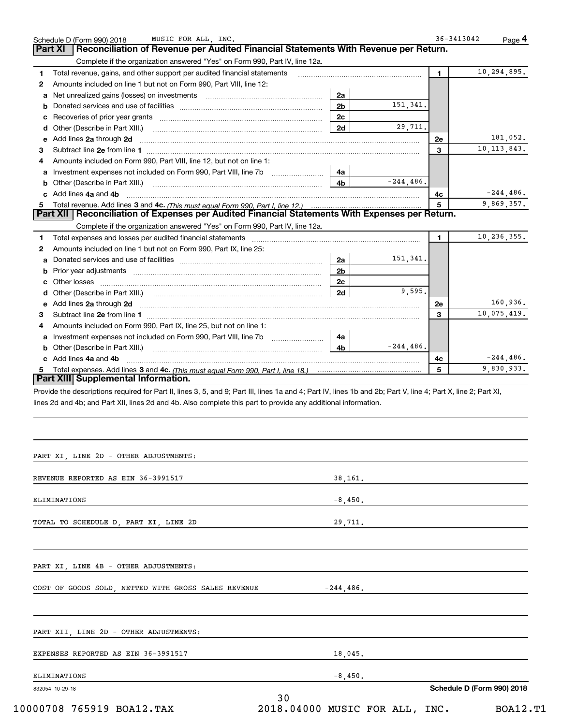| Reconciliation of Revenue per Audited Financial Statements With Revenue per Return.<br>Part XI |                                                                                                                                                                                                                                                                                                                                                                                                                                                                                                                                                                                                                                                                                                                                                                                                                                                              |                                                                                                                                                                                                                                                                                                                                                                                                                                        |                                                                                                                                                                                                                                                                                                                                                                                                                              |                                                                                                                                                                                                                                                                                                                               |
|------------------------------------------------------------------------------------------------|--------------------------------------------------------------------------------------------------------------------------------------------------------------------------------------------------------------------------------------------------------------------------------------------------------------------------------------------------------------------------------------------------------------------------------------------------------------------------------------------------------------------------------------------------------------------------------------------------------------------------------------------------------------------------------------------------------------------------------------------------------------------------------------------------------------------------------------------------------------|----------------------------------------------------------------------------------------------------------------------------------------------------------------------------------------------------------------------------------------------------------------------------------------------------------------------------------------------------------------------------------------------------------------------------------------|------------------------------------------------------------------------------------------------------------------------------------------------------------------------------------------------------------------------------------------------------------------------------------------------------------------------------------------------------------------------------------------------------------------------------|-------------------------------------------------------------------------------------------------------------------------------------------------------------------------------------------------------------------------------------------------------------------------------------------------------------------------------|
|                                                                                                |                                                                                                                                                                                                                                                                                                                                                                                                                                                                                                                                                                                                                                                                                                                                                                                                                                                              |                                                                                                                                                                                                                                                                                                                                                                                                                                        |                                                                                                                                                                                                                                                                                                                                                                                                                              |                                                                                                                                                                                                                                                                                                                               |
| Complete if the organization answered "Yes" on Form 990, Part IV, line 12a.                    |                                                                                                                                                                                                                                                                                                                                                                                                                                                                                                                                                                                                                                                                                                                                                                                                                                                              |                                                                                                                                                                                                                                                                                                                                                                                                                                        |                                                                                                                                                                                                                                                                                                                                                                                                                              |                                                                                                                                                                                                                                                                                                                               |
|                                                                                                |                                                                                                                                                                                                                                                                                                                                                                                                                                                                                                                                                                                                                                                                                                                                                                                                                                                              |                                                                                                                                                                                                                                                                                                                                                                                                                                        |                                                                                                                                                                                                                                                                                                                                                                                                                              | 10,294,895.                                                                                                                                                                                                                                                                                                                   |
|                                                                                                |                                                                                                                                                                                                                                                                                                                                                                                                                                                                                                                                                                                                                                                                                                                                                                                                                                                              |                                                                                                                                                                                                                                                                                                                                                                                                                                        |                                                                                                                                                                                                                                                                                                                                                                                                                              |                                                                                                                                                                                                                                                                                                                               |
|                                                                                                |                                                                                                                                                                                                                                                                                                                                                                                                                                                                                                                                                                                                                                                                                                                                                                                                                                                              |                                                                                                                                                                                                                                                                                                                                                                                                                                        |                                                                                                                                                                                                                                                                                                                                                                                                                              |                                                                                                                                                                                                                                                                                                                               |
|                                                                                                |                                                                                                                                                                                                                                                                                                                                                                                                                                                                                                                                                                                                                                                                                                                                                                                                                                                              |                                                                                                                                                                                                                                                                                                                                                                                                                                        |                                                                                                                                                                                                                                                                                                                                                                                                                              |                                                                                                                                                                                                                                                                                                                               |
|                                                                                                |                                                                                                                                                                                                                                                                                                                                                                                                                                                                                                                                                                                                                                                                                                                                                                                                                                                              |                                                                                                                                                                                                                                                                                                                                                                                                                                        |                                                                                                                                                                                                                                                                                                                                                                                                                              |                                                                                                                                                                                                                                                                                                                               |
|                                                                                                |                                                                                                                                                                                                                                                                                                                                                                                                                                                                                                                                                                                                                                                                                                                                                                                                                                                              |                                                                                                                                                                                                                                                                                                                                                                                                                                        |                                                                                                                                                                                                                                                                                                                                                                                                                              | 181.052.                                                                                                                                                                                                                                                                                                                      |
|                                                                                                |                                                                                                                                                                                                                                                                                                                                                                                                                                                                                                                                                                                                                                                                                                                                                                                                                                                              |                                                                                                                                                                                                                                                                                                                                                                                                                                        |                                                                                                                                                                                                                                                                                                                                                                                                                              | 10, 113, 843.                                                                                                                                                                                                                                                                                                                 |
|                                                                                                |                                                                                                                                                                                                                                                                                                                                                                                                                                                                                                                                                                                                                                                                                                                                                                                                                                                              |                                                                                                                                                                                                                                                                                                                                                                                                                                        |                                                                                                                                                                                                                                                                                                                                                                                                                              |                                                                                                                                                                                                                                                                                                                               |
|                                                                                                |                                                                                                                                                                                                                                                                                                                                                                                                                                                                                                                                                                                                                                                                                                                                                                                                                                                              |                                                                                                                                                                                                                                                                                                                                                                                                                                        |                                                                                                                                                                                                                                                                                                                                                                                                                              |                                                                                                                                                                                                                                                                                                                               |
|                                                                                                |                                                                                                                                                                                                                                                                                                                                                                                                                                                                                                                                                                                                                                                                                                                                                                                                                                                              |                                                                                                                                                                                                                                                                                                                                                                                                                                        |                                                                                                                                                                                                                                                                                                                                                                                                                              |                                                                                                                                                                                                                                                                                                                               |
|                                                                                                |                                                                                                                                                                                                                                                                                                                                                                                                                                                                                                                                                                                                                                                                                                                                                                                                                                                              |                                                                                                                                                                                                                                                                                                                                                                                                                                        |                                                                                                                                                                                                                                                                                                                                                                                                                              |                                                                                                                                                                                                                                                                                                                               |
|                                                                                                |                                                                                                                                                                                                                                                                                                                                                                                                                                                                                                                                                                                                                                                                                                                                                                                                                                                              |                                                                                                                                                                                                                                                                                                                                                                                                                                        |                                                                                                                                                                                                                                                                                                                                                                                                                              | $-244,486.$                                                                                                                                                                                                                                                                                                                   |
|                                                                                                |                                                                                                                                                                                                                                                                                                                                                                                                                                                                                                                                                                                                                                                                                                                                                                                                                                                              |                                                                                                                                                                                                                                                                                                                                                                                                                                        |                                                                                                                                                                                                                                                                                                                                                                                                                              | 9,869,357.                                                                                                                                                                                                                                                                                                                    |
|                                                                                                |                                                                                                                                                                                                                                                                                                                                                                                                                                                                                                                                                                                                                                                                                                                                                                                                                                                              |                                                                                                                                                                                                                                                                                                                                                                                                                                        |                                                                                                                                                                                                                                                                                                                                                                                                                              |                                                                                                                                                                                                                                                                                                                               |
|                                                                                                |                                                                                                                                                                                                                                                                                                                                                                                                                                                                                                                                                                                                                                                                                                                                                                                                                                                              |                                                                                                                                                                                                                                                                                                                                                                                                                                        |                                                                                                                                                                                                                                                                                                                                                                                                                              | 10,236,355.                                                                                                                                                                                                                                                                                                                   |
|                                                                                                |                                                                                                                                                                                                                                                                                                                                                                                                                                                                                                                                                                                                                                                                                                                                                                                                                                                              |                                                                                                                                                                                                                                                                                                                                                                                                                                        |                                                                                                                                                                                                                                                                                                                                                                                                                              |                                                                                                                                                                                                                                                                                                                               |
|                                                                                                |                                                                                                                                                                                                                                                                                                                                                                                                                                                                                                                                                                                                                                                                                                                                                                                                                                                              |                                                                                                                                                                                                                                                                                                                                                                                                                                        |                                                                                                                                                                                                                                                                                                                                                                                                                              |                                                                                                                                                                                                                                                                                                                               |
|                                                                                                |                                                                                                                                                                                                                                                                                                                                                                                                                                                                                                                                                                                                                                                                                                                                                                                                                                                              |                                                                                                                                                                                                                                                                                                                                                                                                                                        |                                                                                                                                                                                                                                                                                                                                                                                                                              |                                                                                                                                                                                                                                                                                                                               |
|                                                                                                |                                                                                                                                                                                                                                                                                                                                                                                                                                                                                                                                                                                                                                                                                                                                                                                                                                                              |                                                                                                                                                                                                                                                                                                                                                                                                                                        |                                                                                                                                                                                                                                                                                                                                                                                                                              |                                                                                                                                                                                                                                                                                                                               |
|                                                                                                |                                                                                                                                                                                                                                                                                                                                                                                                                                                                                                                                                                                                                                                                                                                                                                                                                                                              |                                                                                                                                                                                                                                                                                                                                                                                                                                        |                                                                                                                                                                                                                                                                                                                                                                                                                              |                                                                                                                                                                                                                                                                                                                               |
|                                                                                                |                                                                                                                                                                                                                                                                                                                                                                                                                                                                                                                                                                                                                                                                                                                                                                                                                                                              |                                                                                                                                                                                                                                                                                                                                                                                                                                        |                                                                                                                                                                                                                                                                                                                                                                                                                              |                                                                                                                                                                                                                                                                                                                               |
|                                                                                                |                                                                                                                                                                                                                                                                                                                                                                                                                                                                                                                                                                                                                                                                                                                                                                                                                                                              |                                                                                                                                                                                                                                                                                                                                                                                                                                        |                                                                                                                                                                                                                                                                                                                                                                                                                              | 160,936.                                                                                                                                                                                                                                                                                                                      |
|                                                                                                |                                                                                                                                                                                                                                                                                                                                                                                                                                                                                                                                                                                                                                                                                                                                                                                                                                                              |                                                                                                                                                                                                                                                                                                                                                                                                                                        |                                                                                                                                                                                                                                                                                                                                                                                                                              | 10,075,419.                                                                                                                                                                                                                                                                                                                   |
|                                                                                                |                                                                                                                                                                                                                                                                                                                                                                                                                                                                                                                                                                                                                                                                                                                                                                                                                                                              |                                                                                                                                                                                                                                                                                                                                                                                                                                        |                                                                                                                                                                                                                                                                                                                                                                                                                              |                                                                                                                                                                                                                                                                                                                               |
|                                                                                                |                                                                                                                                                                                                                                                                                                                                                                                                                                                                                                                                                                                                                                                                                                                                                                                                                                                              |                                                                                                                                                                                                                                                                                                                                                                                                                                        |                                                                                                                                                                                                                                                                                                                                                                                                                              |                                                                                                                                                                                                                                                                                                                               |
|                                                                                                |                                                                                                                                                                                                                                                                                                                                                                                                                                                                                                                                                                                                                                                                                                                                                                                                                                                              |                                                                                                                                                                                                                                                                                                                                                                                                                                        |                                                                                                                                                                                                                                                                                                                                                                                                                              |                                                                                                                                                                                                                                                                                                                               |
|                                                                                                |                                                                                                                                                                                                                                                                                                                                                                                                                                                                                                                                                                                                                                                                                                                                                                                                                                                              |                                                                                                                                                                                                                                                                                                                                                                                                                                        | 4c                                                                                                                                                                                                                                                                                                                                                                                                                           | $-244, 486.$                                                                                                                                                                                                                                                                                                                  |
|                                                                                                |                                                                                                                                                                                                                                                                                                                                                                                                                                                                                                                                                                                                                                                                                                                                                                                                                                                              |                                                                                                                                                                                                                                                                                                                                                                                                                                        |                                                                                                                                                                                                                                                                                                                                                                                                                              | 9,830,933.                                                                                                                                                                                                                                                                                                                    |
|                                                                                                |                                                                                                                                                                                                                                                                                                                                                                                                                                                                                                                                                                                                                                                                                                                                                                                                                                                              |                                                                                                                                                                                                                                                                                                                                                                                                                                        |                                                                                                                                                                                                                                                                                                                                                                                                                              |                                                                                                                                                                                                                                                                                                                               |
|                                                                                                |                                                                                                                                                                                                                                                                                                                                                                                                                                                                                                                                                                                                                                                                                                                                                                                                                                                              |                                                                                                                                                                                                                                                                                                                                                                                                                                        |                                                                                                                                                                                                                                                                                                                                                                                                                              |                                                                                                                                                                                                                                                                                                                               |
|                                                                                                |                                                                                                                                                                                                                                                                                                                                                                                                                                                                                                                                                                                                                                                                                                                                                                                                                                                              |                                                                                                                                                                                                                                                                                                                                                                                                                                        |                                                                                                                                                                                                                                                                                                                                                                                                                              |                                                                                                                                                                                                                                                                                                                               |
|                                                                                                |                                                                                                                                                                                                                                                                                                                                                                                                                                                                                                                                                                                                                                                                                                                                                                                                                                                              |                                                                                                                                                                                                                                                                                                                                                                                                                                        |                                                                                                                                                                                                                                                                                                                                                                                                                              |                                                                                                                                                                                                                                                                                                                               |
|                                                                                                |                                                                                                                                                                                                                                                                                                                                                                                                                                                                                                                                                                                                                                                                                                                                                                                                                                                              |                                                                                                                                                                                                                                                                                                                                                                                                                                        |                                                                                                                                                                                                                                                                                                                                                                                                                              |                                                                                                                                                                                                                                                                                                                               |
|                                                                                                |                                                                                                                                                                                                                                                                                                                                                                                                                                                                                                                                                                                                                                                                                                                                                                                                                                                              |                                                                                                                                                                                                                                                                                                                                                                                                                                        |                                                                                                                                                                                                                                                                                                                                                                                                                              |                                                                                                                                                                                                                                                                                                                               |
|                                                                                                |                                                                                                                                                                                                                                                                                                                                                                                                                                                                                                                                                                                                                                                                                                                                                                                                                                                              |                                                                                                                                                                                                                                                                                                                                                                                                                                        |                                                                                                                                                                                                                                                                                                                                                                                                                              |                                                                                                                                                                                                                                                                                                                               |
|                                                                                                |                                                                                                                                                                                                                                                                                                                                                                                                                                                                                                                                                                                                                                                                                                                                                                                                                                                              |                                                                                                                                                                                                                                                                                                                                                                                                                                        |                                                                                                                                                                                                                                                                                                                                                                                                                              |                                                                                                                                                                                                                                                                                                                               |
|                                                                                                |                                                                                                                                                                                                                                                                                                                                                                                                                                                                                                                                                                                                                                                                                                                                                                                                                                                              |                                                                                                                                                                                                                                                                                                                                                                                                                                        |                                                                                                                                                                                                                                                                                                                                                                                                                              |                                                                                                                                                                                                                                                                                                                               |
|                                                                                                |                                                                                                                                                                                                                                                                                                                                                                                                                                                                                                                                                                                                                                                                                                                                                                                                                                                              |                                                                                                                                                                                                                                                                                                                                                                                                                                        |                                                                                                                                                                                                                                                                                                                                                                                                                              |                                                                                                                                                                                                                                                                                                                               |
|                                                                                                |                                                                                                                                                                                                                                                                                                                                                                                                                                                                                                                                                                                                                                                                                                                                                                                                                                                              |                                                                                                                                                                                                                                                                                                                                                                                                                                        |                                                                                                                                                                                                                                                                                                                                                                                                                              |                                                                                                                                                                                                                                                                                                                               |
|                                                                                                |                                                                                                                                                                                                                                                                                                                                                                                                                                                                                                                                                                                                                                                                                                                                                                                                                                                              |                                                                                                                                                                                                                                                                                                                                                                                                                                        |                                                                                                                                                                                                                                                                                                                                                                                                                              |                                                                                                                                                                                                                                                                                                                               |
|                                                                                                |                                                                                                                                                                                                                                                                                                                                                                                                                                                                                                                                                                                                                                                                                                                                                                                                                                                              |                                                                                                                                                                                                                                                                                                                                                                                                                                        |                                                                                                                                                                                                                                                                                                                                                                                                                              |                                                                                                                                                                                                                                                                                                                               |
| TOTAL TO SCHEDULE D, PART XI, LINE 2D                                                          | 29,711.                                                                                                                                                                                                                                                                                                                                                                                                                                                                                                                                                                                                                                                                                                                                                                                                                                                      |                                                                                                                                                                                                                                                                                                                                                                                                                                        |                                                                                                                                                                                                                                                                                                                                                                                                                              |                                                                                                                                                                                                                                                                                                                               |
|                                                                                                |                                                                                                                                                                                                                                                                                                                                                                                                                                                                                                                                                                                                                                                                                                                                                                                                                                                              |                                                                                                                                                                                                                                                                                                                                                                                                                                        |                                                                                                                                                                                                                                                                                                                                                                                                                              |                                                                                                                                                                                                                                                                                                                               |
|                                                                                                |                                                                                                                                                                                                                                                                                                                                                                                                                                                                                                                                                                                                                                                                                                                                                                                                                                                              |                                                                                                                                                                                                                                                                                                                                                                                                                                        |                                                                                                                                                                                                                                                                                                                                                                                                                              |                                                                                                                                                                                                                                                                                                                               |
|                                                                                                | Total revenue, gains, and other support per audited financial statements<br>Amounts included on line 1 but not on Form 990, Part VIII, line 12:<br>Other (Describe in Part XIII.)<br>Add lines 2a through 2d<br>Amounts included on Form 990, Part VIII, line 12, but not on line 1:<br>Investment expenses not included on Form 990, Part VIII, line 7b<br>Other (Describe in Part XIII.)<br>Add lines 4a and 4b<br>Amounts included on line 1 but not on Form 990, Part IX, line 25:<br>Add lines 2a through 2d<br>Amounts included on Form 990, Part IX, line 25, but not on line 1:<br>Investment expenses not included on Form 990, Part VIII, line 7b<br>Other (Describe in Part XIII.)<br>c Add lines 4a and 4b<br>Part XIII Supplemental Information.<br>PART XI, LINE 2D - OTHER ADJUSTMENTS:<br>REVENUE REPORTED AS EIN 36-3991517<br>ELIMINATIONS | 2a<br>Net unrealized gains (losses) on investments [11] matter contracts and all of the unrealized gains (losses) on investments [11] matter contracts and all of the unrealized gains (losses) on investments and all of the unreal<br>2 <sub>b</sub><br>2c<br>2d<br>4a<br>4b<br>Complete if the organization answered "Yes" on Form 990, Part IV, line 12a.<br>2a<br>2 <sub>b</sub><br>2c<br>2d<br>4a<br>4b<br>38,161.<br>$-8,450$ . | 151,341.<br>29,711.<br>$-244.486$ .<br>Total expenses and losses per audited financial statements [111] [12] contain an interview and losses per audited financial statements [11] [12] contain an interview and the state of the state of the state of the state of<br>151,341.<br>9,595.<br>$-244.486$ .<br>lines 2d and 4b; and Part XII, lines 2d and 4b. Also complete this part to provide any additional information. | $\mathbf 1$<br>2e<br>3<br>4c<br>5<br>Part XII   Reconciliation of Expenses per Audited Financial Statements With Expenses per Return.<br>1.<br>2e<br>3<br>5<br>Provide the descriptions required for Part II, lines 3, 5, and 9; Part III, lines 1a and 4; Part IV, lines 1b and 2b; Part V, line 4; Part X, line 2; Part XI, |

| PART XI, LINE 4B - OTHER ADJUSTMENTS: |  |  |
|---------------------------------------|--|--|
|---------------------------------------|--|--|

|  |  |  |  |  |  |  |  |  | COST OF GOODS SOLD NETTED WITH GROSS SALES REVENUE | $-244$ 486. |  |
|--|--|--|--|--|--|--|--|--|----------------------------------------------------|-------------|--|
|--|--|--|--|--|--|--|--|--|----------------------------------------------------|-------------|--|

| PART XII, LINE 2D - OTHER ADJUSTMENTS: |                                |                            |
|----------------------------------------|--------------------------------|----------------------------|
| EXPENSES REPORTED AS EIN 36-3991517    | 18,045.                        |                            |
| ELIMINATIONS                           | $-8,450.$                      |                            |
| 832054 10-29-18                        | 30                             | Schedule D (Form 990) 2018 |
| 10000708 765919 BOA12.TAX              | 2018.04000 MUSIC FOR ALL, INC. | <b>BOA12.T1</b>            |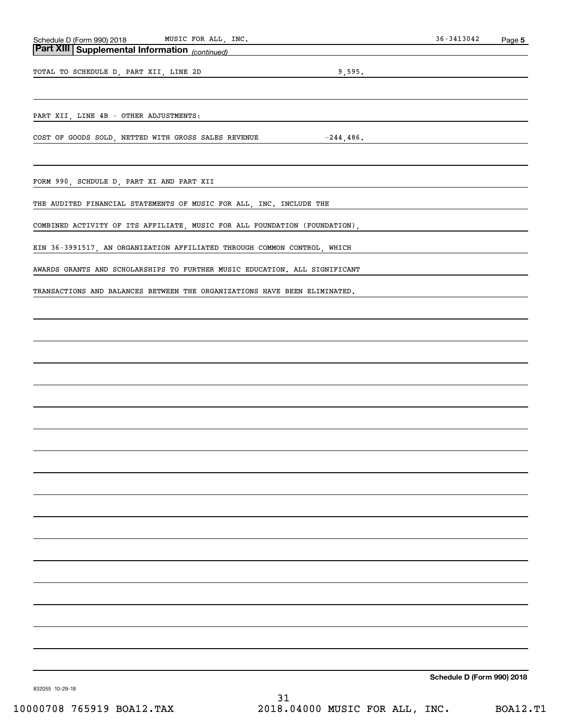### *(continued)* **Part XIII Supplemental Information**

TOTAL TO SCHEDULE D, PART XII, LINE 2D 9,595.

PART XII, LINE 4B - OTHER ADJUSTMENTS:

COST OF GOODS SOLD, NETTED WITH GROSS SALES REVENUE  $-244,486$ .

FORM 990, SCHDULE D, PART XI AND PART XII

THE AUDITED FINANCIAL STATEMENTS OF MUSIC FOR ALL, INC. INCLUDE THE

COMBINED ACTIVITY OF ITS AFFILIATE, MUSIC FOR ALL FOUNDATION (FOUNDATION),

EIN 36-3991517, AN ORGANIZATION AFFILIATED THROUGH COMMON CONTROL, WHICH

AWARDS GRANTS AND SCHOLARSHIPS TO FURTHER MUSIC EDUCATION. ALL SIGNIFICANT

TRANSACTIONS AND BALANCES BETWEEN THE ORGANIZATIONS HAVE BEEN ELIMINATED.

**Schedule D (Form 990) 2018**

832055 10-29-18

31 10000708 765919 BOA12.TAX 2018.04000 MUSIC FOR ALL, INC. BOA12.T1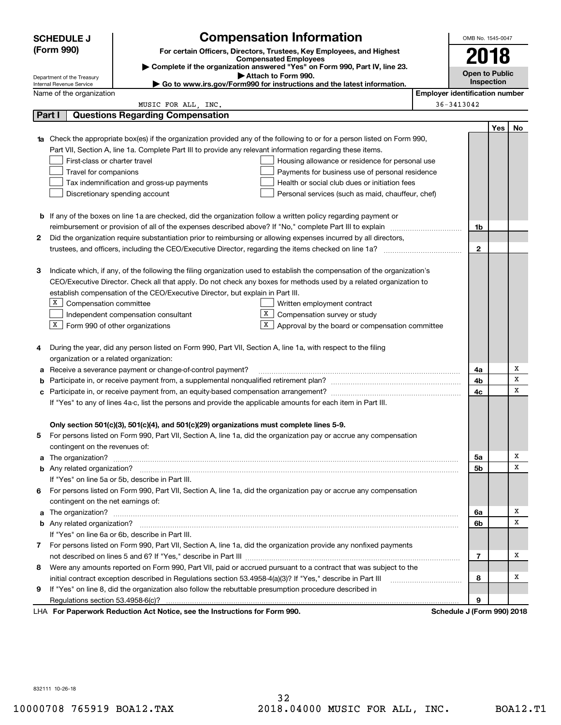|                                                                                                                                | <b>Compensation Information</b><br><b>SCHEDULE J</b>                                                                                                                                                                                 |                                                                                                                        |                                                                                                                                                                                                                                      |                                       |                            |     | OMB No. 1545-0047 |
|--------------------------------------------------------------------------------------------------------------------------------|--------------------------------------------------------------------------------------------------------------------------------------------------------------------------------------------------------------------------------------|------------------------------------------------------------------------------------------------------------------------|--------------------------------------------------------------------------------------------------------------------------------------------------------------------------------------------------------------------------------------|---------------------------------------|----------------------------|-----|-------------------|
|                                                                                                                                | (Form 990)                                                                                                                                                                                                                           |                                                                                                                        | For certain Officers, Directors, Trustees, Key Employees, and Highest                                                                                                                                                                |                                       |                            |     |                   |
|                                                                                                                                |                                                                                                                                                                                                                                      |                                                                                                                        | <b>Compensated Employees</b><br>Complete if the organization answered "Yes" on Form 990, Part IV, line 23.                                                                                                                           |                                       | 2018                       |     |                   |
|                                                                                                                                |                                                                                                                                                                                                                                      |                                                                                                                        | <b>Open to Public</b>                                                                                                                                                                                                                |                                       |                            |     |                   |
|                                                                                                                                | Department of the Treasury<br>Internal Revenue Service                                                                                                                                                                               |                                                                                                                        | Inspection                                                                                                                                                                                                                           |                                       |                            |     |                   |
|                                                                                                                                | Name of the organization                                                                                                                                                                                                             |                                                                                                                        |                                                                                                                                                                                                                                      | <b>Employer identification number</b> |                            |     |                   |
|                                                                                                                                |                                                                                                                                                                                                                                      | MUSIC FOR ALL, INC.                                                                                                    |                                                                                                                                                                                                                                      |                                       | 36-3413042                 |     |                   |
|                                                                                                                                | Part I                                                                                                                                                                                                                               | <b>Questions Regarding Compensation</b>                                                                                |                                                                                                                                                                                                                                      |                                       |                            |     |                   |
|                                                                                                                                |                                                                                                                                                                                                                                      |                                                                                                                        |                                                                                                                                                                                                                                      |                                       |                            | Yes | No                |
| 1a                                                                                                                             |                                                                                                                                                                                                                                      |                                                                                                                        | Check the appropriate box(es) if the organization provided any of the following to or for a person listed on Form 990,                                                                                                               |                                       |                            |     |                   |
|                                                                                                                                |                                                                                                                                                                                                                                      | Part VII, Section A, line 1a. Complete Part III to provide any relevant information regarding these items.             |                                                                                                                                                                                                                                      |                                       |                            |     |                   |
|                                                                                                                                | First-class or charter travel                                                                                                                                                                                                        |                                                                                                                        | Housing allowance or residence for personal use                                                                                                                                                                                      |                                       |                            |     |                   |
|                                                                                                                                | Travel for companions                                                                                                                                                                                                                |                                                                                                                        | Payments for business use of personal residence                                                                                                                                                                                      |                                       |                            |     |                   |
|                                                                                                                                |                                                                                                                                                                                                                                      | Tax indemnification and gross-up payments                                                                              | Health or social club dues or initiation fees                                                                                                                                                                                        |                                       |                            |     |                   |
|                                                                                                                                |                                                                                                                                                                                                                                      | Discretionary spending account                                                                                         | Personal services (such as maid, chauffeur, chef)                                                                                                                                                                                    |                                       |                            |     |                   |
|                                                                                                                                |                                                                                                                                                                                                                                      |                                                                                                                        |                                                                                                                                                                                                                                      |                                       |                            |     |                   |
|                                                                                                                                |                                                                                                                                                                                                                                      | <b>b</b> If any of the boxes on line 1a are checked, did the organization follow a written policy regarding payment or |                                                                                                                                                                                                                                      |                                       |                            |     |                   |
|                                                                                                                                |                                                                                                                                                                                                                                      |                                                                                                                        |                                                                                                                                                                                                                                      |                                       | 1b                         |     |                   |
| 2                                                                                                                              |                                                                                                                                                                                                                                      | Did the organization require substantiation prior to reimbursing or allowing expenses incurred by all directors,       |                                                                                                                                                                                                                                      |                                       |                            |     |                   |
|                                                                                                                                |                                                                                                                                                                                                                                      |                                                                                                                        | trustees, and officers, including the CEO/Executive Director, regarding the items checked on line 1a?                                                                                                                                |                                       | $\mathbf{2}$               |     |                   |
|                                                                                                                                |                                                                                                                                                                                                                                      |                                                                                                                        |                                                                                                                                                                                                                                      |                                       |                            |     |                   |
| Indicate which, if any, of the following the filing organization used to establish the compensation of the organization's<br>З |                                                                                                                                                                                                                                      |                                                                                                                        |                                                                                                                                                                                                                                      |                                       |                            |     |                   |
| CEO/Executive Director. Check all that apply. Do not check any boxes for methods used by a related organization to             |                                                                                                                                                                                                                                      |                                                                                                                        |                                                                                                                                                                                                                                      |                                       |                            |     |                   |
|                                                                                                                                | establish compensation of the CEO/Executive Director, but explain in Part III.                                                                                                                                                       |                                                                                                                        |                                                                                                                                                                                                                                      |                                       |                            |     |                   |
|                                                                                                                                | X Compensation committee<br>Written employment contract                                                                                                                                                                              |                                                                                                                        |                                                                                                                                                                                                                                      |                                       |                            |     |                   |
|                                                                                                                                | X.<br>Independent compensation consultant<br>Compensation survey or study<br>$X$ Form 990 of other organizations<br>X                                                                                                                |                                                                                                                        |                                                                                                                                                                                                                                      |                                       |                            |     |                   |
|                                                                                                                                |                                                                                                                                                                                                                                      |                                                                                                                        | Approval by the board or compensation committee                                                                                                                                                                                      |                                       |                            |     |                   |
| 4                                                                                                                              |                                                                                                                                                                                                                                      | During the year, did any person listed on Form 990, Part VII, Section A, line 1a, with respect to the filing           |                                                                                                                                                                                                                                      |                                       |                            |     |                   |
|                                                                                                                                | organization or a related organization:                                                                                                                                                                                              |                                                                                                                        |                                                                                                                                                                                                                                      |                                       |                            |     |                   |
| а                                                                                                                              |                                                                                                                                                                                                                                      | Receive a severance payment or change-of-control payment?                                                              |                                                                                                                                                                                                                                      |                                       | 4a                         |     | х                 |
| b                                                                                                                              |                                                                                                                                                                                                                                      |                                                                                                                        |                                                                                                                                                                                                                                      |                                       | 4b                         |     | х                 |
| с                                                                                                                              |                                                                                                                                                                                                                                      |                                                                                                                        |                                                                                                                                                                                                                                      |                                       | 4с                         |     | х                 |
|                                                                                                                                |                                                                                                                                                                                                                                      | If "Yes" to any of lines 4a-c, list the persons and provide the applicable amounts for each item in Part III.          |                                                                                                                                                                                                                                      |                                       |                            |     |                   |
|                                                                                                                                |                                                                                                                                                                                                                                      |                                                                                                                        |                                                                                                                                                                                                                                      |                                       |                            |     |                   |
|                                                                                                                                |                                                                                                                                                                                                                                      | Only section 501(c)(3), 501(c)(4), and 501(c)(29) organizations must complete lines 5-9.                               |                                                                                                                                                                                                                                      |                                       |                            |     |                   |
|                                                                                                                                |                                                                                                                                                                                                                                      |                                                                                                                        | For persons listed on Form 990, Part VII, Section A, line 1a, did the organization pay or accrue any compensation                                                                                                                    |                                       |                            |     |                   |
|                                                                                                                                | contingent on the revenues of:                                                                                                                                                                                                       |                                                                                                                        |                                                                                                                                                                                                                                      |                                       |                            |     |                   |
|                                                                                                                                |                                                                                                                                                                                                                                      |                                                                                                                        | a The organization? <b>Entitled Strategies and Strategies and Strategies and Strategies and Strategies and Strategies and Strategies and Strategies and Strategies and Strategies and Strategies and Strategies and Strategies a</b> |                                       | 5a                         |     | х                 |
|                                                                                                                                |                                                                                                                                                                                                                                      |                                                                                                                        |                                                                                                                                                                                                                                      |                                       | 5b                         |     | х                 |
|                                                                                                                                |                                                                                                                                                                                                                                      | If "Yes" on line 5a or 5b, describe in Part III.                                                                       |                                                                                                                                                                                                                                      |                                       |                            |     |                   |
|                                                                                                                                |                                                                                                                                                                                                                                      |                                                                                                                        | 6 For persons listed on Form 990, Part VII, Section A, line 1a, did the organization pay or accrue any compensation                                                                                                                  |                                       |                            |     |                   |
|                                                                                                                                | contingent on the net earnings of:                                                                                                                                                                                                   |                                                                                                                        |                                                                                                                                                                                                                                      |                                       |                            |     |                   |
|                                                                                                                                | a The organization? <b>Entitled Strategies and Strategies and Strategies and Strategies and Strategies and Strategies and Strategies and Strategies and Strategies and Strategies and Strategies and Strategies and Strategies a</b> |                                                                                                                        |                                                                                                                                                                                                                                      |                                       | 6a                         |     | х                 |
|                                                                                                                                |                                                                                                                                                                                                                                      |                                                                                                                        |                                                                                                                                                                                                                                      |                                       | 6b                         |     | х                 |
|                                                                                                                                |                                                                                                                                                                                                                                      | If "Yes" on line 6a or 6b, describe in Part III.                                                                       |                                                                                                                                                                                                                                      |                                       |                            |     |                   |
|                                                                                                                                |                                                                                                                                                                                                                                      |                                                                                                                        | 7 For persons listed on Form 990, Part VII, Section A, line 1a, did the organization provide any nonfixed payments                                                                                                                   |                                       |                            |     |                   |
|                                                                                                                                |                                                                                                                                                                                                                                      |                                                                                                                        |                                                                                                                                                                                                                                      |                                       | 7                          |     | х                 |
| 8                                                                                                                              |                                                                                                                                                                                                                                      |                                                                                                                        | Were any amounts reported on Form 990, Part VII, paid or accrued pursuant to a contract that was subject to the                                                                                                                      |                                       |                            |     |                   |
|                                                                                                                                |                                                                                                                                                                                                                                      | initial contract exception described in Regulations section 53.4958-4(a)(3)? If "Yes," describe in Part III            |                                                                                                                                                                                                                                      |                                       | 8                          |     | x                 |
| 9.                                                                                                                             |                                                                                                                                                                                                                                      | If "Yes" on line 8, did the organization also follow the rebuttable presumption procedure described in                 |                                                                                                                                                                                                                                      |                                       |                            |     |                   |
|                                                                                                                                |                                                                                                                                                                                                                                      |                                                                                                                        |                                                                                                                                                                                                                                      |                                       | 9                          |     |                   |
|                                                                                                                                |                                                                                                                                                                                                                                      | LHA For Paperwork Reduction Act Notice, see the Instructions for Form 990.                                             |                                                                                                                                                                                                                                      |                                       | Schedule J (Form 990) 2018 |     |                   |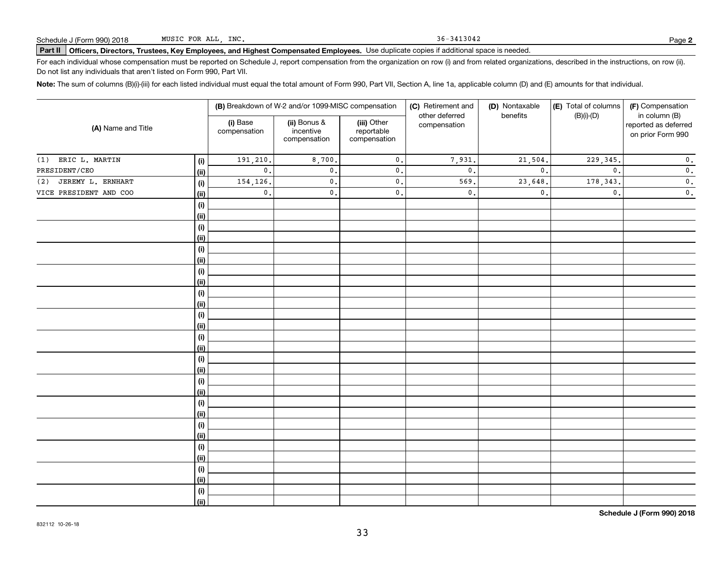36-3413042

# Schedule J (Form 990) 2018 MUSIC FOR ALL,INC**.**<br>Part II │Officers, Directors, Trustees, Key Employees, and Highest Compensated Employees. Use duplicate copies if additional space is needed.

For each individual whose compensation must be reported on Schedule J, report compensation from the organization on row (i) and from related organizations, described in the instructions, on row (ii). Do not list any individuals that aren't listed on Form 990, Part VII.

**Note:**  The sum of columns (B)(i)-(iii) for each listed individual must equal the total amount of Form 990, Part VII, Section A, line 1a, applicable column (D) and (E) amounts for that individual.

|                          |             |                          | (B) Breakdown of W-2 and/or 1099-MISC compensation |                                           | (C) Retirement and             | (D) Nontaxable | (E) Total of columns | (F) Compensation                                           |  |
|--------------------------|-------------|--------------------------|----------------------------------------------------|-------------------------------------------|--------------------------------|----------------|----------------------|------------------------------------------------------------|--|
| (A) Name and Title       |             | (i) Base<br>compensation | (ii) Bonus &<br>incentive<br>compensation          | (iii) Other<br>reportable<br>compensation | other deferred<br>compensation | benefits       | $(B)(i)-(D)$         | in column (B)<br>reported as deferred<br>on prior Form 990 |  |
| ERIC L. MARTIN<br>(1)    | (i)         | 191,210.                 | 8,700.                                             | $\mathbf 0$ .                             | 7,931.                         | 21,504.        | 229, 345.            | $\mathbf 0$ .                                              |  |
| PRESIDENT/CEO            | (ii)        | $\mathbf{0}$ .           | $\mathfrak o$ .                                    | $\mathsf{0}$ .                            | $\mathbf{0}$ .                 | $\mathbf{0}$ . | $\mathbf{0}$ .       | $\mathbf 0$ .                                              |  |
| JEREMY L. ERNHART<br>(2) | (i)         | 154,126.                 | $\mathfrak o$ .                                    | $\mathsf{0}$ .                            | 569.                           | 23,648.        | 178, 343.            | $\mathbf 0$ .                                              |  |
| VICE PRESIDENT AND COO   | (ii)        | $\mathsf{0}$ .           | $\mathbf{0}$ .                                     | $\mathbf 0$ .                             | $\mathfrak o$ .                | $\mathbf{0}$ . | $\mathbf{0}$ .       | $\mathbf 0$ .                                              |  |
|                          | (i)         |                          |                                                    |                                           |                                |                |                      |                                                            |  |
|                          | (ii)        |                          |                                                    |                                           |                                |                |                      |                                                            |  |
|                          | (i)         |                          |                                                    |                                           |                                |                |                      |                                                            |  |
|                          | (ii)        |                          |                                                    |                                           |                                |                |                      |                                                            |  |
|                          | (i)         |                          |                                                    |                                           |                                |                |                      |                                                            |  |
|                          | (ii)        |                          |                                                    |                                           |                                |                |                      |                                                            |  |
|                          | (i)         |                          |                                                    |                                           |                                |                |                      |                                                            |  |
|                          | (ii)        |                          |                                                    |                                           |                                |                |                      |                                                            |  |
|                          | (i)         |                          |                                                    |                                           |                                |                |                      |                                                            |  |
|                          | (ii)        |                          |                                                    |                                           |                                |                |                      |                                                            |  |
|                          | (i)         |                          |                                                    |                                           |                                |                |                      |                                                            |  |
|                          | (ii)        |                          |                                                    |                                           |                                |                |                      |                                                            |  |
|                          | (i)         |                          |                                                    |                                           |                                |                |                      |                                                            |  |
|                          | (ii)        |                          |                                                    |                                           |                                |                |                      |                                                            |  |
|                          | (i)         |                          |                                                    |                                           |                                |                |                      |                                                            |  |
|                          | (ii)        |                          |                                                    |                                           |                                |                |                      |                                                            |  |
|                          | (i)         |                          |                                                    |                                           |                                |                |                      |                                                            |  |
|                          | (ii)        |                          |                                                    |                                           |                                |                |                      |                                                            |  |
|                          | (i)         |                          |                                                    |                                           |                                |                |                      |                                                            |  |
|                          | (ii)        |                          |                                                    |                                           |                                |                |                      |                                                            |  |
|                          | (i)<br>(ii) |                          |                                                    |                                           |                                |                |                      |                                                            |  |
|                          | (i)         |                          |                                                    |                                           |                                |                |                      |                                                            |  |
|                          | (ii)        |                          |                                                    |                                           |                                |                |                      |                                                            |  |
|                          | (i)         |                          |                                                    |                                           |                                |                |                      |                                                            |  |
|                          | (ii)        |                          |                                                    |                                           |                                |                |                      |                                                            |  |
|                          | (i)         |                          |                                                    |                                           |                                |                |                      |                                                            |  |
|                          | (ii)        |                          |                                                    |                                           |                                |                |                      |                                                            |  |
|                          |             |                          |                                                    |                                           |                                |                |                      |                                                            |  |

**Schedule J (Form 990) 2018**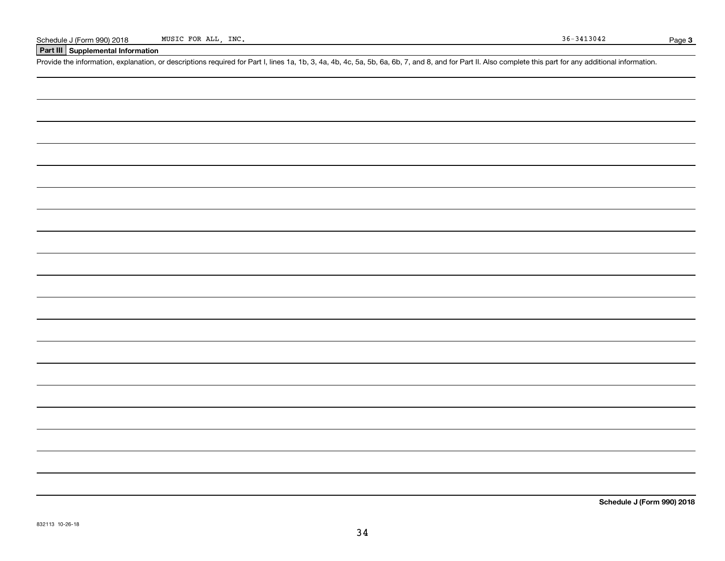#### **Part III Supplemental Information**

Schedule J (Form 990) 2018 MUSIC FOR ALL, INC.<br>
Part III Supplemental Information<br>
Provide the information, explanation, or descriptions required for Part I, lines 1a, 1b, 3, 4a, 4b, 4c, 5a, 5b, 6a, 6b, 7, and 8, and for P

**Schedule J (Form 990) 2018**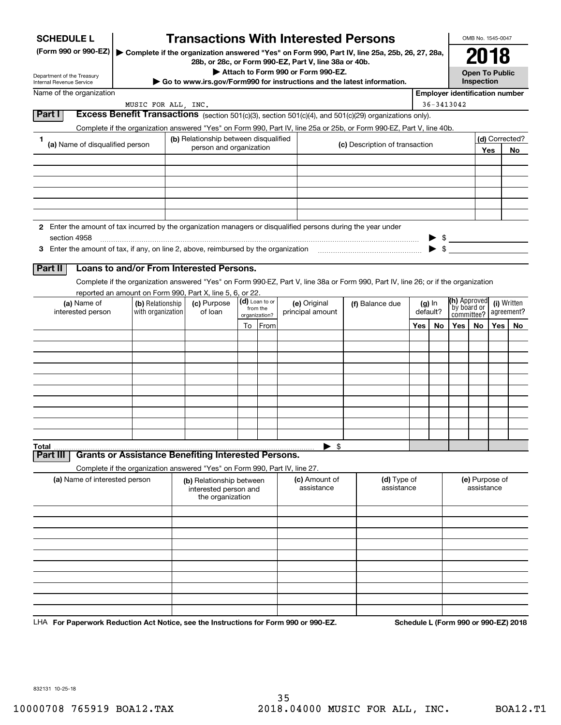| <b>SCHEDULE L</b>                                                                                             |                     |                                                                            |    |                           | <b>Transactions With Interested Persons</b>                                                                                                            |                                |     |            |                                       | OMB No. 1545-0047                   |       |                |
|---------------------------------------------------------------------------------------------------------------|---------------------|----------------------------------------------------------------------------|----|---------------------------|--------------------------------------------------------------------------------------------------------------------------------------------------------|--------------------------------|-----|------------|---------------------------------------|-------------------------------------|-------|----------------|
| (Form 990 or 990-EZ)                                                                                          |                     |                                                                            |    |                           | Complete if the organization answered "Yes" on Form 990, Part IV, line 25a, 25b, 26, 27, 28a,<br>28b, or 28c, or Form 990-EZ, Part V, line 38a or 40b. |                                |     |            |                                       | 2018                                |       |                |
| Department of the Treasury<br>Internal Revenue Service                                                        |                     |                                                                            |    |                           | Attach to Form 990 or Form 990-EZ.<br>$\triangleright$ Go to www.irs.gov/Form990 for instructions and the latest information.                          |                                |     |            |                                       | <b>Open To Public</b><br>Inspection |       |                |
| Name of the organization                                                                                      |                     |                                                                            |    |                           |                                                                                                                                                        |                                |     |            | <b>Employer identification number</b> |                                     |       |                |
| Part I                                                                                                        | MUSIC FOR ALL, INC. |                                                                            |    |                           |                                                                                                                                                        |                                |     | 36-3413042 |                                       |                                     |       |                |
|                                                                                                               |                     |                                                                            |    |                           | Excess Benefit Transactions (section 501(c)(3), section 501(c)(4), and 501(c)(29) organizations only).                                                 |                                |     |            |                                       |                                     |       |                |
| 1.                                                                                                            |                     | (b) Relationship between disqualified                                      |    |                           | Complete if the organization answered "Yes" on Form 990, Part IV, line 25a or 25b, or Form 990-EZ, Part V, line 40b.                                   |                                |     |            |                                       |                                     |       | (d) Corrected? |
| (a) Name of disqualified person                                                                               |                     | person and organization                                                    |    |                           |                                                                                                                                                        | (c) Description of transaction |     |            |                                       |                                     | Yes   | No             |
|                                                                                                               |                     |                                                                            |    |                           |                                                                                                                                                        |                                |     |            |                                       |                                     |       |                |
|                                                                                                               |                     |                                                                            |    |                           |                                                                                                                                                        |                                |     |            |                                       |                                     |       |                |
|                                                                                                               |                     |                                                                            |    |                           |                                                                                                                                                        |                                |     |            |                                       |                                     |       |                |
|                                                                                                               |                     |                                                                            |    |                           |                                                                                                                                                        |                                |     |            |                                       |                                     |       |                |
|                                                                                                               |                     |                                                                            |    |                           |                                                                                                                                                        |                                |     |            |                                       |                                     |       |                |
| 2 Enter the amount of tax incurred by the organization managers or disqualified persons during the year under |                     |                                                                            |    |                           |                                                                                                                                                        |                                |     |            |                                       |                                     |       |                |
| section 4958                                                                                                  |                     |                                                                            |    |                           |                                                                                                                                                        |                                |     |            |                                       |                                     |       |                |
|                                                                                                               |                     |                                                                            |    |                           |                                                                                                                                                        |                                |     |            |                                       |                                     |       |                |
| Part II                                                                                                       |                     | Loans to and/or From Interested Persons.                                   |    |                           |                                                                                                                                                        |                                |     |            |                                       |                                     |       |                |
|                                                                                                               |                     |                                                                            |    |                           | Complete if the organization answered "Yes" on Form 990-EZ, Part V, line 38a or Form 990, Part IV, line 26; or if the organization                     |                                |     |            |                                       |                                     |       |                |
| (a) Name of                                                                                                   | (b) Relationship    | reported an amount on Form 990, Part X, line 5, 6, or 22.<br>(c) Purpose   |    | (d) Loan to or            | (e) Original                                                                                                                                           | (f) Balance due                |     | (g) In     | (h) Approved                          |                                     |       | (i) Written    |
| interested person                                                                                             | with organization   | of loan                                                                    |    | from the<br>organization? | principal amount                                                                                                                                       |                                |     | default?   | `by board or<br>committee?            |                                     |       | agreement?     |
|                                                                                                               |                     |                                                                            | To | From                      |                                                                                                                                                        |                                | Yes | No         | Yes                                   | No                                  | Yes l | No             |
|                                                                                                               |                     |                                                                            |    |                           |                                                                                                                                                        |                                |     |            |                                       |                                     |       |                |
|                                                                                                               |                     |                                                                            |    |                           |                                                                                                                                                        |                                |     |            |                                       |                                     |       |                |
|                                                                                                               |                     |                                                                            |    |                           |                                                                                                                                                        |                                |     |            |                                       |                                     |       |                |
|                                                                                                               |                     |                                                                            |    |                           |                                                                                                                                                        |                                |     |            |                                       |                                     |       |                |
|                                                                                                               |                     |                                                                            |    |                           |                                                                                                                                                        |                                |     |            |                                       |                                     |       |                |
|                                                                                                               |                     |                                                                            |    |                           |                                                                                                                                                        |                                |     |            |                                       |                                     |       |                |
|                                                                                                               |                     |                                                                            |    |                           |                                                                                                                                                        |                                |     |            |                                       |                                     |       |                |
|                                                                                                               |                     |                                                                            |    |                           |                                                                                                                                                        |                                |     |            |                                       |                                     |       |                |
| Total                                                                                                         |                     |                                                                            |    |                           | $\blacktriangleright$ \$                                                                                                                               |                                |     |            |                                       |                                     |       |                |
| Part III                                                                                                      |                     | <b>Grants or Assistance Benefiting Interested Persons.</b>                 |    |                           |                                                                                                                                                        |                                |     |            |                                       |                                     |       |                |
|                                                                                                               |                     | Complete if the organization answered "Yes" on Form 990, Part IV, line 27. |    |                           |                                                                                                                                                        | (d) Type of                    |     |            |                                       |                                     |       |                |
| (a) Name of interested person                                                                                 |                     | (b) Relationship between<br>interested person and<br>the organization      |    |                           | (c) Amount of<br>assistance                                                                                                                            | assistance                     |     |            | (e) Purpose of<br>assistance          |                                     |       |                |
|                                                                                                               |                     |                                                                            |    |                           |                                                                                                                                                        |                                |     |            |                                       |                                     |       |                |
|                                                                                                               |                     |                                                                            |    |                           |                                                                                                                                                        |                                |     |            |                                       |                                     |       |                |
|                                                                                                               |                     |                                                                            |    |                           |                                                                                                                                                        |                                |     |            |                                       |                                     |       |                |
|                                                                                                               |                     |                                                                            |    |                           |                                                                                                                                                        |                                |     |            |                                       |                                     |       |                |
|                                                                                                               |                     |                                                                            |    |                           |                                                                                                                                                        |                                |     |            |                                       |                                     |       |                |
|                                                                                                               |                     |                                                                            |    |                           |                                                                                                                                                        |                                |     |            |                                       |                                     |       |                |
|                                                                                                               |                     |                                                                            |    |                           |                                                                                                                                                        |                                |     |            |                                       |                                     |       |                |
|                                                                                                               |                     |                                                                            |    |                           |                                                                                                                                                        |                                |     |            |                                       |                                     |       |                |
|                                                                                                               |                     |                                                                            |    |                           |                                                                                                                                                        |                                |     |            |                                       |                                     |       |                |

LHA For Paperwork Reduction Act Notice, see the Instructions for Form 990 or 990-EZ. Schedule L (Form 990 or 990-EZ) 2018

832131 10-25-18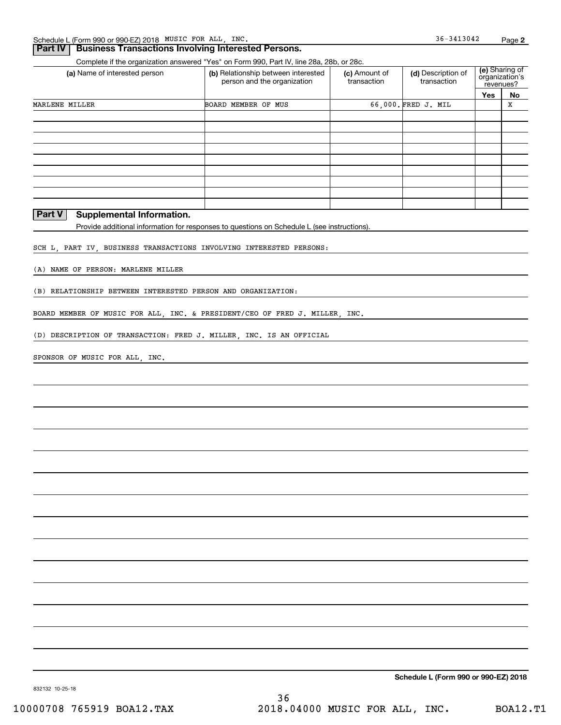#### **Part IV Business Transactions Involving Interested Persons.**

Complete if the organization answered "Yes" on Form 990, Part IV, line 28a, 28b, or 28c.

| (a) Name of interested person | (b) Relationship between interested<br>person and the organization | (c) Amount of<br>transaction | (d) Description of<br>transaction | <b>(e)</b> Sharing of<br>organization's<br>revenues? |    |
|-------------------------------|--------------------------------------------------------------------|------------------------------|-----------------------------------|------------------------------------------------------|----|
|                               |                                                                    |                              |                                   | Yes                                                  | No |
| MARLENE MILLER                | BOARD MEMBER OF MUS                                                |                              | 66,000. FRED J. MIL               |                                                      | х  |
|                               |                                                                    |                              |                                   |                                                      |    |
|                               |                                                                    |                              |                                   |                                                      |    |
|                               |                                                                    |                              |                                   |                                                      |    |
|                               |                                                                    |                              |                                   |                                                      |    |
|                               |                                                                    |                              |                                   |                                                      |    |
|                               |                                                                    |                              |                                   |                                                      |    |
|                               |                                                                    |                              |                                   |                                                      |    |
|                               |                                                                    |                              |                                   |                                                      |    |
|                               |                                                                    |                              |                                   |                                                      |    |

#### **Part V** Supplemental Information.

Provide additional information for responses to questions on Schedule L (see instructions).

SCH L, PART IV, BUSINESS TRANSACTIONS INVOLVING INTERESTED PERSONS:

(A) NAME OF PERSON: MARLENE MILLER

(B) RELATIONSHIP BETWEEN INTERESTED PERSON AND ORGANIZATION:

BOARD MEMBER OF MUSIC FOR ALL, INC. & PRESIDENT/CEO OF FRED J. MILLER, INC.

(D) DESCRIPTION OF TRANSACTION: FRED J. MILLER, INC. IS AN OFFICIAL

SPONSOR OF MUSIC FOR ALL, INC.

**Schedule L (Form 990 or 990-EZ) 2018**

36-3413042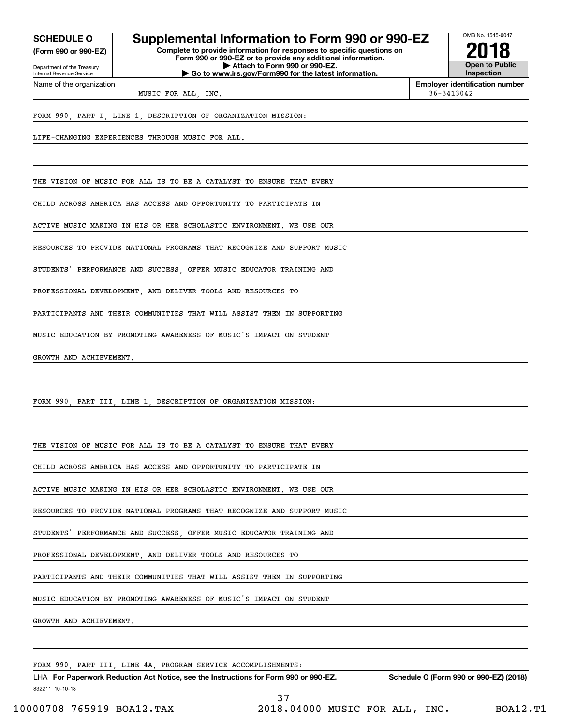**(Form 990 or 990-EZ)**

Department of the Treasury Internal Revenue Service Name of the organization

# **SCHEDULE O Supplemental Information to Form 990 or 990-EZ**

**Complete to provide information for responses to specific questions on Form 990 or 990-EZ or to provide any additional information. | Attach to Form 990 or 990-EZ. | Go to www.irs.gov/Form990 for the latest information.**



**Employer identification number**

MUSIC FOR ALL INC.  $36-3413042$ 

FORM 990, PART I, LINE 1, DESCRIPTION OF ORGANIZATION MISSION:

LIFE-CHANGING EXPERIENCES THROUGH MUSIC FOR ALL.

THE VISION OF MUSIC FOR ALL IS TO BE A CATALYST TO ENSURE THAT EVERY

CHILD ACROSS AMERICA HAS ACCESS AND OPPORTUNITY TO PARTICIPATE IN

ACTIVE MUSIC MAKING IN HIS OR HER SCHOLASTIC ENVIRONMENT. WE USE OUR

RESOURCES TO PROVIDE NATIONAL PROGRAMS THAT RECOGNIZE AND SUPPORT MUSIC

STUDENTS' PERFORMANCE AND SUCCESS OFFER MUSIC EDUCATOR TRAINING AND

PROFESSIONAL DEVELOPMENT AND DELIVER TOOLS AND RESOURCES TO

PARTICIPANTS AND THEIR COMMUNITIES THAT WILL ASSIST THEM IN SUPPORTING

MUSIC EDUCATION BY PROMOTING AWARENESS OF MUSIC'S IMPACT ON STUDENT

GROWTH AND ACHIEVEMENT.

FORM 990, PART III, LINE 1, DESCRIPTION OF ORGANIZATION MISSION:

THE VISION OF MUSIC FOR ALL IS TO BE A CATALYST TO ENSURE THAT EVERY

CHILD ACROSS AMERICA HAS ACCESS AND OPPORTUNITY TO PARTICIPATE IN

ACTIVE MUSIC MAKING IN HIS OR HER SCHOLASTIC ENVIRONMENT. WE USE OUR

RESOURCES TO PROVIDE NATIONAL PROGRAMS THAT RECOGNIZE AND SUPPORT MUSIC

STUDENTS' PERFORMANCE AND SUCCESS OFFER MUSIC EDUCATOR TRAINING AND

PROFESSIONAL DEVELOPMENT, AND DELIVER TOOLS AND RESOURCES TO

PARTICIPANTS AND THEIR COMMUNITIES THAT WILL ASSIST THEM IN SUPPORTING

MUSIC EDUCATION BY PROMOTING AWARENESS OF MUSIC'S IMPACT ON STUDENT

GROWTH AND ACHIEVEMENT.

FORM 990, PART III, LINE 4A, PROGRAM SERVICE ACCOMPLISHMENTS:

832211 10-10-18 LHA For Paperwork Reduction Act Notice, see the Instructions for Form 990 or 990-EZ. Schedule O (Form 990 or 990-EZ) (2018) 37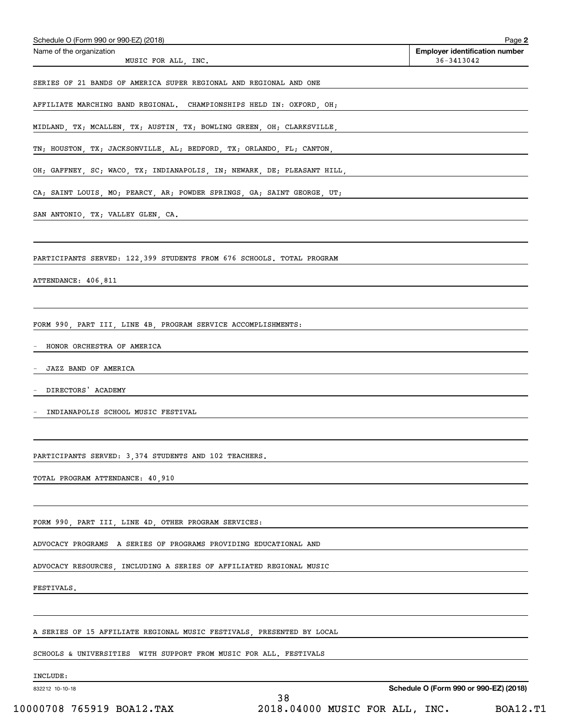| Schedule O (Form 990 or 990-EZ) (2018)                                                                        | Page 2                                                  |
|---------------------------------------------------------------------------------------------------------------|---------------------------------------------------------|
| Name of the organization<br>MUSIC FOR ALL, INC.                                                               | <b>Employer identification number</b><br>$36 - 3413042$ |
| SERIES OF 21 BANDS OF AMERICA SUPER REGIONAL AND REGIONAL AND ONE                                             |                                                         |
| AFFILIATE MARCHING BAND REGIONAL. CHAMPIONSHIPS HELD IN: OXFORD, OH;                                          |                                                         |
|                                                                                                               |                                                         |
| MIDLAND, TX; MCALLEN, TX; AUSTIN, TX; BOWLING GREEN, OH; CLARKSVILLE,                                         |                                                         |
| TN; HOUSTON, TX; JACKSONVILLE, AL; BEDFORD, TX; ORLANDO, FL; CANTON,                                          |                                                         |
| OH; GAFFNEY, SC; WACO, TX; INDIANAPOLIS, IN; NEWARK, DE; PLEASANT HILL, AND AND AND ANNOLLOCALLY AND A CHARGE |                                                         |
| CA; SAINT LOUIS, MO; PEARCY, AR; POWDER SPRINGS, GA; SAINT GEORGE, UT;                                        |                                                         |
| SAN ANTONIO, TX; VALLEY GLEN, CA.                                                                             |                                                         |
| PARTICIPANTS SERVED: 122,399 STUDENTS FROM 676 SCHOOLS. TOTAL PROGRAM                                         |                                                         |
| ATTENDANCE: 406,811                                                                                           |                                                         |
|                                                                                                               |                                                         |
| FORM 990, PART III, LINE 4B, PROGRAM SERVICE ACCOMPLISHMENTS:                                                 |                                                         |
| HONOR ORCHESTRA OF AMERICA                                                                                    |                                                         |
| JAZZ BAND OF AMERICA                                                                                          |                                                         |
| DIRECTORS' ACADEMY                                                                                            |                                                         |
| INDIANAPOLIS SCHOOL MUSIC FESTIVAL                                                                            |                                                         |
|                                                                                                               |                                                         |
| PARTICIPANTS SERVED: 3,374 STUDENTS AND 102 TEACHERS.                                                         |                                                         |
| TOTAL PROGRAM ATTENDANCE: 40,910                                                                              |                                                         |
|                                                                                                               |                                                         |
| FORM 990, PART III, LINE 4D, OTHER PROGRAM SERVICES:                                                          |                                                         |
| ADVOCACY PROGRAMS  A SERIES OF PROGRAMS PROVIDING EDUCATIONAL AND                                             |                                                         |
| ADVOCACY RESOURCES, INCLUDING A SERIES OF AFFILIATED REGIONAL MUSIC                                           |                                                         |
| FESTIVALS.                                                                                                    |                                                         |
|                                                                                                               |                                                         |
| A SERIES OF 15 AFFILIATE REGIONAL MUSIC FESTIVALS, PRESENTED BY LOCAL                                         |                                                         |
| SCHOOLS & UNIVERSITIES<br>WITH SUPPORT FROM MUSIC FOR ALL. FESTIVALS                                          |                                                         |
| INCLUDE:                                                                                                      |                                                         |

832212 10-10-18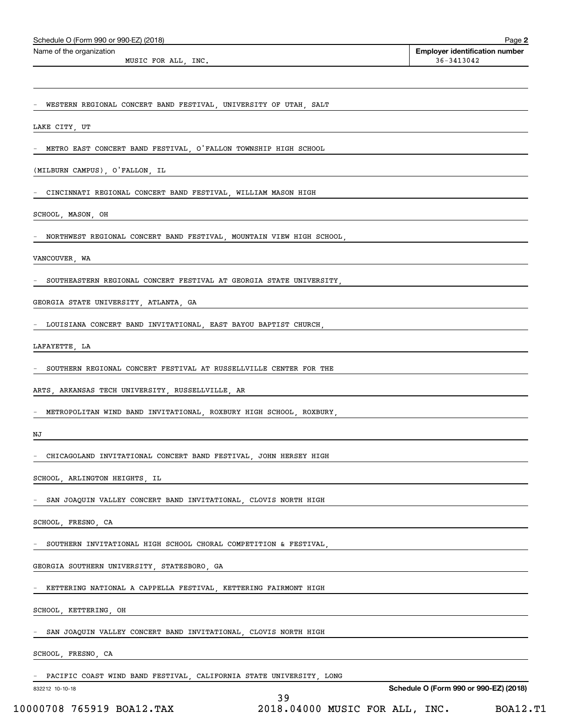| Schedule O (Form 990 or 990-EZ) (2018)                                                 | Page 2                                              |
|----------------------------------------------------------------------------------------|-----------------------------------------------------|
| Name of the organization                                                               | <b>Employer identification number</b><br>36-3413042 |
| MUSIC FOR ALL, INC.                                                                    |                                                     |
|                                                                                        |                                                     |
| WESTERN REGIONAL CONCERT BAND FESTIVAL, UNIVERSITY OF UTAH, SALT                       |                                                     |
| LAKE CITY, UT                                                                          |                                                     |
|                                                                                        |                                                     |
| METRO EAST CONCERT BAND FESTIVAL, O'FALLON TOWNSHIP HIGH SCHOOL                        |                                                     |
| (MILBURN CAMPUS), O'FALLON, IL<br><u> 1989 - Andrea Andrew Maria (h. 1989).</u>        |                                                     |
| CINCINNATI REGIONAL CONCERT BAND FESTIVAL, WILLIAM MASON HIGH                          |                                                     |
| SCHOOL, MASON, OH                                                                      |                                                     |
| NORTHWEST REGIONAL CONCERT BAND FESTIVAL, MOUNTAIN VIEW HIGH SCHOOL,                   |                                                     |
|                                                                                        | <u> 1989 - Andrea Andrew Maria (h. 1989).</u>       |
| VANCOUVER, WA                                                                          |                                                     |
| SOUTHEASTERN REGIONAL CONCERT FESTIVAL AT GEORGIA STATE UNIVERSITY,                    |                                                     |
| GEORGIA STATE UNIVERSITY, ATLANTA, GA                                                  |                                                     |
| LOUISIANA CONCERT BAND INVITATIONAL, EAST BAYOU BAPTIST CHURCH,                        |                                                     |
| LAFAYETTE, LA                                                                          |                                                     |
|                                                                                        |                                                     |
| SOUTHERN REGIONAL CONCERT FESTIVAL AT RUSSELLVILLE CENTER FOR THE                      |                                                     |
| ARTS, ARKANSAS TECH UNIVERSITY, RUSSELLVILLE, AR                                       |                                                     |
| METROPOLITAN WIND BAND INVITATIONAL, ROXBURY HIGH SCHOOL, ROXBURY,                     |                                                     |
| NJ                                                                                     |                                                     |
| CHICAGOLAND INVITATIONAL CONCERT BAND FESTIVAL, JOHN HERSEY HIGH                       |                                                     |
| SCHOOL, ARLINGTON HEIGHTS, IL                                                          |                                                     |
|                                                                                        |                                                     |
| SAN JOAQUIN VALLEY CONCERT BAND INVITATIONAL, CLOVIS NORTH HIGH                        |                                                     |
| SCHOOL, FRESNO, CA                                                                     |                                                     |
| SOUTHERN INVITATIONAL HIGH SCHOOL CHORAL COMPETITION & FESTIVAL,                       |                                                     |
| GEORGIA SOUTHERN UNIVERSITY, STATESBORO, GA                                            |                                                     |
| KETTERING NATIONAL A CAPPELLA FESTIVAL, KETTERING FAIRMONT HIGH                        |                                                     |
| SCHOOL, KETTERING, OH                                                                  |                                                     |
| SAN JOAQUIN VALLEY CONCERT BAND INVITATIONAL, CLOVIS NORTH HIGH                        |                                                     |
| SCHOOL, FRESNO, CA                                                                     |                                                     |
|                                                                                        |                                                     |
| PACIFIC COAST WIND BAND FESTIVAL, CALIFORNIA STATE UNIVERSITY, LONG<br>832212 10-10-18 | Schedule O (Form 990 or 990-EZ) (2018)              |
| 39                                                                                     |                                                     |

10000708 765919 BOA12.TAX 2018.04000 MUSIC FOR ALL, INC. BOA12.T1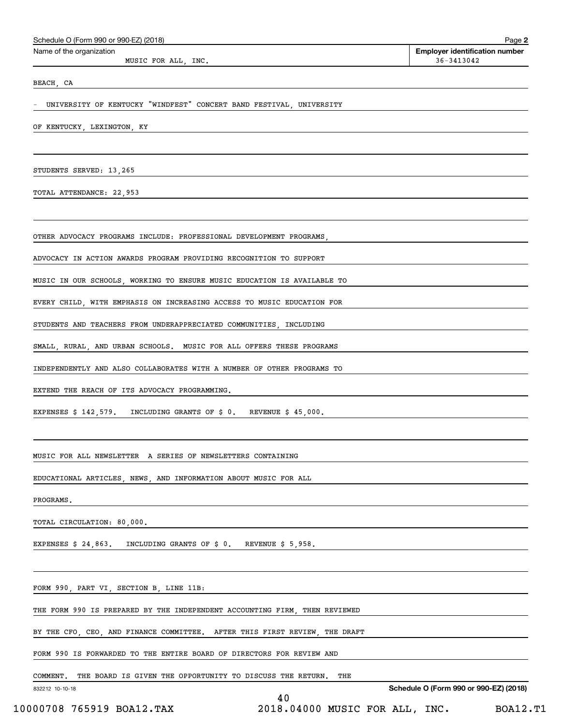| Schedule O (Form 990 or 990-EZ) (2018)                                     |                                |                                                     | Page 2          |
|----------------------------------------------------------------------------|--------------------------------|-----------------------------------------------------|-----------------|
| Name of the organization<br>MUSIC FOR ALL, INC.                            |                                | <b>Employer identification number</b><br>36-3413042 |                 |
| BEACH, CA                                                                  |                                |                                                     |                 |
| - UNIVERSITY OF KENTUCKY "WINDFEST" CONCERT BAND FESTIVAL, UNIVERSITY      |                                |                                                     |                 |
| OF KENTUCKY, LEXINGTON, KY                                                 |                                |                                                     |                 |
|                                                                            |                                |                                                     |                 |
| STUDENTS SERVED: 13,265                                                    |                                |                                                     |                 |
| TOTAL ATTENDANCE: 22,953                                                   |                                |                                                     |                 |
| OTHER ADVOCACY PROGRAMS INCLUDE: PROFESSIONAL DEVELOPMENT PROGRAMS,        |                                |                                                     |                 |
|                                                                            |                                |                                                     |                 |
| ADVOCACY IN ACTION AWARDS PROGRAM PROVIDING RECOGNITION TO SUPPORT         |                                |                                                     |                 |
| MUSIC IN OUR SCHOOLS, WORKING TO ENSURE MUSIC EDUCATION IS AVAILABLE TO    |                                |                                                     |                 |
| EVERY CHILD, WITH EMPHASIS ON INCREASING ACCESS TO MUSIC EDUCATION FOR     |                                |                                                     |                 |
| STUDENTS AND TEACHERS FROM UNDERAPPRECIATED COMMUNITIES, INCLUDING         |                                |                                                     |                 |
| SMALL, RURAL, AND URBAN SCHOOLS. MUSIC FOR ALL OFFERS THESE PROGRAMS       |                                |                                                     |                 |
| INDEPENDENTLY AND ALSO COLLABORATES WITH A NUMBER OF OTHER PROGRAMS TO     |                                |                                                     |                 |
| EXTEND THE REACH OF ITS ADVOCACY PROGRAMMING.                              |                                |                                                     |                 |
| EXPENSES \$ 142,579. INCLUDING GRANTS OF \$ 0. REVENUE \$ 45,000.          |                                |                                                     |                 |
|                                                                            |                                |                                                     |                 |
| MUSIC FOR ALL NEWSLETTER A SERIES OF NEWSLETTERS CONTAINING                |                                |                                                     |                 |
| EDUCATIONAL ARTICLES, NEWS, AND INFORMATION ABOUT MUSIC FOR ALL            |                                |                                                     |                 |
| PROGRAMS.                                                                  |                                |                                                     |                 |
| TOTAL CIRCULATION: 80,000.                                                 |                                |                                                     |                 |
| EXPENSES $$24,863$ . INCLUDING GRANTS OF $$0$ . REVENUE $$5,958$ .         |                                |                                                     |                 |
|                                                                            |                                |                                                     |                 |
| FORM 990, PART VI, SECTION B, LINE 11B:                                    |                                |                                                     |                 |
| THE FORM 990 IS PREPARED BY THE INDEPENDENT ACCOUNTING FIRM, THEN REVIEWED |                                |                                                     |                 |
| BY THE CFO, CEO, AND FINANCE COMMITTEE. AFTER THIS FIRST REVIEW, THE DRAFT |                                |                                                     |                 |
| FORM 990 IS FORWARDED TO THE ENTIRE BOARD OF DIRECTORS FOR REVIEW AND      |                                |                                                     |                 |
| COMMENT. THE BOARD IS GIVEN THE OPPORTUNITY TO DISCUSS THE RETURN.         | THE                            |                                                     |                 |
| 832212 10-10-18                                                            | 40                             | Schedule O (Form 990 or 990-EZ) (2018)              |                 |
| 10000708 765919 BOA12.TAX                                                  | 2018.04000 MUSIC FOR ALL, INC. |                                                     | <b>BOA12.T1</b> |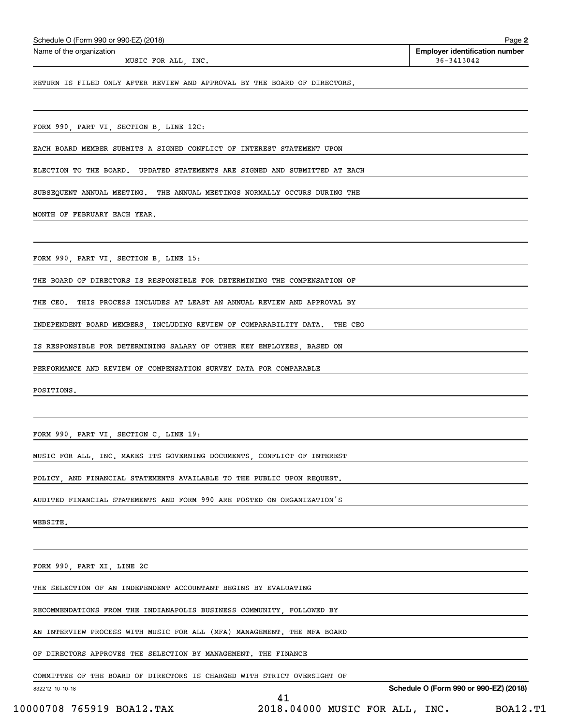| Schedule O (Form 990 or 990-EZ) (2018)                                                     | Page 2                                                  |
|--------------------------------------------------------------------------------------------|---------------------------------------------------------|
| Name of the organization<br>MUSIC FOR ALL, INC.                                            | <b>Employer identification number</b><br>$36 - 3413042$ |
| RETURN IS FILED ONLY AFTER REVIEW AND APPROVAL BY THE BOARD OF DIRECTORS.                  |                                                         |
|                                                                                            |                                                         |
| FORM 990, PART VI, SECTION B, LINE 12C:                                                    |                                                         |
| EACH BOARD MEMBER SUBMITS A SIGNED CONFLICT OF INTEREST STATEMENT UPON                     |                                                         |
| ELECTION TO THE BOARD.<br>UPDATED STATEMENTS ARE SIGNED AND SUBMITTED AT EACH              |                                                         |
| SUBSEQUENT ANNUAL MEETING. THE ANNUAL MEETINGS NORMALLY OCCURS DURING THE                  |                                                         |
| MONTH OF FEBRUARY EACH YEAR.                                                               |                                                         |
| FORM 990, PART VI, SECTION B, LINE 15:                                                     |                                                         |
| THE BOARD OF DIRECTORS IS RESPONSIBLE FOR DETERMINING THE COMPENSATION OF                  |                                                         |
| THE CEO.<br>THIS PROCESS INCLUDES AT LEAST AN ANNUAL REVIEW AND APPROVAL BY                |                                                         |
| INDEPENDENT BOARD MEMBERS, INCLUDING REVIEW OF COMPARABILITY DATA.<br>THE CEO              |                                                         |
| IS RESPONSIBLE FOR DETERMINING SALARY OF OTHER KEY EMPLOYEES, BASED ON                     |                                                         |
| PERFORMANCE AND REVIEW OF COMPENSATION SURVEY DATA FOR COMPARABLE                          |                                                         |
| POSITIONS.                                                                                 |                                                         |
|                                                                                            |                                                         |
| FORM 990, PART VI, SECTION C, LINE 19:                                                     |                                                         |
| MUSIC FOR ALL, INC. MAKES ITS GOVERNING DOCUMENTS, CONFLICT OF INTEREST                    |                                                         |
| POLICY, AND FINANCIAL STATEMENTS AVAILABLE TO THE PUBLIC UPON REQUEST.                     |                                                         |
| AUDITED FINANCIAL STATEMENTS AND FORM 990 ARE POSTED ON ORGANIZATION'S                     |                                                         |
| WEBSITE.                                                                                   |                                                         |
|                                                                                            |                                                         |
| FORM 990, PART XI, LINE 2C                                                                 |                                                         |
| THE SELECTION OF AN INDEPENDENT ACCOUNTANT BEGINS BY EVALUATING                            |                                                         |
| RECOMMENDATIONS FROM THE INDIANAPOLIS BUSINESS COMMUNITY, FOLLOWED BY                      |                                                         |
| AN INTERVIEW PROCESS WITH MUSIC FOR ALL (MFA) MANAGEMENT. THE MFA BOARD                    |                                                         |
| OF DIRECTORS APPROVES THE SELECTION BY MANAGEMENT. THE FINANCE                             |                                                         |
| COMMITTEE OF THE BOARD OF DIRECTORS IS CHARGED WITH STRICT OVERSIGHT OF<br>832212 10-10-18 | Schedule O (Form 990 or 990-EZ) (2018)                  |
| 41                                                                                         |                                                         |

 <sup>10000708 765919</sup> BOA12.TAX 2018.04000 MUSIC FOR ALL, INC. BOA12.T1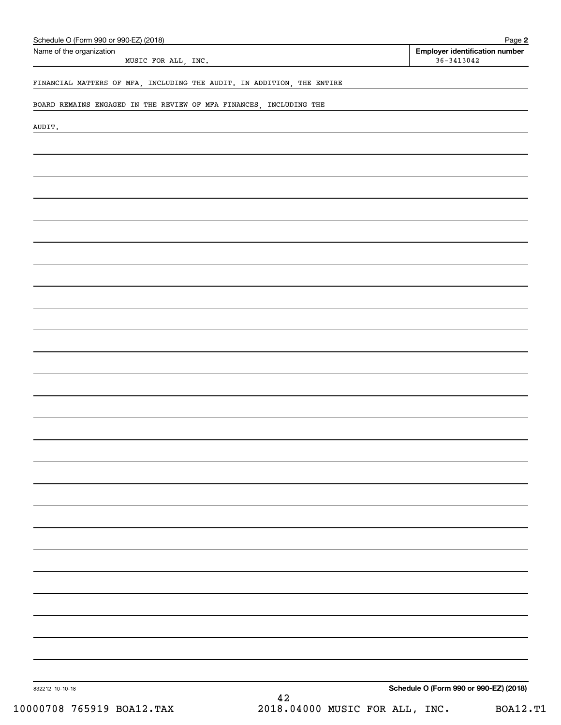| Name of the organization<br>MUSIC FOR ALL, INC.                        |    | <b>Employer identification number</b><br>$36 - 3413042$ |
|------------------------------------------------------------------------|----|---------------------------------------------------------|
|                                                                        |    |                                                         |
| FINANCIAL MATTERS OF MFA, INCLUDING THE AUDIT. IN ADDITION, THE ENTIRE |    |                                                         |
| BOARD REMAINS ENGAGED IN THE REVIEW OF MFA FINANCES, INCLUDING THE     |    |                                                         |
|                                                                        |    |                                                         |
| AUDIT.                                                                 |    |                                                         |
|                                                                        |    |                                                         |
|                                                                        |    |                                                         |
|                                                                        |    |                                                         |
|                                                                        |    |                                                         |
|                                                                        |    |                                                         |
|                                                                        |    |                                                         |
|                                                                        |    |                                                         |
|                                                                        |    |                                                         |
|                                                                        |    |                                                         |
|                                                                        |    |                                                         |
|                                                                        |    |                                                         |
|                                                                        |    |                                                         |
|                                                                        |    |                                                         |
|                                                                        |    |                                                         |
|                                                                        |    |                                                         |
|                                                                        |    |                                                         |
|                                                                        |    |                                                         |
|                                                                        |    |                                                         |
|                                                                        |    |                                                         |
|                                                                        |    |                                                         |
|                                                                        |    |                                                         |
|                                                                        |    |                                                         |
|                                                                        |    |                                                         |
|                                                                        |    |                                                         |
|                                                                        |    |                                                         |
|                                                                        |    |                                                         |
|                                                                        |    |                                                         |
|                                                                        |    |                                                         |
|                                                                        |    |                                                         |
|                                                                        |    |                                                         |
|                                                                        |    |                                                         |
|                                                                        |    |                                                         |
|                                                                        |    |                                                         |
|                                                                        |    |                                                         |
|                                                                        |    |                                                         |
|                                                                        |    |                                                         |
|                                                                        |    |                                                         |
| 832212 10-10-18                                                        |    | Schedule O (Form 990 or 990-EZ) (2018)                  |
|                                                                        | 42 |                                                         |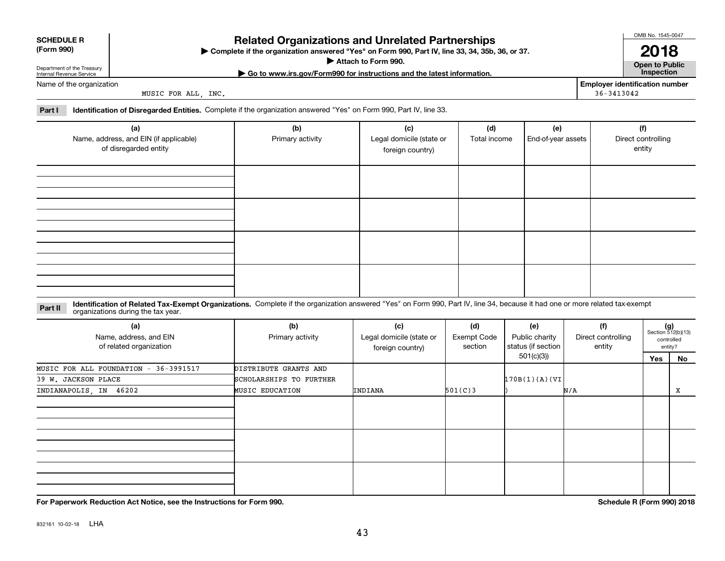|  |  | -- |
|--|--|----|
|  |  |    |

# **SCHEDULE R**

### **(Form 990)**

# **Related Organizations and Unrelated Partnerships**

**Complete if the organization answered "Yes" on Form 990, Part IV, line 33, 34, 35b, 36, or 37.** |

**Attach to Form 990.**  |

**| Go to www.irs.gov/Form990 for instructions and the latest information. Inspection**

Department of the Treasury Internal Revenue Service Name of the organization

MUSIC FOR ALL, INC.

**Employer identification number** 36-3413042

**Part I Identification of Disregarded Entities.**  Complete if the organization answered "Yes" on Form 990, Part IV, line 33.

| (a)<br>Name, address, and EIN (if applicable)<br>of disregarded entity | (b)<br>Primary activity | (c)<br>Legal domicile (state or<br>foreign country) | (d)<br>Total income | (e)<br>End-of-year assets | (f)<br>Direct controlling<br>entity |
|------------------------------------------------------------------------|-------------------------|-----------------------------------------------------|---------------------|---------------------------|-------------------------------------|
|                                                                        |                         |                                                     |                     |                           |                                     |
|                                                                        |                         |                                                     |                     |                           |                                     |
|                                                                        |                         |                                                     |                     |                           |                                     |
|                                                                        |                         |                                                     |                     |                           |                                     |

**Identification of Related Tax-Exempt Organizations.** Complete if the organization answered "Yes" on Form 990, Part IV, line 34, because it had one or more related tax-exempt **Part II** organizations during the tax year.

| (a)<br>Name, address, and EIN<br>of related organization | (b)<br>Primary activity | (c)<br>Legal domicile (state or<br>foreign country) | (d)<br>Exempt Code<br>section | (e)<br>Public charity<br>status (if section | (f)<br>Direct controlling<br>entity |     | $(g)$<br>Section 512(b)(13)<br>controlled<br>entity? |
|----------------------------------------------------------|-------------------------|-----------------------------------------------------|-------------------------------|---------------------------------------------|-------------------------------------|-----|------------------------------------------------------|
|                                                          |                         |                                                     |                               | 501(c)(3))                                  |                                     | Yes | No                                                   |
| MUSIC FOR ALL FOUNDATION - 36-3991517                    | DISTRIBUTE GRANTS AND   |                                                     |                               |                                             |                                     |     |                                                      |
| 39 W. JACKSON PLACE                                      | SCHOLARSHIPS TO FURTHER |                                                     |                               | 170B(1)(A)(VI)                              |                                     |     |                                                      |
| INDIANAPOLIS, IN 46202                                   | <b>MUSIC EDUCATION</b>  | INDIANA                                             | 501(C)3                       |                                             | N/A                                 |     | X                                                    |
|                                                          |                         |                                                     |                               |                                             |                                     |     |                                                      |
|                                                          |                         |                                                     |                               |                                             |                                     |     |                                                      |
|                                                          |                         |                                                     |                               |                                             |                                     |     |                                                      |

**For Paperwork Reduction Act Notice, see the Instructions for Form 990. Schedule R (Form 990) 2018**

832161 10-02-18 LHA

OMB No. 1545-0047

**2018**

**Open to Public**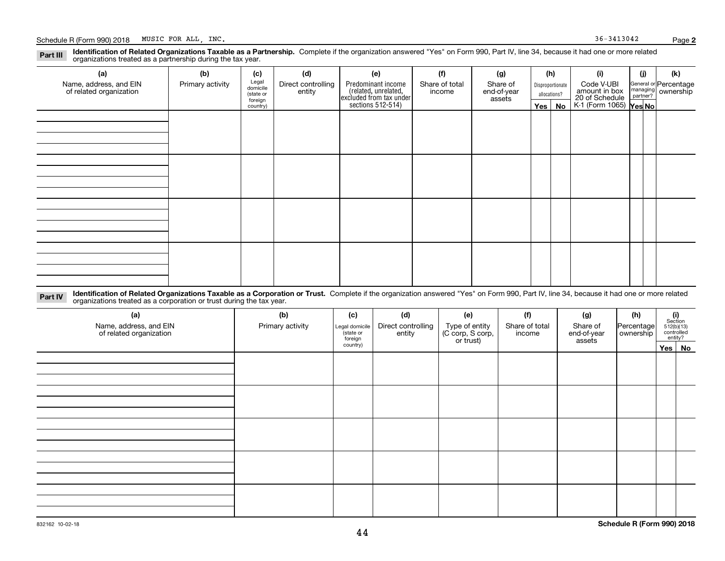#### **Identification of Related Organizations Taxable as a Partnership.** Complete if the organization answered "Yes" on Form 990, Part IV, line 34, because it had one or more related **Part III** organizations treated as a partnership during the tax year.

| (a)                                               | (b)              | (c)                  | (d)                          | (e)                                                                  | (f)                      | (g)                     |              | (h)              | (i)                                                       | (j) | (k)                                                     |
|---------------------------------------------------|------------------|----------------------|------------------------------|----------------------------------------------------------------------|--------------------------|-------------------------|--------------|------------------|-----------------------------------------------------------|-----|---------------------------------------------------------|
| Name, address, and EIN<br>of related organization | Primary activity | Legal<br>domicile    | Direct controlling<br>entity | Predominant income                                                   | Share of total<br>income | Share of<br>end-of-year |              | Disproportionate | Code V-UBI                                                |     | General or Percentage<br>managing ownership<br>partner? |
|                                                   |                  | (state or<br>foreign |                              | (related, unrelated,<br>excluded from tax under<br>sections 512-514) |                          | assets                  | allocations? |                  |                                                           |     |                                                         |
|                                                   |                  | country)             |                              |                                                                      |                          |                         |              | Yes   No         | amount in box<br>20 of Schedule<br>K-1 (Form 1065) Yes No |     |                                                         |
|                                                   |                  |                      |                              |                                                                      |                          |                         |              |                  |                                                           |     |                                                         |
|                                                   |                  |                      |                              |                                                                      |                          |                         |              |                  |                                                           |     |                                                         |
|                                                   |                  |                      |                              |                                                                      |                          |                         |              |                  |                                                           |     |                                                         |
|                                                   |                  |                      |                              |                                                                      |                          |                         |              |                  |                                                           |     |                                                         |
|                                                   |                  |                      |                              |                                                                      |                          |                         |              |                  |                                                           |     |                                                         |
|                                                   |                  |                      |                              |                                                                      |                          |                         |              |                  |                                                           |     |                                                         |
|                                                   |                  |                      |                              |                                                                      |                          |                         |              |                  |                                                           |     |                                                         |
|                                                   |                  |                      |                              |                                                                      |                          |                         |              |                  |                                                           |     |                                                         |
|                                                   |                  |                      |                              |                                                                      |                          |                         |              |                  |                                                           |     |                                                         |
|                                                   |                  |                      |                              |                                                                      |                          |                         |              |                  |                                                           |     |                                                         |
|                                                   |                  |                      |                              |                                                                      |                          |                         |              |                  |                                                           |     |                                                         |
|                                                   |                  |                      |                              |                                                                      |                          |                         |              |                  |                                                           |     |                                                         |
|                                                   |                  |                      |                              |                                                                      |                          |                         |              |                  |                                                           |     |                                                         |
|                                                   |                  |                      |                              |                                                                      |                          |                         |              |                  |                                                           |     |                                                         |
|                                                   |                  |                      |                              |                                                                      |                          |                         |              |                  |                                                           |     |                                                         |
|                                                   |                  |                      |                              |                                                                      |                          |                         |              |                  |                                                           |     |                                                         |
|                                                   |                  |                      |                              |                                                                      |                          |                         |              |                  |                                                           |     |                                                         |

**Identification of Related Organizations Taxable as a Corporation or Trust.** Complete if the organization answered "Yes" on Form 990, Part IV, line 34, because it had one or more related **Part IV** organizations treated as a corporation or trust during the tax year.

| (a)<br>Name, address, and EIN<br>of related organization | (b)<br>Primary activity | (c)<br>Legal domicile<br>(state or<br>foreign | (d)<br>Direct controlling<br>entity | (e)<br>Type of entity<br>(C corp, S corp,<br>or trust) | (f)<br>Share of total<br>income | (g)<br>Share of<br>end-of-year<br>assets | (h)<br> Percentage <br>ownership | (i)<br>Section<br>$512(b)(13)$<br>controlled | entity? |
|----------------------------------------------------------|-------------------------|-----------------------------------------------|-------------------------------------|--------------------------------------------------------|---------------------------------|------------------------------------------|----------------------------------|----------------------------------------------|---------|
|                                                          |                         | country)                                      |                                     |                                                        |                                 |                                          |                                  |                                              | Yes No  |
|                                                          |                         |                                               |                                     |                                                        |                                 |                                          |                                  |                                              |         |
|                                                          |                         |                                               |                                     |                                                        |                                 |                                          |                                  |                                              |         |
|                                                          |                         |                                               |                                     |                                                        |                                 |                                          |                                  |                                              |         |
|                                                          |                         |                                               |                                     |                                                        |                                 |                                          |                                  |                                              |         |
|                                                          |                         |                                               |                                     |                                                        |                                 |                                          |                                  |                                              |         |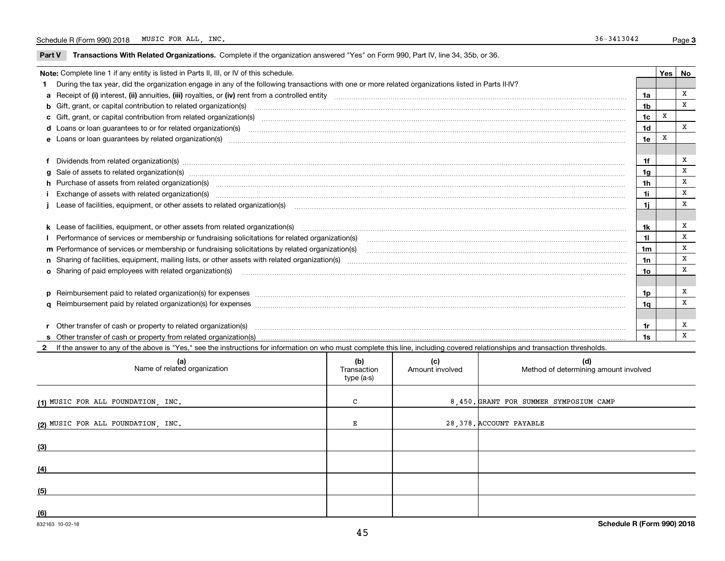$\overline{\phantom{0}}$ 

**Part V** T**ransactions With Related Organizations.** Complete if the organization answered "Yes" on Form 990, Part IV, line 34, 35b, or 36.

| Note: Complete line 1 if any entity is listed in Parts II, III, or IV of this schedule. |                                                                                                                                                                                                                                |                |   |             |  |
|-----------------------------------------------------------------------------------------|--------------------------------------------------------------------------------------------------------------------------------------------------------------------------------------------------------------------------------|----------------|---|-------------|--|
|                                                                                         | During the tax year, did the organization engage in any of the following transactions with one or more related organizations listed in Parts II-IV?                                                                            |                |   |             |  |
|                                                                                         |                                                                                                                                                                                                                                | 1a             |   | x           |  |
|                                                                                         |                                                                                                                                                                                                                                | 1 <sub>b</sub> |   | x           |  |
|                                                                                         |                                                                                                                                                                                                                                | 1 <sub>c</sub> | X |             |  |
|                                                                                         |                                                                                                                                                                                                                                | 1 <sub>d</sub> |   | X           |  |
|                                                                                         |                                                                                                                                                                                                                                | 1e             |   |             |  |
|                                                                                         |                                                                                                                                                                                                                                |                |   |             |  |
|                                                                                         | f Dividends from related organization(s) manufactured contains and contained and contained contained and contained and contained and contained and contained and contained and contained and contained and contained and conta | 1f             |   | X           |  |
|                                                                                         | g Sale of assets to related organization(s) www.assettion.com/www.assettion.com/www.assettion.com/www.assettion.com/www.assettion.com/www.assettion.com/www.assettion.com/www.assettion.com/www.assettion.com/www.assettion.co | 1 <sub>g</sub> |   | $\mathbf x$ |  |
|                                                                                         | h Purchase of assets from related organization(s) manufactured and content to content the content of the content of the content of the content of the content of the content of the content of the content of the content of t | 1h             |   | X           |  |
|                                                                                         |                                                                                                                                                                                                                                | 1i             |   | X           |  |
|                                                                                         | j Lease of facilities, equipment, or other assets to related organization(s) manufaction content and the manufacture of facilities, equipment, or other assets to related organization(s) manufaction content and the manufact | 1i             |   | X           |  |
|                                                                                         |                                                                                                                                                                                                                                |                |   |             |  |
|                                                                                         | k Lease of facilities, equipment, or other assets from related organization(s) manufaction content and content to the assets from related organization(s) manufaction content and content and content and content and content  | 1k             |   | X           |  |
|                                                                                         | I Performance of services or membership or fundraising solicitations for related organization(s)                                                                                                                               | 11             |   | x           |  |
|                                                                                         | m Performance of services or membership or fundraising solicitations by related organization(s)                                                                                                                                | 1m             |   | X           |  |
|                                                                                         |                                                                                                                                                                                                                                | 1n             |   | X           |  |
|                                                                                         |                                                                                                                                                                                                                                | 10             |   | X           |  |
|                                                                                         |                                                                                                                                                                                                                                |                |   |             |  |
|                                                                                         | p Reimbursement paid to related organization(s) for expenses [1111] and manufactured manufactured manufactured manufactured manufactured manufactured manufactured manufactured manufactured manufactured manufactured manufac | 1p             |   | X           |  |
|                                                                                         |                                                                                                                                                                                                                                | 1a             |   | x           |  |
|                                                                                         |                                                                                                                                                                                                                                |                |   |             |  |
|                                                                                         | r Other transfer of cash or property to related organization(s)                                                                                                                                                                | 1r             |   | х           |  |
|                                                                                         |                                                                                                                                                                                                                                | 1s             |   | X           |  |

**2**If the answer to any of the above is "Yes," see the instructions for information on who must complete this line, including covered relationships and transaction thresholds.

| (a)<br>Name of related organization | (b)<br>Transaction<br>type (a-s) | (c)<br>Amount involved | (d)<br>Method of determining amount involved |
|-------------------------------------|----------------------------------|------------------------|----------------------------------------------|
| (1) MUSIC FOR ALL FOUNDATION, INC.  | C                                |                        | 8,450. GRANT FOR SUMMER SYMPOSIUM CAMP       |
| (2) MUSIC FOR ALL FOUNDATION, INC.  | Е                                |                        | 28,378. ACCOUNT PAYABLE                      |
| (3)                                 |                                  |                        |                                              |
| (4)                                 |                                  |                        |                                              |
| (5)                                 |                                  |                        |                                              |
| (6)                                 |                                  |                        |                                              |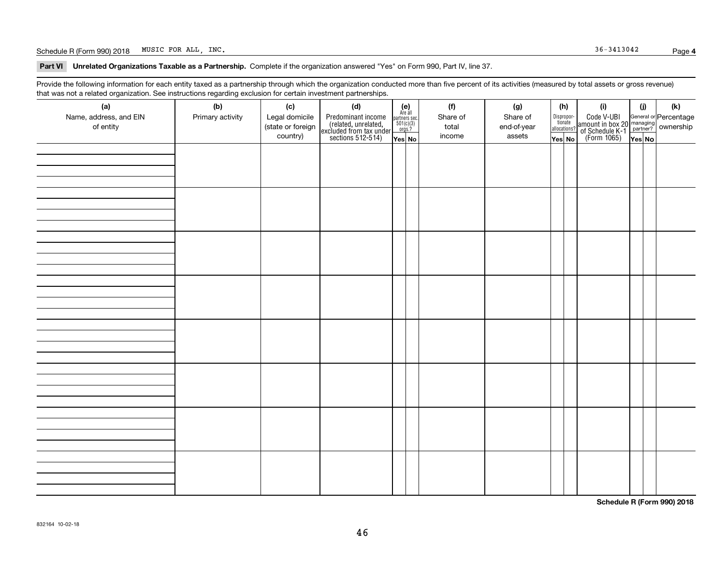#### Schedule R (Form 990) 2018 Page MUSIC FOR ALL, INC. 36-3413042

**Part VI Unrelated Organizations Taxable as a Partnership. Complete if the organization answered "Yes" on Form 990, Part IV, line 37.** 

Provide the following information for each entity taxed as a partnership through which the organization conducted more than five percent of its activities (measured by total assets or gross revenue) that was not a related organization. See instructions regarding exclusion for certain investment partnerships.

| ັ                      | ັ<br>ັ           |                   |                                                                                            |                                                                                               |          |             |                                  |                                                                                                  |        |     |
|------------------------|------------------|-------------------|--------------------------------------------------------------------------------------------|-----------------------------------------------------------------------------------------------|----------|-------------|----------------------------------|--------------------------------------------------------------------------------------------------|--------|-----|
| (a)                    | (b)              | (c)               | (d)                                                                                        | $(e)$<br>Are all                                                                              | (f)      | (g)         | (h)                              | (i)                                                                                              | (i)    | (k) |
| Name, address, and EIN | Primary activity | Legal domicile    | Predominant income<br>(related, unrelated,<br>excluded from tax under<br>sections 512-514) |                                                                                               | Share of | Share of    | Disproportionate<br>allocations? | Code V-UBI<br>amount in box 20 managing<br>of Schedule K-1<br>(Form 1065)<br>$\overline{Yes}$ No |        |     |
| of entity              |                  | (state or foreign |                                                                                            | $\begin{array}{c}\n\text{partners} & \text{sec.} \\ 501(c)(3) & \text{orgs.?} \\ \end{array}$ | total    | end-of-year |                                  |                                                                                                  |        |     |
|                        |                  | country)          |                                                                                            |                                                                                               | income   | assets      |                                  |                                                                                                  |        |     |
|                        |                  |                   |                                                                                            | Yes No                                                                                        |          |             | Yes No                           |                                                                                                  | Yes No |     |
|                        |                  |                   |                                                                                            |                                                                                               |          |             |                                  |                                                                                                  |        |     |
|                        |                  |                   |                                                                                            |                                                                                               |          |             |                                  |                                                                                                  |        |     |
|                        |                  |                   |                                                                                            |                                                                                               |          |             |                                  |                                                                                                  |        |     |
|                        |                  |                   |                                                                                            |                                                                                               |          |             |                                  |                                                                                                  |        |     |
|                        |                  |                   |                                                                                            |                                                                                               |          |             |                                  |                                                                                                  |        |     |
|                        |                  |                   |                                                                                            |                                                                                               |          |             |                                  |                                                                                                  |        |     |
|                        |                  |                   |                                                                                            |                                                                                               |          |             |                                  |                                                                                                  |        |     |
|                        |                  |                   |                                                                                            |                                                                                               |          |             |                                  |                                                                                                  |        |     |
|                        |                  |                   |                                                                                            |                                                                                               |          |             |                                  |                                                                                                  |        |     |
|                        |                  |                   |                                                                                            |                                                                                               |          |             |                                  |                                                                                                  |        |     |
|                        |                  |                   |                                                                                            |                                                                                               |          |             |                                  |                                                                                                  |        |     |
|                        |                  |                   |                                                                                            |                                                                                               |          |             |                                  |                                                                                                  |        |     |
|                        |                  |                   |                                                                                            |                                                                                               |          |             |                                  |                                                                                                  |        |     |
|                        |                  |                   |                                                                                            |                                                                                               |          |             |                                  |                                                                                                  |        |     |
|                        |                  |                   |                                                                                            |                                                                                               |          |             |                                  |                                                                                                  |        |     |
|                        |                  |                   |                                                                                            |                                                                                               |          |             |                                  |                                                                                                  |        |     |
|                        |                  |                   |                                                                                            |                                                                                               |          |             |                                  |                                                                                                  |        |     |
|                        |                  |                   |                                                                                            |                                                                                               |          |             |                                  |                                                                                                  |        |     |
|                        |                  |                   |                                                                                            |                                                                                               |          |             |                                  |                                                                                                  |        |     |
|                        |                  |                   |                                                                                            |                                                                                               |          |             |                                  |                                                                                                  |        |     |
|                        |                  |                   |                                                                                            |                                                                                               |          |             |                                  |                                                                                                  |        |     |
|                        |                  |                   |                                                                                            |                                                                                               |          |             |                                  |                                                                                                  |        |     |
|                        |                  |                   |                                                                                            |                                                                                               |          |             |                                  |                                                                                                  |        |     |
|                        |                  |                   |                                                                                            |                                                                                               |          |             |                                  |                                                                                                  |        |     |
|                        |                  |                   |                                                                                            |                                                                                               |          |             |                                  |                                                                                                  |        |     |
|                        |                  |                   |                                                                                            |                                                                                               |          |             |                                  |                                                                                                  |        |     |
|                        |                  |                   |                                                                                            |                                                                                               |          |             |                                  |                                                                                                  |        |     |
|                        |                  |                   |                                                                                            |                                                                                               |          |             |                                  |                                                                                                  |        |     |
|                        |                  |                   |                                                                                            |                                                                                               |          |             |                                  |                                                                                                  |        |     |
|                        |                  |                   |                                                                                            |                                                                                               |          |             |                                  |                                                                                                  |        |     |
|                        |                  |                   |                                                                                            |                                                                                               |          |             |                                  |                                                                                                  |        |     |
|                        |                  |                   |                                                                                            |                                                                                               |          |             |                                  |                                                                                                  |        |     |
|                        |                  |                   |                                                                                            |                                                                                               |          |             |                                  |                                                                                                  |        |     |
|                        |                  |                   |                                                                                            |                                                                                               |          |             |                                  |                                                                                                  |        |     |
|                        |                  |                   |                                                                                            |                                                                                               |          |             |                                  |                                                                                                  |        |     |
|                        |                  |                   |                                                                                            |                                                                                               |          |             |                                  |                                                                                                  |        |     |
|                        |                  |                   |                                                                                            |                                                                                               |          |             |                                  |                                                                                                  |        |     |
|                        |                  |                   |                                                                                            |                                                                                               |          |             |                                  |                                                                                                  |        |     |
|                        |                  |                   |                                                                                            |                                                                                               |          |             |                                  |                                                                                                  |        |     |
|                        |                  |                   |                                                                                            |                                                                                               |          |             |                                  |                                                                                                  |        |     |
|                        |                  |                   |                                                                                            |                                                                                               |          |             |                                  |                                                                                                  |        |     |
|                        |                  |                   |                                                                                            |                                                                                               |          |             |                                  |                                                                                                  |        |     |
|                        |                  |                   |                                                                                            |                                                                                               |          |             |                                  |                                                                                                  |        |     |

**Schedule R (Form 990) 2018**